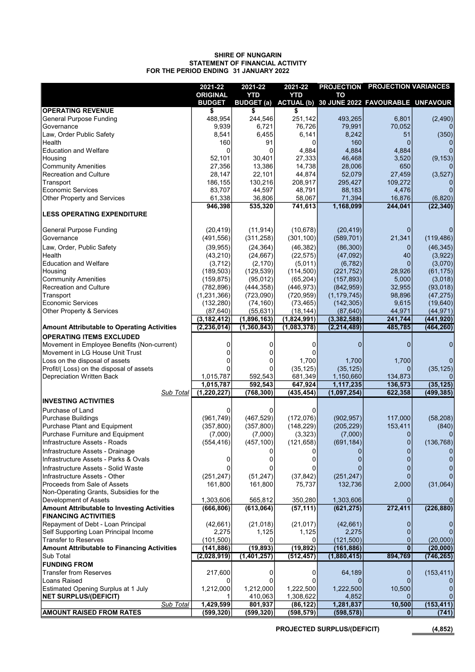#### 31 JANUARY 2022 SHIRE OF NUNGARIN STATEMENT OF FINANCIAL ACTIVITY FOR THE PERIOD ENDING

|                                                                                   | 2021-22               | 2021-22                | 2021-22                |                       | PROJECTION PROJECTION VARIANCES                        |                      |
|-----------------------------------------------------------------------------------|-----------------------|------------------------|------------------------|-----------------------|--------------------------------------------------------|----------------------|
|                                                                                   | <b>ORIGINAL</b>       | <b>YTD</b>             | <b>YTD</b>             | TO                    |                                                        |                      |
|                                                                                   | <b>BUDGET</b>         |                        |                        |                       | BUDGET (a) ACTUAL (b) 30 JUNE 2022 FAVOURABLE UNFAVOUR |                      |
| <b>OPERATING REVENUE</b>                                                          | \$                    | \$                     |                        |                       |                                                        |                      |
| <b>General Purpose Funding</b>                                                    | 488,954               | 244,546                | 251,142                | 493,265               | 6,801                                                  | (2,490)              |
| Governance                                                                        | 9,939                 | 6,721                  | 76,726                 | 79,991                | 70,052                                                 |                      |
| Law, Order Public Safety<br>Health                                                | 8,541<br>160          | 6,455<br>91            | 6,141<br>$\Omega$      | 8,242<br>160          | 51<br>$\Omega$                                         | (350)<br>0           |
| <b>Education and Welfare</b>                                                      | 0                     |                        | 4,884                  | 4,884                 | 4,884                                                  |                      |
| Housing                                                                           | 52,101                | 30,401                 | 27,333                 | 46,468                | 3,520                                                  | (9, 153)             |
| <b>Community Amenities</b>                                                        | 27,356                | 13,386                 | 14,738                 | 28,006                | 650                                                    | $\Omega$             |
| Recreation and Culture                                                            | 28,147                | 22,101                 | 44,874                 | 52,079                | 27,459                                                 | (3,527)              |
| Transport                                                                         | 186,155               | 130,216                | 208,917                | 295,427               | 109,272                                                |                      |
| <b>Economic Services</b>                                                          | 83,707                | 44,597                 | 48,791                 | 88,183                | 4,476                                                  | $\overline{0}$       |
| Other Property and Services                                                       | 61,338                | 36,806                 | 58,067                 | 71,394                | 16,876                                                 | (6,820)              |
|                                                                                   | 946,398               | 535,320                | 741,613                | 1,168,099             | 244,041                                                | (22, 340)            |
| <b>LESS OPERATING EXPENDITURE</b>                                                 |                       |                        |                        |                       |                                                        |                      |
| <b>General Purpose Funding</b>                                                    | (20, 419)             | (11, 914)              | (10, 678)              | (20, 419)             | $\mathbf 0$                                            | 0                    |
| Governance                                                                        | (491, 556)            | (311, 258)             | (301, 100)             | (589, 701)            | 21,341                                                 | (119, 486)           |
|                                                                                   |                       |                        |                        |                       |                                                        |                      |
| Law, Order, Public Safety<br>Health                                               | (39, 955)<br>(43,210) | (24, 364)<br>(24, 667) | (46, 382)<br>(22, 575) | (86, 300)<br>(47,092) | 0<br>40                                                | (46, 345)<br>(3,922) |
| <b>Education and Welfare</b>                                                      | (3,712)               | (2, 170)               | (5,011)                | (6, 782)              | $\mathbf{0}$                                           | (3,070)              |
| Housing                                                                           | (189, 503)            | (129, 539)             | (114,500)              | (221, 752)            | 28,926                                                 | (61, 175)            |
| <b>Community Amenities</b>                                                        | (159, 875)            | (95, 012)              | (65, 204)              | (157, 893)            | 5,000                                                  | (3,018)              |
| <b>Recreation and Culture</b>                                                     | (782, 896)            | (444, 358)             | (446, 973)             | (842, 959)            | 32,955                                                 | (93,018)             |
| Transport                                                                         | (1, 231, 366)         | (723,090)              | (720, 959)             | (1, 179, 745)         | 98,896                                                 | (47, 275)            |
| <b>Economic Services</b>                                                          | (132, 280)            | (74, 160)              | (73, 465)              | (142, 305)            | 9,615                                                  | (19, 640)            |
| Other Property & Services                                                         | (87, 640)             | (55, 631)              | (18, 144)              | (87, 640)             | 44,971                                                 | (44, 971)            |
|                                                                                   | (3, 182, 412)         | (1,896,163)            | (1,824,991)            | (3, 382, 588)         | 241,744                                                | (441, 920)           |
| <b>Amount Attributable to Operating Activities</b>                                | (2, 236, 014)         | (1, 360, 843)          | (1,083,378)            | (2, 214, 489)         | 485,785                                                | (464, 260)           |
| <b>OPERATING ITEMS EXCLUDED</b>                                                   |                       |                        |                        |                       |                                                        |                      |
| Movement in Employee Benefits (Non-current)                                       | 0                     | 0                      | 0                      | $\Omega$              | $\mathbf{0}$                                           | 0                    |
| Movement in LG House Unit Trust                                                   | 0                     | 0                      | 0                      |                       |                                                        |                      |
| Loss on the disposal of assets                                                    | 0                     |                        | 1,700                  | 1,700                 | 1,700                                                  | $\overline{0}$       |
| Profit/(Loss) on the disposal of assets                                           |                       |                        | (35, 125)              | (35, 125)             | $\Omega$                                               | (35, 125)            |
| Depreciation Written Back                                                         | 1,015,787             | 592,543                | 681,349                | 1,150,660             | 134,873                                                | 0                    |
|                                                                                   | 1,015,787             | 592,543                | 647,924                | 1,117,235             | 136,573                                                | (35, 125)            |
| Sub Total                                                                         | (1, 220, 227)         | (768, 300)             | (435, 454)             | (1,097,254)           | 622,358                                                | (499, 385)           |
| <b>INVESTING ACTIVITIES</b>                                                       |                       |                        |                        |                       |                                                        |                      |
| Purchase of Land                                                                  | 0                     | 0                      | 0                      |                       |                                                        |                      |
| <b>Purchase Buildings</b>                                                         | (961, 749)            | (467, 529)             | (172,076)              | (902, 957)            | 117,000                                                | (58, 208)            |
| Purchase Plant and Equipment                                                      | (357, 800)            | (357, 800)             | (148, 229)             | (205, 229)            | 153,411                                                | (840)                |
| Purchase Furniture and Equipment                                                  | (7,000)               | (7,000)                | (3,323)                | (7,000)               | 0                                                      | $\overline{0}$       |
| Infrastructure Assets - Roads                                                     | (554, 416)            | (457, 100)             | (121, 658)             | (691, 184)            | 0                                                      | (136, 768)           |
| Infrastructure Assets - Drainage                                                  |                       |                        | 0                      |                       | 0                                                      | 0                    |
| Infrastructure Assets - Parks & Ovals                                             | 0                     |                        |                        |                       |                                                        | 0                    |
| Infrastructure Assets - Solid Waste                                               | 0                     |                        |                        |                       |                                                        | 0                    |
| Infrastructure Assets - Other                                                     | (251, 247)            | (51, 247)              | (37, 842)              | (251, 247)            | 0                                                      | $\overline{0}$       |
| Proceeds from Sale of Assets                                                      | 161,800               | 161,800                | 75,737                 | 132,736               | 2,000                                                  | (31,064)             |
| Non-Operating Grants, Subsidies for the                                           |                       |                        |                        |                       |                                                        |                      |
| Development of Assets                                                             | 1,303,606             | 565,812                | 350,280                | 1,303,606             | O                                                      | 0                    |
| <b>Amount Attributable to Investing Activities</b><br><b>FINANCING ACTIVITIES</b> | (666, 806)            | (613,064)              | (57, 111)              | (621, 275)            | 272,411                                                | (226, 880)           |
| Repayment of Debt - Loan Principal                                                | (42,661)              | (21, 018)              | (21, 017)              | (42,661)              | 0                                                      |                      |
| Self Supporting Loan Principal Income                                             | 2,275                 | 1,125                  | 1,125                  | 2,275                 | 0                                                      | 0                    |
| <b>Transfer to Reserves</b>                                                       | (101, 500)            | 0                      | 0                      | (121, 500)            | 0                                                      | (20,000)             |
| <b>Amount Attributable to Financing Activities</b>                                | (141, 886)            | (19, 893)              | (19, 892)              | (161, 886)            | $\bf{0}$                                               | (20,000)             |
| Sub Total                                                                         | (2,028,919)           | (1,401,257)            | (512, 457)             | (1,880,415)           | 894,769                                                | (746, 265)           |
| <b>FUNDING FROM</b>                                                               |                       |                        |                        |                       |                                                        |                      |
| <b>Transfer from Reserves</b>                                                     | 217,600               | 0                      | 0                      | 64,189                | $\mathbf 0$                                            | (153, 411)           |
| Loans Raised                                                                      |                       |                        | 0                      |                       |                                                        |                      |
| Estimated Opening Surplus at 1 July                                               | 1,212,000             | 1,212,000              | 1,222,500              | 1,222,500             | 10,500                                                 |                      |
| <b>NET SURPLUS/(DEFICIT)</b>                                                      |                       | 410,063                | 1,308,622              | 4,852                 |                                                        | 0                    |
| Sub Total                                                                         | 1,429,599             | 801,937                | (86, 122)              | 1,281,837             | 10,500                                                 | (153, 411)           |
| <b>AMOUNT RAISED FROM RATES</b>                                                   | (599, 320)            | (599, 320)             | (598, 579)             | (598, 578)            | $\bf{0}$                                               | (741)                |

PROJECTED SURPLUS/(DEFICIT) (4,852)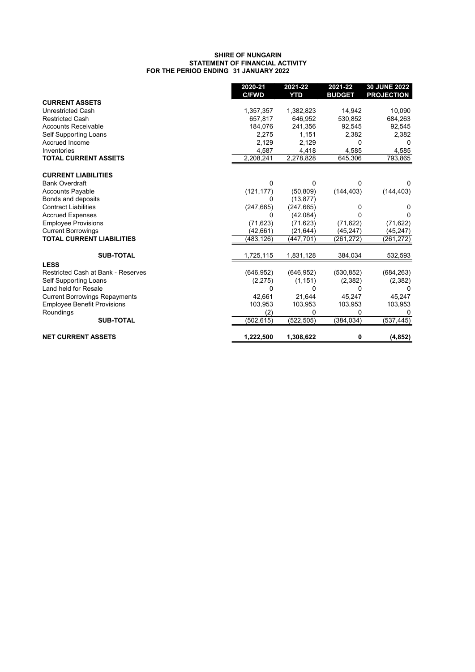#### 31 JANUARY 2022 SHIRE OF NUNGARIN STATEMENT OF FINANCIAL ACTIVITY FOR THE PERIOD ENDING

|                                      | 2020-21<br><b>C/FWD</b> | 2021-22<br><b>YTD</b> | 2021-22<br><b>BUDGET</b> | <b>30 JUNE 2022</b><br><b>PROJECTION</b> |
|--------------------------------------|-------------------------|-----------------------|--------------------------|------------------------------------------|
| <b>CURRENT ASSETS</b>                |                         |                       |                          |                                          |
| <b>Unrestricted Cash</b>             | 1,357,357               | 1,382,823             | 14,942                   | 10,090                                   |
| <b>Restricted Cash</b>               | 657,817                 | 646,952               | 530,852                  | 684,263                                  |
| <b>Accounts Receivable</b>           | 184,076                 | 241,356               | 92,545                   | 92,545                                   |
| Self Supporting Loans                | 2,275                   | 1,151                 | 2,382                    | 2,382                                    |
| Accrued Income                       | 2,129                   | 2,129                 | 0                        | $\Omega$                                 |
| Inventories                          | 4,587                   | 4,418                 | 4,585                    | 4,585                                    |
| <b>TOTAL CURRENT ASSETS</b>          | 2,208,241               | 2,278,828             | 645,306                  | 793,865                                  |
| <b>CURRENT LIABILITIES</b>           |                         |                       |                          |                                          |
| <b>Bank Overdraft</b>                | 0                       | 0                     | $\Omega$                 | 0                                        |
| <b>Accounts Payable</b>              | (121, 177)              | (50, 809)             | (144, 403)               | (144, 403)                               |
| Bonds and deposits                   | 0                       | (13, 877)             |                          |                                          |
| <b>Contract Liabilities</b>          | (247, 665)              | (247, 665)            | 0                        | 0                                        |
| <b>Accrued Expenses</b>              | 0                       | (42,084)              | 0                        | 0                                        |
| <b>Employee Provisions</b>           | (71, 623)               | (71, 623)             | (71, 622)                | (71, 622)                                |
| <b>Current Borrowings</b>            | (42,661)                | (21, 644)             | (45, 247)                | (45, 247)                                |
| <b>TOTAL CURRENT LIABILITIES</b>     | (483,126)               | (447,701)             | (261, 272)               | (261,272)                                |
| <b>SUB-TOTAL</b>                     | 1,725,115               | 1,831,128             | 384,034                  | 532,593                                  |
| <b>LESS</b>                          |                         |                       |                          |                                          |
| Restricted Cash at Bank - Reserves   | (646, 952)              | (646, 952)            | (530, 852)               | (684, 263)                               |
| Self Supporting Loans                | (2,275)                 | (1, 151)              | (2,382)                  | (2,382)                                  |
| Land held for Resale                 | 0                       | 0                     | 0                        | $\mathbf{U}$                             |
| <b>Current Borrowings Repayments</b> | 42,661                  | 21,644                | 45,247                   | 45,247                                   |
| <b>Employee Benefit Provisions</b>   | 103,953                 | 103,953               | 103,953                  | 103,953                                  |
| Roundings                            | (2)                     | 0                     | 0                        | 0                                        |
| <b>SUB-TOTAL</b>                     | (502,615)               | (522,505)             | (384, 034)               | (537, 445)                               |
| <b>NET CURRENT ASSETS</b>            | 1,222,500               | 1,308,622             | 0                        | (4, 852)                                 |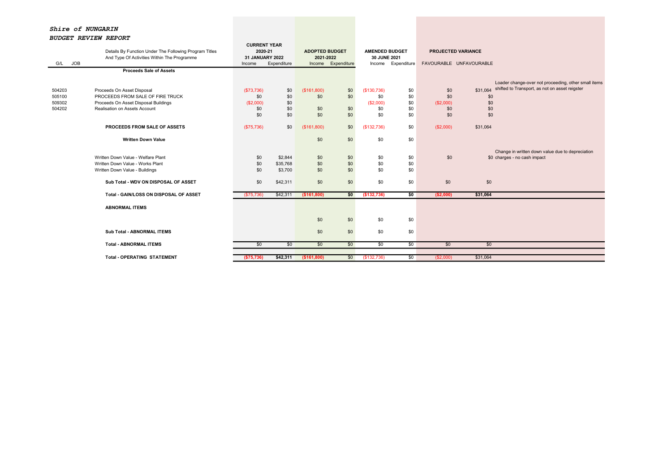Shire of NUNGARIN

# BUDGET REVIEW REPORT

|                   |                                                        |                 | <b>CURRENT YEAR</b> |                       |                    |                       |                    |                           |          |                                                      |
|-------------------|--------------------------------------------------------|-----------------|---------------------|-----------------------|--------------------|-----------------------|--------------------|---------------------------|----------|------------------------------------------------------|
|                   | Details By Function Under The Following Program Titles | 2020-21         |                     | <b>ADOPTED BUDGET</b> |                    | <b>AMENDED BUDGET</b> |                    | <b>PROJECTED VARIANCE</b> |          |                                                      |
|                   | And Type Of Activities Within The Programme            | 31 JANUARY 2022 |                     | 2021-2022             |                    | 30 JUNE 2021          |                    |                           |          |                                                      |
| <b>JOB</b><br>G/L |                                                        | Income          | Expenditure         |                       | Income Expenditure |                       | Income Expenditure | FAVOURABLE UNFAVOURABLE   |          |                                                      |
|                   | <b>Proceeds Sale of Assets</b>                         |                 |                     |                       |                    |                       |                    |                           |          |                                                      |
|                   |                                                        |                 |                     |                       |                    |                       |                    |                           |          |                                                      |
|                   |                                                        |                 |                     |                       |                    |                       |                    |                           |          | Loader change-over not proceeding, other small items |
| 504203            | Proceeds On Asset Disposal                             | (\$73,736)      | \$0                 | (\$161,800)           | \$0                | (\$130,736)           | \$0                | \$0                       | \$31.064 | shifted to Transport, as not on asset reigster       |
| 505100            | PROCEEDS FROM SALE OF FIRE TRUCK                       | \$0             | \$0                 | \$0                   | \$0                | \$0                   | \$0                | \$0                       | \$0      |                                                      |
| 509302            | Proceeds On Asset Disposal Buildings                   | (\$2,000)       | \$0                 |                       |                    | (S2,000)              | \$0                | (\$2,000)                 | \$0      |                                                      |
| 504202            | Realisation on Assets Account                          | \$0             | \$0                 | \$0                   | \$0                | \$0                   | \$0                | \$0                       | \$0      |                                                      |
|                   |                                                        | \$0             | \$0                 | \$0                   | \$0                | \$0                   | \$0                | \$0                       | \$0      |                                                      |
|                   |                                                        |                 |                     |                       |                    |                       |                    |                           |          |                                                      |
|                   | <b>PROCEEDS FROM SALE OF ASSETS</b>                    | (\$75,736)      | \$0                 | (\$161,800)           | \$0                | (\$132,736)           | \$0                | (\$2,000)                 | \$31,064 |                                                      |
|                   |                                                        |                 |                     |                       |                    |                       |                    |                           |          |                                                      |
|                   | <b>Written Down Value</b>                              |                 |                     | \$0                   | \$0                | \$0                   | \$0                |                           |          |                                                      |
|                   |                                                        |                 |                     |                       |                    |                       |                    |                           |          |                                                      |
|                   |                                                        |                 |                     |                       |                    |                       |                    |                           |          | Change in written down value due to depreciation     |
|                   | Written Down Value - Welfare Plant                     | \$0             | \$2,844             | \$0                   | \$0                | \$0                   | \$0                | \$0                       |          | \$0 charges - no cash impact                         |
|                   | Written Down Value - Works Plant                       | \$0             | \$35,768            | \$0                   | \$0                | \$0                   | \$0                |                           |          |                                                      |
|                   | Written Down Value - Buildings                         | \$0             | \$3,700             | \$0                   | \$0                | \$0                   | \$0                |                           |          |                                                      |
|                   |                                                        |                 |                     |                       |                    |                       |                    |                           |          |                                                      |
|                   | Sub Total - WDV ON DISPOSAL OF ASSET                   | \$0             | \$42,311            | \$0                   | \$0                | \$0                   | \$0                | \$0                       | \$0      |                                                      |
|                   |                                                        |                 |                     |                       |                    |                       |                    |                           |          |                                                      |
|                   | Total - GAIN/LOSS ON DISPOSAL OF ASSET                 | (\$75,736)      | \$42,311            | (\$161,800)           | \$0                | (\$132,736)           | 50                 | (\$2,000)                 | \$31,064 |                                                      |
|                   |                                                        |                 |                     |                       |                    |                       |                    |                           |          |                                                      |
|                   | <b>ABNORMAL ITEMS</b>                                  |                 |                     |                       |                    |                       |                    |                           |          |                                                      |
|                   |                                                        |                 |                     |                       |                    |                       |                    |                           |          |                                                      |
|                   |                                                        |                 |                     | \$0                   | \$0                | \$0                   | \$0                |                           |          |                                                      |
|                   |                                                        |                 |                     |                       |                    |                       |                    |                           |          |                                                      |
|                   | <b>Sub Total - ABNORMAL ITEMS</b>                      |                 |                     | \$0                   | \$0                | \$0                   | \$0                |                           |          |                                                      |
|                   |                                                        |                 |                     |                       |                    | \$0                   |                    |                           |          |                                                      |
|                   | <b>Total - ABNORMAL ITEMS</b>                          | \$0             | \$0                 | \$0                   | \$0                |                       | \$0                | \$0                       | \$0      |                                                      |
|                   |                                                        |                 |                     |                       |                    |                       |                    |                           |          |                                                      |
|                   | <b>Total - OPERATING STATEMENT</b>                     | (\$75,736)      | \$42,311            | (\$161,800)           | \$0                | (\$132,736)           | \$0                | (S2,000)                  | \$31,064 |                                                      |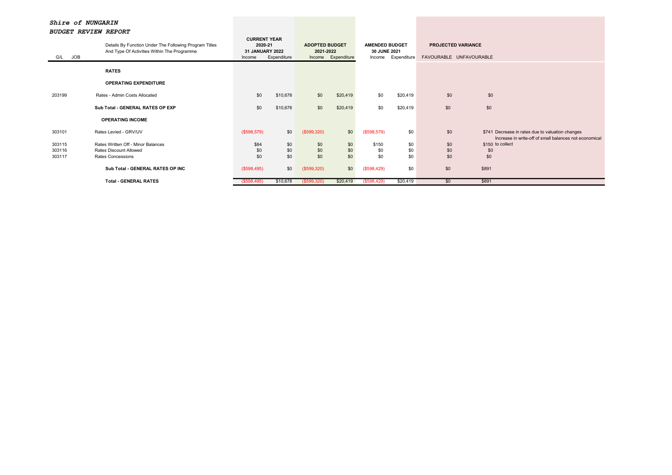| G/L JOB | Details By Function Under The Following Program Titles<br>And Type Of Activities Within The Programme | <b>CURRENT YEAR</b><br>2020-21<br>31 JANUARY 2022<br>Income | Expenditure | <b>ADOPTED BUDGET</b><br>2021-2022 | Income Expenditure | <b>AMENDED BUDGET</b><br>30 JUNE 2021<br>Income | Expenditure | <b>PROJECTED VARIANCE</b><br>FAVOURABLE UNFAVOURABLE |                                                                                                            |
|---------|-------------------------------------------------------------------------------------------------------|-------------------------------------------------------------|-------------|------------------------------------|--------------------|-------------------------------------------------|-------------|------------------------------------------------------|------------------------------------------------------------------------------------------------------------|
|         | <b>RATES</b>                                                                                          |                                                             |             |                                    |                    |                                                 |             |                                                      |                                                                                                            |
|         | <b>OPERATING EXPENDITURE</b>                                                                          |                                                             |             |                                    |                    |                                                 |             |                                                      |                                                                                                            |
| 203199  | Rates - Admin Costs Allocated                                                                         | \$0                                                         | \$10,678    | \$0                                | \$20,419           | \$0                                             | \$20,419    | \$0                                                  | \$0                                                                                                        |
|         | Sub Total - GENERAL RATES OP EXP                                                                      | \$0                                                         | \$10,678    | \$0                                | \$20,419           | \$0                                             | \$20,419    | \$0                                                  | \$0                                                                                                        |
|         | <b>OPERATING INCOME</b>                                                                               |                                                             |             |                                    |                    |                                                 |             |                                                      |                                                                                                            |
| 303101  | Rates Levied - GRV/UV                                                                                 | (\$598,579)                                                 | \$0         | (\$599,320)                        | \$0                | (\$598,579)                                     | \$0         | \$0                                                  | \$741 Decrease in rates due to valuation changes<br>Increase in write-off of small balances not economical |
| 303115  | Rates Written Off - Minor Balances                                                                    | \$84                                                        | \$0         | \$0                                | \$0                | \$150                                           | \$0         | \$0                                                  | \$150 to collect                                                                                           |
| 303116  | Rates Discount Allowed                                                                                | \$0                                                         | \$0         | \$0                                | \$0                | \$0                                             | \$0         | \$0                                                  | \$0                                                                                                        |
| 303117  | Rates Concessions                                                                                     | \$0                                                         | \$0         | \$0                                | \$0                | \$0                                             | \$0         | \$0                                                  | \$0                                                                                                        |
|         | Sub Total - GENERAL RATES OP INC                                                                      | (\$598,495)                                                 | \$0         | (\$599,320)                        | \$0                | (\$598,429)                                     | \$0         | \$0                                                  | \$891                                                                                                      |
|         | <b>Total - GENERAL RATES</b>                                                                          | (\$598,495)                                                 | \$10,678    | (\$599,320)                        | \$20,419           | (\$598,429)                                     | \$20,419    | \$0                                                  | \$891                                                                                                      |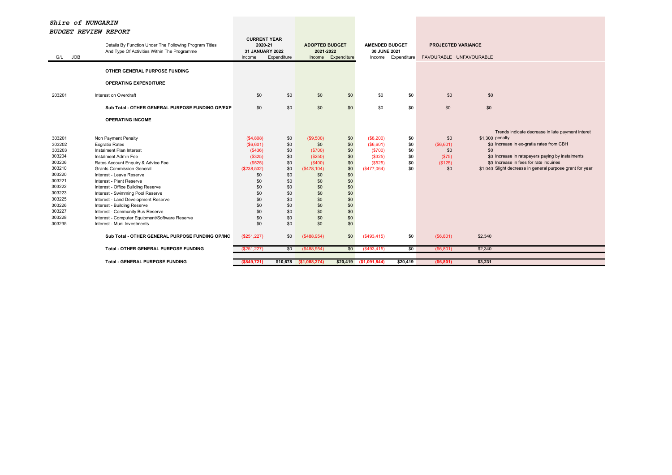| <b>JOB</b><br>G/L | Details By Function Under The Following Program Titles<br>And Type Of Activities Within The Programme | <b>CURRENT YEAR</b><br>2020-21<br><b>31 JANUARY 2022</b><br>Income | Expenditure | <b>ADOPTED BUDGET</b><br>2021-2022 | Income Expenditure | <b>AMENDED BUDGET</b><br>30 JUNE 2021<br>Income | Expenditure | <b>PROJECTED VARIANCE</b> | FAVOURABLE UNFAVOURABLE |                                                           |
|-------------------|-------------------------------------------------------------------------------------------------------|--------------------------------------------------------------------|-------------|------------------------------------|--------------------|-------------------------------------------------|-------------|---------------------------|-------------------------|-----------------------------------------------------------|
|                   | OTHER GENERAL PURPOSE FUNDING                                                                         |                                                                    |             |                                    |                    |                                                 |             |                           |                         |                                                           |
|                   |                                                                                                       |                                                                    |             |                                    |                    |                                                 |             |                           |                         |                                                           |
|                   | <b>OPERATING EXPENDITURE</b>                                                                          |                                                                    |             |                                    |                    |                                                 |             |                           |                         |                                                           |
| 203201            | Interest on Overdraft                                                                                 | \$0                                                                | \$0         | \$0                                | \$0                | \$0                                             | \$0         | \$0                       | \$0                     |                                                           |
|                   | Sub Total - OTHER GENERAL PURPOSE FUNDING OP/EXP                                                      | \$0                                                                | \$0         | \$0                                | \$0                | \$0                                             | \$0         | \$0                       | \$0                     |                                                           |
|                   | <b>OPERATING INCOME</b>                                                                               |                                                                    |             |                                    |                    |                                                 |             |                           |                         |                                                           |
|                   |                                                                                                       |                                                                    |             |                                    |                    |                                                 |             |                           |                         | Trends indicate decrease in late payment interet          |
| 303201            | Non Payment Penalty                                                                                   | (\$4,808)                                                          | \$0         | (\$9,500)                          | \$0                | (\$8,200)                                       | \$0         | \$0                       | \$1,300 penalty         |                                                           |
| 303202            | <b>Exgratia Rates</b>                                                                                 | (S6, 601)                                                          | \$0         | \$0                                | \$0                | (\$6,601)                                       | \$0         | (\$6,601)                 |                         | \$0 Increase in ex-gratia rates from CBH                  |
| 303203            | Instalment Plan Interest                                                                              | (\$436)                                                            | \$0         | (\$700)                            | \$0                | (\$700)                                         | \$0         | \$0                       | \$0                     |                                                           |
| 303204            | Instalment Admin Fee                                                                                  | (\$325)                                                            | \$0         | (\$250)                            | \$0                | (\$325)                                         | \$0         | (S75)                     |                         | \$0 Increase in ratepayers paying by instalments          |
| 303206            | Rates Account Enquiry & Advice Fee                                                                    | (\$525)                                                            | \$0         | (\$400)                            | \$0                | (\$525)                                         | \$0         | (\$125)                   |                         | \$0 Increase in fees for rate inquiries                   |
| 303210            | <b>Grants Commission General</b>                                                                      | (\$238,532)                                                        | \$0         | (\$478,104)                        | \$0                | (\$477,064)                                     | \$0         | \$0                       |                         | \$1,040 Slight decrease in general purpose grant for year |
| 303220            | Interest - Leave Reserve                                                                              | \$0                                                                | \$0         | \$0                                | \$0                |                                                 |             |                           |                         |                                                           |
| 303221            | Interest - Plant Reserve                                                                              | \$0                                                                | \$0         | \$0                                | \$0                |                                                 |             |                           |                         |                                                           |
| 303222            | Interest - Office Building Reserve                                                                    | \$0                                                                | \$0         | \$0                                | \$0                |                                                 |             |                           |                         |                                                           |
| 303223            | Interest - Swimming Pool Reserve                                                                      | \$0                                                                | \$0         | \$0                                | \$0                |                                                 |             |                           |                         |                                                           |
| 303225            | Interest - Land Development Reserve                                                                   | \$0                                                                | \$0         | \$0                                | \$0                |                                                 |             |                           |                         |                                                           |
| 303226            | Interest - Building Reserve                                                                           | \$0                                                                | \$0         | \$0                                | \$0                |                                                 |             |                           |                         |                                                           |
| 303227            | Interest - Community Bus Reserve                                                                      | \$0                                                                | \$0         | \$0                                | \$0                |                                                 |             |                           |                         |                                                           |
| 303228            | Interest - Computer Equipment/Software Reserve                                                        | \$0                                                                | \$0         | \$0                                | \$0                |                                                 |             |                           |                         |                                                           |
| 303235            | Interest - Muni Investments                                                                           | \$0                                                                | \$0         | \$0                                | \$0                |                                                 |             |                           |                         |                                                           |
|                   | Sub Total - OTHER GENERAL PURPOSE FUNDING OP/INC                                                      | (\$251,227)                                                        | \$0         | (\$488,954)                        | \$0                | (\$493,415)                                     | \$0         | (\$6,801)                 | \$2,340                 |                                                           |
|                   | <b>Total - OTHER GENERAL PURPOSE FUNDING</b>                                                          | (\$251,227)                                                        | \$0         | $($ \$488,954)                     | \$0                | $($ \$493,415)                                  | \$0         | (S6, 801)                 | \$2,340                 |                                                           |
|                   |                                                                                                       |                                                                    |             |                                    |                    |                                                 |             |                           |                         |                                                           |
|                   | <b>Total - GENERAL PURPOSE FUNDING</b>                                                                | (\$849,721)                                                        | \$10,678    | (\$1,088,274)                      | \$20,419           | (\$1,091,844)                                   | \$20,419    | ( \$6, 801)               | \$3,231                 |                                                           |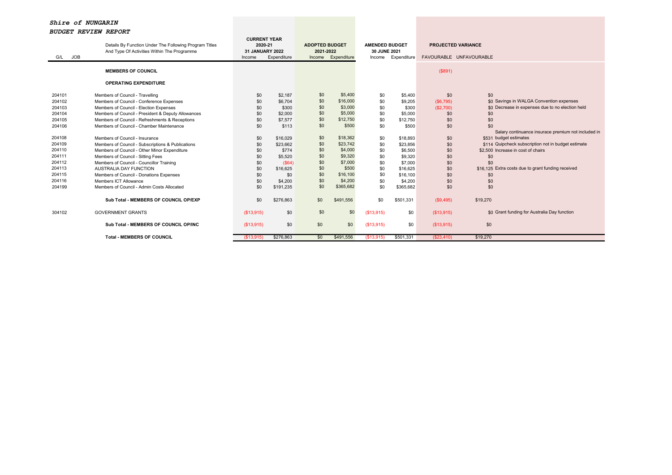| <b>JOB</b><br>G/L                                                                                                                        | Details By Function Under The Following Program Titles<br>And Type Of Activities Within The Programme                                                                                                                                                                                                                                                                                                                                                                                                                                                                                           | <b>CURRENT YEAR</b><br>2020-21<br>31 JANUARY 2022<br>Income                                    | Expenditure                                                                                                                                       | <b>ADOPTED BUDGET</b><br>2021-2022<br>Income                                                          | Expenditure                                                                                                                                                          | <b>AMENDED BUDGET</b><br>30 JUNE 2021<br>Income                                                | Expenditure                                                                                                                                             | <b>PROJECTED VARIANCE</b><br>FAVOURABLE UNFAVOURABLE                                                       |                                                                                                                                                                                                                                                                                                                                                                                          |
|------------------------------------------------------------------------------------------------------------------------------------------|-------------------------------------------------------------------------------------------------------------------------------------------------------------------------------------------------------------------------------------------------------------------------------------------------------------------------------------------------------------------------------------------------------------------------------------------------------------------------------------------------------------------------------------------------------------------------------------------------|------------------------------------------------------------------------------------------------|---------------------------------------------------------------------------------------------------------------------------------------------------|-------------------------------------------------------------------------------------------------------|----------------------------------------------------------------------------------------------------------------------------------------------------------------------|------------------------------------------------------------------------------------------------|---------------------------------------------------------------------------------------------------------------------------------------------------------|------------------------------------------------------------------------------------------------------------|------------------------------------------------------------------------------------------------------------------------------------------------------------------------------------------------------------------------------------------------------------------------------------------------------------------------------------------------------------------------------------------|
|                                                                                                                                          | <b>MEMBERS OF COUNCIL</b>                                                                                                                                                                                                                                                                                                                                                                                                                                                                                                                                                                       |                                                                                                |                                                                                                                                                   |                                                                                                       |                                                                                                                                                                      |                                                                                                |                                                                                                                                                         | (\$891)                                                                                                    |                                                                                                                                                                                                                                                                                                                                                                                          |
|                                                                                                                                          | <b>OPERATING EXPENDITURE</b>                                                                                                                                                                                                                                                                                                                                                                                                                                                                                                                                                                    |                                                                                                |                                                                                                                                                   |                                                                                                       |                                                                                                                                                                      |                                                                                                |                                                                                                                                                         |                                                                                                            |                                                                                                                                                                                                                                                                                                                                                                                          |
| 204101<br>204102<br>204103<br>204104<br>204105<br>204106<br>204108<br>204109<br>204110<br>204111<br>204112<br>204113<br>204115<br>204116 | Members of Council - Travelling<br>Members of Council - Conference Expenses<br>Members of Council - Election Expenses<br>Members of Council - President & Deputy Allowances<br>Members of Council - Refreshments & Receptions<br>Members of Council - Chamber Maintenance<br>Members of Council - Insurance<br>Members of Council - Subscriptions & Publications<br>Members of Council - Other Minor Expenditure<br>Members of Council - Sitting Fees<br>Members of Council - Councillor Training<br>AUSTRALIA DAY FUNCTION<br>Members of Council - Donations Expenses<br>Members ICT Allowance | \$0<br>\$0<br>\$0<br>\$0<br>\$0<br>\$0<br>\$0<br>\$0<br>\$0<br>\$0<br>\$0<br>\$0<br>\$0<br>\$0 | \$2,187<br>\$6,704<br>\$300<br>\$2,000<br>\$7,577<br>\$113<br>\$16,029<br>\$23,662<br>\$774<br>\$5,520<br>$($ \$64)<br>\$16,625<br>\$0<br>\$4,200 | \$0<br>\$0<br>\$0<br>\$0<br>\$0<br>\$0<br>\$0<br>\$0<br>\$0<br>\$0<br>\$0<br>\$0<br>\$0<br>\$0<br>\$0 | \$5,400<br>\$16,000<br>\$3,000<br>\$5,000<br>\$12,750<br>\$500<br>\$18,362<br>\$23,742<br>\$4,000<br>\$9,320<br>\$7,000<br>\$500<br>\$16,100<br>\$4,200<br>\$365,682 | \$0<br>\$0<br>\$0<br>\$0<br>\$0<br>\$0<br>\$0<br>\$0<br>\$0<br>\$0<br>\$0<br>\$0<br>\$0<br>\$0 | \$5,400<br>\$9,205<br>\$300<br>\$5,000<br>\$12,750<br>\$500<br>\$18,893<br>\$23,856<br>\$6,500<br>\$9,320<br>\$7,000<br>\$16,625<br>\$16,100<br>\$4,200 | \$0<br>(S6, 795)<br>(\$2,700)<br>\$0<br>\$0<br>\$0<br>\$0<br>\$0<br>\$0<br>\$0<br>\$0<br>\$0<br>\$0<br>\$0 | \$0<br>\$0 Savings in WALGA Convention expenses<br>\$0 Decrease in expenses due to no election held<br>\$0<br>\$0<br>\$0<br>Salary continuance insurace premium not included in<br>\$531 budget estimates<br>\$114 Quipcheck subscription not in budget estimate<br>\$2,500 Increase in cost of chairs<br>\$0<br>\$0<br>\$16,125 Extra costs due to grant funding received<br>\$0<br>\$0 |
| 204199                                                                                                                                   | Members of Council - Admin Costs Allocated<br>Sub Total - MEMBERS OF COUNCIL OP/EXP                                                                                                                                                                                                                                                                                                                                                                                                                                                                                                             | \$0<br>\$0                                                                                     | \$191,235<br>\$276,863                                                                                                                            | \$0                                                                                                   | \$491,556                                                                                                                                                            | \$0<br>\$0                                                                                     | \$365,682<br>\$501,331                                                                                                                                  | \$0<br>(S9, 495)                                                                                           | \$0<br>\$19,270                                                                                                                                                                                                                                                                                                                                                                          |
| 304102                                                                                                                                   | <b>GOVERNMENT GRANTS</b>                                                                                                                                                                                                                                                                                                                                                                                                                                                                                                                                                                        | (\$13,915)                                                                                     | \$0                                                                                                                                               | \$0                                                                                                   | \$0                                                                                                                                                                  | (S13, 915)                                                                                     | \$0                                                                                                                                                     | (\$13,915)                                                                                                 | \$0 Grant funding for Australia Day function                                                                                                                                                                                                                                                                                                                                             |
|                                                                                                                                          | Sub Total - MEMBERS OF COUNCIL OP/INC                                                                                                                                                                                                                                                                                                                                                                                                                                                                                                                                                           | (\$13,915)                                                                                     | \$0                                                                                                                                               | \$0                                                                                                   | \$0                                                                                                                                                                  | (S13, 915)                                                                                     | \$0                                                                                                                                                     | (\$13,915)                                                                                                 | \$0                                                                                                                                                                                                                                                                                                                                                                                      |
|                                                                                                                                          | <b>Total - MEMBERS OF COUNCIL</b>                                                                                                                                                                                                                                                                                                                                                                                                                                                                                                                                                               | (\$13,915)                                                                                     | \$276,863                                                                                                                                         | \$0                                                                                                   | \$491,556                                                                                                                                                            | (\$13,915)                                                                                     | \$501,331                                                                                                                                               | (\$23,410)                                                                                                 | \$19,270                                                                                                                                                                                                                                                                                                                                                                                 |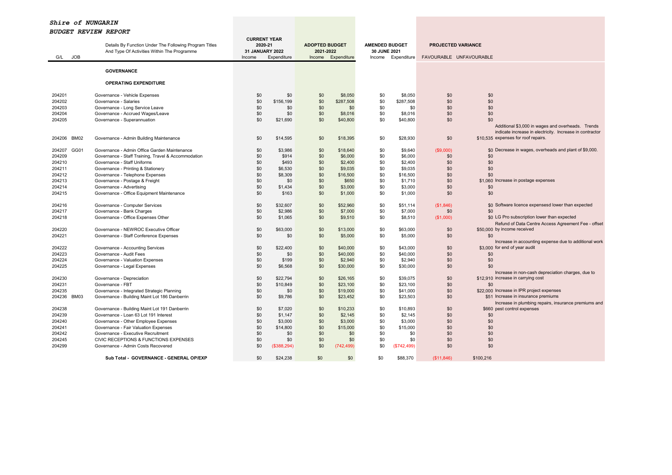|                   | Details By Function Under The Following Program Titles | <b>CURRENT YEAR</b><br>2020-21 |             | <b>ADOPTED BUDGET</b> |                      | <b>AMENDED BUDGET</b> |                      | <b>PROJECTED VARIANCE</b> |                                                          |
|-------------------|--------------------------------------------------------|--------------------------------|-------------|-----------------------|----------------------|-----------------------|----------------------|---------------------------|----------------------------------------------------------|
|                   | And Type Of Activities Within The Programme            | 31 JANUARY 2022                |             | 2021-2022             |                      | 30 JUNE 2021          |                      |                           |                                                          |
| <b>JOB</b><br>G/L |                                                        | Income                         | Expenditure | Income                | Expenditure          |                       | Income Expenditure   | FAVOURABLE UNFAVOURABLE   |                                                          |
|                   | <b>GOVERNANCE</b>                                      |                                |             |                       |                      |                       |                      |                           |                                                          |
|                   | <b>OPERATING EXPENDITURE</b>                           |                                |             |                       |                      |                       |                      |                           |                                                          |
| 204201            |                                                        | \$0                            | \$0         | \$0                   |                      |                       |                      | \$0                       | \$0                                                      |
| 204202            | Governance - Vehicle Expenses<br>Governance - Salaries | \$0                            | \$156,199   | \$0                   | \$8,050<br>\$287,508 | \$0<br>\$0            | \$8,050<br>\$287,508 | \$0                       | \$0                                                      |
| 204203            | Governance - Long Service Leave                        | \$0                            | \$0         | \$0                   | \$0                  | \$0                   | \$0                  | \$0                       | \$0                                                      |
| 204204            | Governance - Accrued Wages/Leave                       | \$0                            | \$0         | \$0                   | \$8,016              | \$0                   | \$8,016              | \$0                       | \$0                                                      |
| 204205            | Governance - Superannuation                            | \$0                            | \$21,690    | \$0                   | \$40,800             | \$0                   | \$40,800             | \$0                       | \$0                                                      |
|                   |                                                        |                                |             |                       |                      |                       |                      |                           | Additional \$3,000 in wages and overheads. Trends        |
|                   |                                                        |                                |             |                       |                      |                       |                      |                           | indicate increase in electricity. Increase in contractor |
| 204206 BM02       | Governance - Admin Building Maintenance                | \$0                            | \$14,595    | \$0                   | \$18,395             | \$0                   | \$28,930             | \$0                       | \$10,535 expenses for roof repairs.                      |
|                   |                                                        |                                |             |                       |                      |                       |                      |                           |                                                          |
| 204207<br>GG01    | Governance - Admin Office Garden Maintenance           | \$0                            | \$3.986     | \$0                   | \$18,640             | \$0                   | \$9,640              | (\$9,000)                 | \$0 Decrease in wages, overheads and plant of \$9,000.   |
| 204209            | Governance - Staff Training, Travel & Accommodation    | \$0                            | \$914       | \$0                   | \$6,000              | \$0                   | \$6,000              | \$0                       | \$0                                                      |
| 204210            | Governance - Staff Uniforms                            | \$0                            | \$493       | \$0                   | \$2,400              | \$0                   | \$2,400              | \$0                       | \$0                                                      |
| 204211            | Governance - Printing & Stationery                     | \$0                            | \$6,530     | \$0                   | \$9,035              | \$0                   | \$9,035              | \$0                       | \$0                                                      |
| 204212            | Governance - Telephone Expenses                        | \$0                            | \$8,309     | \$0                   | \$16,500             | \$0                   | \$16,500             | \$0                       | \$0                                                      |
| 204213            | Governance - Postage & Freight                         | \$0                            | \$0         | \$0                   | \$650                | \$0                   | \$1,710              | \$0                       | \$1,060 Increase in postage expenses                     |
| 204214            | Governance - Advertising                               | \$0                            | \$1,434     | \$0                   | \$3,000              | \$0                   | \$3,000              | \$0                       | \$0                                                      |
| 204215            | Governance - Office Equipment Maintenance              | \$0                            | \$163       | \$0                   | \$1,000              | \$0                   | \$1,000              | \$0                       | \$0                                                      |
|                   |                                                        |                                |             |                       |                      |                       |                      |                           |                                                          |
| 204216            | Governance - Computer Services                         | \$0                            | \$32.607    | \$0                   | \$52,960             | \$0                   | \$51,114             | (S1, 846)                 | \$0 Software licence expensesd lower than expected       |
| 204217            | Governance - Bank Charges                              | \$0                            | \$2,986     | \$0                   | \$7,000              | \$0                   | \$7,000              | \$0                       | \$0                                                      |
| 204218            | Governance - Office Expenses Other                     | \$0                            | \$1,065     | \$0                   | \$9,510              | \$0                   | \$8,510              | (\$1,000)                 | \$0 LG Pro subscription lower than expected              |
|                   |                                                        |                                |             |                       |                      |                       |                      |                           | Refund of Data Centre Access Agreement Fee - offset      |
| 204220            | Governance - NEWROC Executive Officer                  | \$0                            | \$63,000    | \$0                   | \$13,000             | \$0                   | \$63,000             | \$0                       | \$50,000 by income received                              |
| 204221            | Governance - Staff Conference Expenses                 | \$0                            | \$0         | \$0                   | \$5,000              | \$0                   | \$5,000              | \$0                       | \$0                                                      |
|                   |                                                        |                                |             |                       |                      |                       |                      |                           | Increase in accounting expense due to additional work    |
| 204222            | Governance - Accounting Services                       | \$0                            | \$22,400    | \$0                   | \$40,000             | \$0                   | \$43,000             | \$0                       | \$3,000 for end of year audit                            |
| 204223            | Governance - Audit Fees                                | \$0                            | \$0         | \$0                   | \$40,000             | \$0                   | \$40,000             | \$0                       | \$0                                                      |
| 204224            | Governance - Valuation Expenses                        | \$0                            | \$199       | \$0                   | \$2,940              | \$0                   | \$2,940              | \$0                       | \$0                                                      |
| 204225            | Governance - Legal Expenses                            | \$0                            | \$6,568     | \$0                   | \$30,000             | \$0                   | \$30,000             | \$0                       | \$0                                                      |
|                   |                                                        |                                |             |                       |                      |                       |                      |                           | Increase in non-cash depreciation charges, due to        |
| 204230            | Governance - Depreciation                              | \$0                            | \$22,794    | \$0                   | \$26,165             | \$0                   | \$39,075             | \$0                       | \$12,910 increase in carrying cost                       |
| 204231            | Governance - FBT                                       | \$0                            | \$10,849    | \$0                   | \$23,100             | \$0                   | \$23,100             | \$0                       | \$0                                                      |
| 204235            | Governance - Integrated Strategic Planning             | \$0                            | \$0         | \$0                   | \$19,000             | \$0                   | \$41,000             | \$0                       | \$22,000 Increase in IPR project expenses                |
| 204236<br>BM03    | Governance - Building Maint Lot 186 Danberrin          | \$0                            | \$9,786     | \$0                   | \$23,452             | \$0                   | \$23,503             | \$0                       | \$51 Increase in insurance premiums                      |
|                   |                                                        |                                |             |                       |                      |                       |                      |                           | Increase in plumbing repairs, insurance premiums and     |
| 204238            | Governance - Building Maint Lot 191 Danberrin          | \$0                            | \$7,020     | \$0                   | \$10,233             | \$0                   | \$10.893             | \$0                       | \$660 pest control expenses                              |
| 204239            | Governance - Loan 63 Lot 191 Interest                  | \$0                            | \$1,147     | \$0                   | \$2,145              | \$0                   | \$2,145              | \$0                       | \$0                                                      |
| 204240            | Governance - Other Employee Expenses                   | \$0                            | \$3,000     | \$0                   | \$3,000              | \$0                   | \$3,000              | \$0                       | \$0                                                      |
| 204241            | Governance - Fair Valuation Expenses                   | \$0                            | \$14,800    | \$0                   | \$15,000             | \$0                   | \$15,000             | \$0                       | \$0                                                      |
| 204242            | Governance - Executive Recruitment                     | \$0                            | \$0         | \$0                   | \$0                  | \$0                   | \$0                  | \$0                       | \$0                                                      |
| 204245            | CIVIC RECEPTIONS & FUNCTIONS EXPENSES                  | \$0                            | \$0         | \$0                   | \$0                  | \$0                   | \$0                  | \$0                       | \$0                                                      |
| 204299            | Governance - Admin Costs Recovered                     | \$0                            | (\$388,294) | \$0                   | (742, 499)           | \$0                   | (\$742,499)          | \$0                       | \$0                                                      |
|                   |                                                        |                                |             |                       |                      |                       |                      |                           |                                                          |
|                   | Sub Total - GOVERNANCE - GENERAL OP/EXP                | \$0                            | \$24.238    | \$0                   | \$0                  | \$0                   | \$88,370             | (\$11,846)                | \$100.216                                                |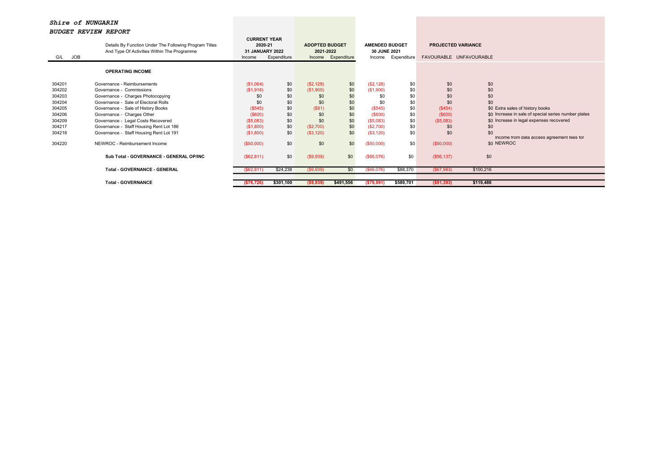| <b>JOB</b><br>G/L | Details By Function Under The Following Program Titles<br>And Type Of Activities Within The Programme<br><b>OPERATING INCOME</b> | <b>CURRENT YEAR</b><br>2020-21<br><b>31 JANUARY 2022</b><br>Income | Expenditure | <b>ADOPTED BUDGET</b><br>2021-2022 | Income Expenditure | <b>AMENDED BUDGET</b><br>30 JUNE 2021<br>Income | Expenditure | <b>PROJECTED VARIANCE</b><br>FAVOURABLE UNFAVOURABLE |                                                      |
|-------------------|----------------------------------------------------------------------------------------------------------------------------------|--------------------------------------------------------------------|-------------|------------------------------------|--------------------|-------------------------------------------------|-------------|------------------------------------------------------|------------------------------------------------------|
|                   |                                                                                                                                  |                                                                    |             |                                    |                    |                                                 |             |                                                      |                                                      |
| 304201            | Governance - Reimbursements                                                                                                      | (\$1,064)                                                          | \$0         | (\$2,128)                          | \$0                | (\$2,128)                                       | \$0         | \$0                                                  | \$0                                                  |
| 304202            | Governance - Commissions                                                                                                         | (\$1,918)                                                          | \$0         | (\$1,900)                          | \$0                | (\$1,900)                                       | \$0         | \$0                                                  | \$0                                                  |
| 304203            | Governance - Charges Photocopying                                                                                                | \$0                                                                | \$0         | \$0                                | \$0                | \$0                                             | \$0         | \$0                                                  | \$0                                                  |
| 304204            | Governance - Sale of Electoral Rolls                                                                                             | \$0                                                                | \$0         | \$0                                | \$0                | \$0                                             | \$0         | \$0                                                  | \$0                                                  |
| 304205            | Governance - Sale of History Books                                                                                               | (\$545)                                                            | \$0         | (S91)                              | \$0                | (\$545)                                         | \$0         | (\$454)                                              | \$0 Extra sales of history books                     |
| 304206            | Governance - Charges Other                                                                                                       | $($ \$600)                                                         | \$0         | \$0                                | \$0                | $($ \$600)                                      | \$0         | (\$600)                                              | \$0 Increase in sale of special series number plates |
| 304209            | Governance - Legal Costs Recovered                                                                                               | (\$5,083)                                                          | \$0         | \$0                                | \$0                | (\$5,083)                                       | \$0         | (\$5,083)                                            | \$0 Increase in legal expenses recovered             |
| 304217            | Governance - Staff Housing Rent Lot 186                                                                                          | (\$1,800)                                                          | \$0         | (\$2,700)                          | \$0                | (\$2,700)                                       | \$0         | \$0                                                  | \$0                                                  |
| 304218            | Governance - Staff Housing Rent Lot 191                                                                                          | (\$1,800)                                                          | \$0         | (\$3,120)                          | \$0                | (\$3,120)                                       | \$0         | \$0                                                  | \$0<br>Income from data access agreement fees for    |
| 304220            | NEWROC - Reimbursement Income                                                                                                    | (\$50,000)                                                         | \$0         | \$0                                | \$0                | (\$50,000)                                      | \$0         | (\$50,000)                                           | \$0 NEWROC                                           |
|                   | Sub Total - GOVERNANCE - GENERAL OP/INC                                                                                          | (\$62, 811)                                                        | \$0         | (\$9,939)                          | \$0                | (\$66,076)                                      | \$0         | (\$56,137)                                           | \$0                                                  |
|                   | <b>Total - GOVERNANCE - GENERAL</b>                                                                                              | (\$62, 811)                                                        | \$24,238    | (\$9,939)                          | \$0                | ( \$66,076)                                     | \$88,370    | ( \$67, 983)                                         | \$100,216                                            |
|                   |                                                                                                                                  |                                                                    |             |                                    |                    |                                                 |             |                                                      |                                                      |
|                   | <b>Total - GOVERNANCE</b>                                                                                                        | (\$76,726)                                                         | \$301,100   | (\$9,939)                          | \$491,556          | ( \$79,991)                                     | \$589,701   | ( \$91, 393)                                         | \$119,486                                            |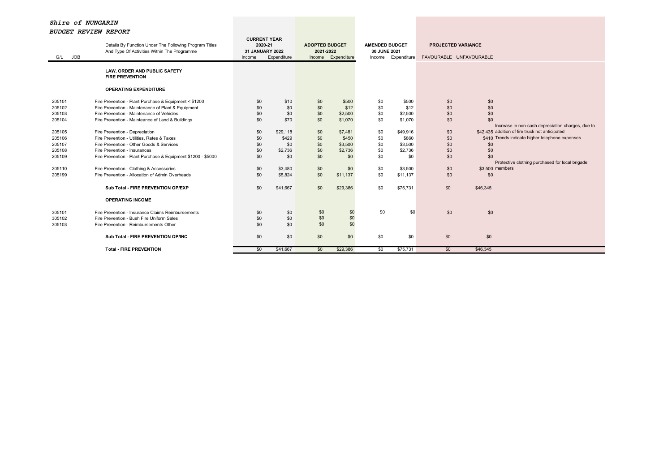| <b>JOB</b><br>G/L | Details By Function Under The Following Program Titles<br>And Type Of Activities Within The Programme | <b>CURRENT YEAR</b><br>2020-21<br>31 JANUARY 2022<br>Income | Expenditure | <b>ADOPTED BUDGET</b><br>2021-2022 | Income Expenditure | <b>AMENDED BUDGET</b><br>30 JUNE 2021<br>Income | Expenditure     | <b>PROJECTED VARIANCE</b><br>FAVOURABLE UNFAVOURABLE |                                                   |
|-------------------|-------------------------------------------------------------------------------------------------------|-------------------------------------------------------------|-------------|------------------------------------|--------------------|-------------------------------------------------|-----------------|------------------------------------------------------|---------------------------------------------------|
|                   | LAW, ORDER AND PUBLIC SAFETY<br><b>FIRE PREVENTION</b>                                                |                                                             |             |                                    |                    |                                                 |                 |                                                      |                                                   |
|                   | <b>OPERATING EXPENDITURE</b>                                                                          |                                                             |             |                                    |                    |                                                 |                 |                                                      |                                                   |
| 205101            | Fire Prevention - Plant Purchase & Equipment < \$1200                                                 | \$0                                                         | \$10        | \$0                                | \$500              | \$0                                             | \$500           | \$0                                                  | \$0                                               |
| 205102<br>205103  | Fire Prevention - Maintenance of Plant & Equipment<br>Fire Prevention - Maintenance of Vehicles       | \$0<br>\$0                                                  | \$0<br>\$0  | \$0<br>\$0                         | \$12<br>\$2,500    | \$0<br>\$0                                      | \$12<br>\$2,500 | \$0<br>\$0                                           | \$0<br>\$0                                        |
| 205104            | Fire Prevention - Mainteance of Land & Buildings                                                      | \$0                                                         | \$70        | \$0                                | \$1,070            | \$0                                             | \$1,070         | \$0                                                  | \$0                                               |
|                   |                                                                                                       |                                                             |             |                                    |                    |                                                 |                 |                                                      | Increase in non-cash depreciation charges, due to |
| 205105            | Fire Prevention - Depreciation                                                                        | \$0                                                         | \$29,118    | \$0                                | \$7,481            | \$0                                             | \$49,916        | \$0                                                  | \$42,435 addition of fire truck not anticipated   |
| 205106            | Fire Prevention - Utilities, Rates & Taxes                                                            | \$0                                                         | \$429       | \$0                                | \$450              | \$0                                             | \$860           | \$0                                                  | \$410 Trends indicate higher telephone expenses   |
| 205107            | Fire Prevention - Other Goods & Services                                                              | \$0                                                         | \$0         | \$0                                | \$3,500            | \$0                                             | \$3,500         | \$0                                                  | \$0                                               |
| 205108            | Fire Prevention - Insurances                                                                          | \$0                                                         | \$2,736     | \$0                                | \$2,736            | \$0                                             | \$2,736         | \$0                                                  | \$0                                               |
| 205109            | Fire Prevention - Plant Purchase & Equipment \$1200 - \$5000                                          | \$0                                                         | \$0         | \$0                                | \$0                | \$0                                             | \$0             | \$0                                                  | \$0                                               |
|                   |                                                                                                       |                                                             |             |                                    |                    |                                                 |                 |                                                      | Protective clothing purchased for local brigade   |
| 205110            | Fire Prevention - Clothing & Accessories                                                              | \$0                                                         | \$3,480     | \$0                                | \$0                | \$0                                             | \$3,500         | \$0                                                  | \$3,500 members                                   |
| 205199            | Fire Prevention - Allocation of Admin Overheads                                                       | \$0                                                         | \$5,824     | \$0                                | \$11,137           | \$0                                             | \$11,137        | \$0                                                  | \$0                                               |
|                   | Sub Total - FIRE PREVENTION OP/EXP                                                                    | \$0                                                         | \$41,667    | \$0                                | \$29,386           | \$0                                             | \$75,731        | \$0                                                  | \$46,345                                          |
|                   | <b>OPERATING INCOME</b>                                                                               |                                                             |             |                                    |                    |                                                 |                 |                                                      |                                                   |
| 305101            | Fire Prevention - Insurance Claims Reimbursements                                                     | \$0                                                         | \$0         | \$0                                | \$0                | \$0                                             | \$0             | \$0                                                  | \$0                                               |
| 305102            | Fire Prevention - Bush Fire Uniform Sales                                                             | \$0                                                         | \$0         | \$0                                | \$0                |                                                 |                 |                                                      |                                                   |
| 305103            | Fire Prevention - Reimbursements Other                                                                | \$0                                                         | \$0         | \$0                                | \$0                |                                                 |                 |                                                      |                                                   |
|                   | Sub Total - FIRE PREVENTION OP/INC                                                                    | \$0                                                         | \$0         | \$0                                | \$0                | \$0                                             | \$0             | \$0                                                  | \$0                                               |
|                   | <b>Total - FIRE PREVENTION</b>                                                                        | \$0                                                         | \$41,667    | \$0                                | \$29,386           | $\overline{50}$                                 | \$75,731        | \$0                                                  | \$46,345                                          |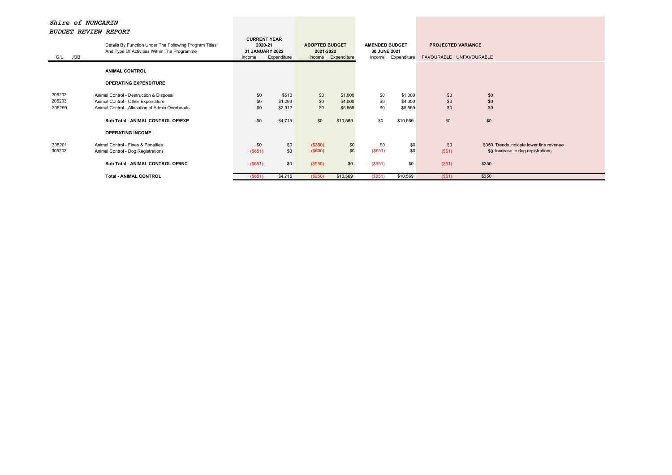| G/L JOB                    | Details By Function Under The Following Program Titles<br>And Type Of Activities Within The Programme                                                                | <b>CURRENT YEAR</b><br>2020-21<br>31 JANUARY 2022<br>Income | Expenditure                            | <b>ADOPTED BUDGET</b><br>2021-2022 | Income Expenditure                        | <b>AMENDED BUDGET</b><br>30 JUNE 2021<br>Income | Expenditure                               | <b>PROJECTED VARIANCE</b><br>FAVOURABLE UNFAVOURABLE |                                                                                        |
|----------------------------|----------------------------------------------------------------------------------------------------------------------------------------------------------------------|-------------------------------------------------------------|----------------------------------------|------------------------------------|-------------------------------------------|-------------------------------------------------|-------------------------------------------|------------------------------------------------------|----------------------------------------------------------------------------------------|
|                            | <b>ANIMAL CONTROL</b>                                                                                                                                                |                                                             |                                        |                                    |                                           |                                                 |                                           |                                                      |                                                                                        |
|                            | <b>OPERATING EXPENDITURE</b>                                                                                                                                         |                                                             |                                        |                                    |                                           |                                                 |                                           |                                                      |                                                                                        |
| 205202<br>205203<br>205299 | Animal Control - Destruction & Disposal<br>Animal Control - Other Expenditure<br>Animal Control - Allocation of Admin Overheads<br>Sub Total - ANIMAL CONTROL OP/EXP | \$0<br>\$0<br>\$0<br>\$0                                    | \$510<br>\$1,293<br>\$2,912<br>\$4,715 | \$0<br>\$0<br>\$0<br>\$0           | \$1,000<br>\$4,000<br>\$5,569<br>\$10,569 | \$0<br>\$0<br>\$0<br>\$0                        | \$1,000<br>\$4,000<br>\$5,569<br>\$10,569 | \$0<br>\$0<br>\$0<br>\$0                             | \$0<br>\$0<br>\$0<br>\$0                                                               |
|                            | <b>OPERATING INCOME</b>                                                                                                                                              |                                                             |                                        |                                    |                                           |                                                 |                                           |                                                      |                                                                                        |
| 305201<br>305203           | Animal Control - Fines & Penalties<br>Animal Control - Dog Registrations<br>Sub Total - ANIMAL CONTROL OP/INC                                                        | \$0<br>(\$651)<br>(\$651)                                   | \$0<br>\$0<br>\$0                      | (\$350)<br>(\$600)<br>(\$950)      | \$0<br>\$0<br>\$0                         | \$0<br>(\$651)<br>(\$651)                       | \$0<br>\$0<br>\$0                         | \$0<br>(S51)<br>(\$51)                               | \$350 Trends indicate lower fine revenue<br>\$0 Increase in dog registrations<br>\$350 |
|                            | <b>Total - ANIMAL CONTROL</b>                                                                                                                                        | ( \$651)                                                    | \$4,715                                | (\$950)                            | \$10,569                                  | (\$651)                                         | \$10,569                                  | (S51)                                                | \$350                                                                                  |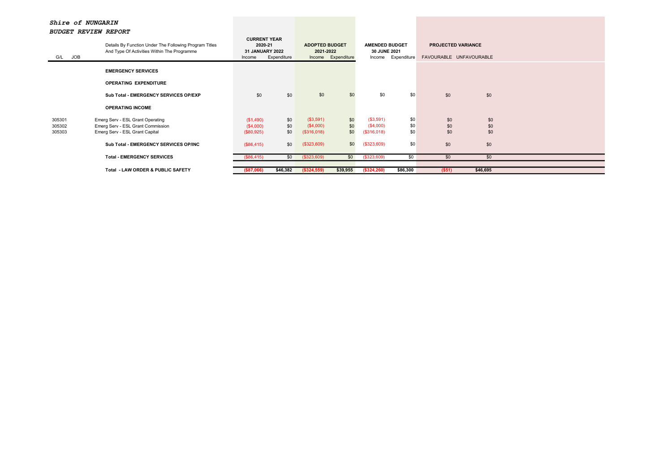| G/L JOB | Details By Function Under The Following Program Titles<br>And Type Of Activities Within The Programme | <b>CURRENT YEAR</b><br>2020-21<br><b>31 JANUARY 2022</b><br>Income | Expenditure | <b>ADOPTED BUDGET</b><br>2021-2022 | Income Expenditure | <b>AMENDED BUDGET</b><br>30 JUNE 2021 | Income Expenditure | <b>PROJECTED VARIANCE</b><br>FAVOURABLE UNFAVOURABLE |          |  |
|---------|-------------------------------------------------------------------------------------------------------|--------------------------------------------------------------------|-------------|------------------------------------|--------------------|---------------------------------------|--------------------|------------------------------------------------------|----------|--|
|         | <b>EMERGENCY SERVICES</b>                                                                             |                                                                    |             |                                    |                    |                                       |                    |                                                      |          |  |
|         | <b>OPERATING EXPENDITURE</b>                                                                          |                                                                    |             |                                    |                    |                                       |                    |                                                      |          |  |
|         | Sub Total - EMERGENCY SERVICES OP/EXP                                                                 | \$0                                                                | \$0         | \$0                                | \$0                | \$0                                   | \$0                | \$0                                                  | \$0      |  |
|         | <b>OPERATING INCOME</b>                                                                               |                                                                    |             |                                    |                    |                                       |                    |                                                      |          |  |
| 305301  | Emerg Serv - ESL Grant Operating                                                                      | (\$1,490)                                                          | \$0         | (\$3,591)                          | \$0                | (\$3,591)                             | \$0                | \$0                                                  | \$0      |  |
| 305302  | Emerg Serv - ESL Grant Commission                                                                     | (\$4,000)                                                          | \$0         | (\$4,000)                          | \$0                | (\$4,000)                             | \$0                | \$0                                                  | \$0      |  |
| 305303  | Emerg Serv - ESL Grant Capital                                                                        | (\$80,925)                                                         | \$0         | (\$316,018)                        | \$0                | (\$316,018)                           | \$0                | \$0                                                  | \$0      |  |
|         | Sub Total - EMERGENCY SERVICES OP/INC                                                                 | (\$86,415)                                                         | \$0         | (\$323,609)                        | \$0                | (\$323,609)                           | \$0                | \$0                                                  | \$0      |  |
|         | <b>Total - EMERGENCY SERVICES</b>                                                                     | (\$86,415)                                                         | \$0         | (\$323,609)                        | \$0                | $($ \$323,609)                        | \$0                | \$0                                                  | \$0      |  |
|         |                                                                                                       |                                                                    |             |                                    |                    |                                       |                    |                                                      |          |  |
|         | <b>Total - LAW ORDER &amp; PUBLIC SAFETY</b>                                                          | ( \$87,066)                                                        | \$46,382    | $($ \$324,559)                     | \$39,955           | (\$324,260)                           | \$86,300           | ( \$51)                                              | \$46,695 |  |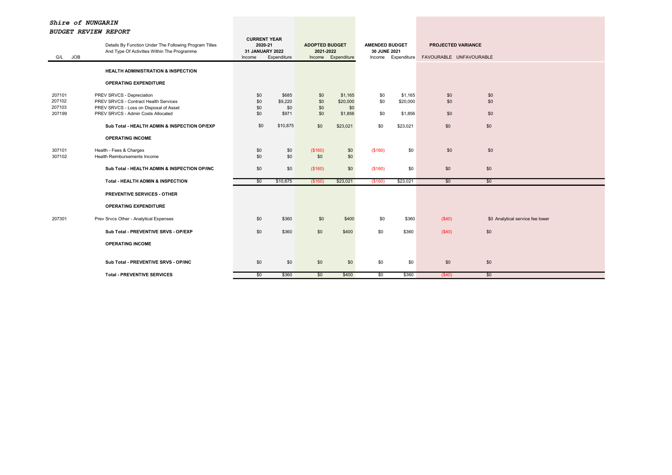| G/L JOB                    | Details By Function Under The Following Program Titles<br>And Type Of Activities Within The Programme        | <b>CURRENT YEAR</b><br>2020-21<br>31 JANUARY 2022<br>Income | Expenditure             | <b>ADOPTED BUDGET</b><br>2021-2022 | Income Expenditure         | <b>AMENDED BUDGET</b><br>30 JUNE 2021 | Income Expenditure  | <b>PROJECTED VARIANCE</b><br>FAVOURABLE UNFAVOURABLE |                                  |  |
|----------------------------|--------------------------------------------------------------------------------------------------------------|-------------------------------------------------------------|-------------------------|------------------------------------|----------------------------|---------------------------------------|---------------------|------------------------------------------------------|----------------------------------|--|
|                            | <b>HEALTH ADMINISTRATION &amp; INSPECTION</b>                                                                |                                                             |                         |                                    |                            |                                       |                     |                                                      |                                  |  |
|                            | <b>OPERATING EXPENDITURE</b>                                                                                 |                                                             |                         |                                    |                            |                                       |                     |                                                      |                                  |  |
| 207101<br>207102<br>207103 | PREV SRVCS - Depreciation<br>PREV SRVCS - Contract Health Services<br>PREV SRVCS - Loss on Disposal of Asset | \$0<br>\$0<br>\$0                                           | \$685<br>\$9,220<br>\$0 | \$0<br>\$0<br>\$0                  | \$1,165<br>\$20,000<br>\$0 | \$0<br>\$0                            | \$1,165<br>\$20,000 | \$0<br>\$0                                           | \$0<br>\$0                       |  |
| 207199                     | PREV SRVCS - Admin Costs Allocated                                                                           | \$0                                                         | \$971                   | \$0                                | \$1,856                    | \$0                                   | \$1,856             | \$0                                                  | \$0                              |  |
|                            | Sub Total - HEALTH ADMIN & INSPECTION OP/EXP                                                                 | \$0                                                         | \$10,875                | \$0                                | \$23,021                   | \$0                                   | \$23,021            | \$0                                                  | \$0                              |  |
|                            | <b>OPERATING INCOME</b>                                                                                      |                                                             |                         |                                    |                            |                                       |                     |                                                      |                                  |  |
| 307101<br>307102           | Health - Fees & Charges<br>Health Reimbursements Income                                                      | \$0<br>\$0                                                  | \$0<br>\$0              | (\$160)<br>\$0                     | \$0<br>\$0                 | (\$160)                               | \$0                 | \$0                                                  | \$0                              |  |
|                            | Sub Total - HEALTH ADMIN & INSPECTION OP/INC                                                                 | \$0                                                         | \$0                     | (\$160)                            | \$0                        | (\$160)                               | \$0                 | \$0                                                  | \$0                              |  |
|                            | Total - HEALTH ADMIN & INSPECTION                                                                            | \$0                                                         | \$10,875                | (\$160)                            | \$23,021                   | (\$160)                               | \$23,021            | \$0                                                  | \$0                              |  |
|                            | <b>PREVENTIVE SERVICES - OTHER</b>                                                                           |                                                             |                         |                                    |                            |                                       |                     |                                                      |                                  |  |
|                            | <b>OPERATING EXPENDITURE</b>                                                                                 |                                                             |                         |                                    |                            |                                       |                     |                                                      |                                  |  |
| 207301                     | Prev Srvcs Other - Analytical Expenses                                                                       | \$0                                                         | \$360                   | \$0                                | \$400                      | \$0                                   | \$360               | (\$40)                                               | \$0 Analytical service fee lower |  |
|                            | Sub Total - PREVENTIVE SRVS - OP/EXP                                                                         | \$0                                                         | \$360                   | \$0                                | \$400                      | \$0                                   | \$360               | (\$40)                                               | \$0                              |  |
|                            | <b>OPERATING INCOME</b>                                                                                      |                                                             |                         |                                    |                            |                                       |                     |                                                      |                                  |  |
|                            | Sub Total - PREVENTIVE SRVS - OP/INC                                                                         | \$0                                                         | \$0                     | \$0                                | \$0                        | \$0                                   | \$0                 | \$0                                                  | \$0                              |  |
|                            | <b>Total - PREVENTIVE SERVICES</b>                                                                           | \$0                                                         | \$360                   | \$0                                | \$400                      | $\overline{50}$                       | \$360               | $($ \$40)                                            | \$0                              |  |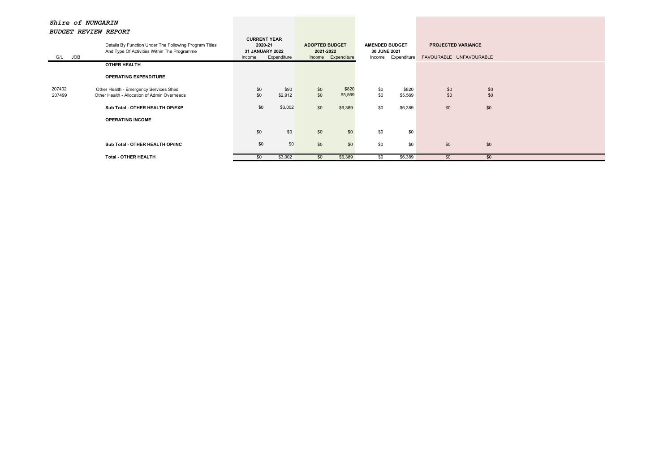|         | Details By Function Under The Following Program Titles<br>And Type Of Activities Within The Programme |        | <b>CURRENT YEAR</b><br>2020-21<br><b>ADOPTED BUDGET</b><br><b>31 JANUARY 2022</b><br>2021-2022 |     | <b>AMENDED BUDGET</b><br>30 JUNE 2021 |        | <b>PROJECTED VARIANCE</b> |                         |     |  |
|---------|-------------------------------------------------------------------------------------------------------|--------|------------------------------------------------------------------------------------------------|-----|---------------------------------------|--------|---------------------------|-------------------------|-----|--|
| G/L JOB |                                                                                                       | Income | Expenditure                                                                                    |     | Income Expenditure                    | Income | Expenditure               | FAVOURABLE UNFAVOURABLE |     |  |
|         | <b>OTHER HEALTH</b>                                                                                   |        |                                                                                                |     |                                       |        |                           |                         |     |  |
|         | <b>OPERATING EXPENDITURE</b>                                                                          |        |                                                                                                |     |                                       |        |                           |                         |     |  |
| 207402  | Other Health - Emergency Services Shed                                                                | \$0    | \$90                                                                                           | \$0 | \$820                                 | \$0    | \$820                     | \$0                     | \$0 |  |
| 207499  | Other Health - Allocation of Admin Overheads                                                          | \$0    | \$2,912                                                                                        | \$0 | \$5,569                               | \$0    | \$5,569                   | \$0                     | \$0 |  |
|         | Sub Total - OTHER HEALTH OP/EXP                                                                       | \$0    | \$3,002                                                                                        | \$0 | \$6,389                               | \$0    | \$6,389                   | \$0                     | \$0 |  |
|         | <b>OPERATING INCOME</b>                                                                               |        |                                                                                                |     |                                       |        |                           |                         |     |  |
|         |                                                                                                       | \$0    | \$0                                                                                            | \$0 | \$0                                   | \$0    | \$0                       |                         |     |  |
|         | Sub Total - OTHER HEALTH OP/INC                                                                       | \$0    | \$0                                                                                            | \$0 | \$0                                   | \$0    | \$0                       | \$0                     | \$0 |  |
|         | <b>Total - OTHER HEALTH</b>                                                                           | \$0    | \$3,002                                                                                        | \$0 | \$6,389                               | \$0    | \$6,389                   | \$0                     | \$0 |  |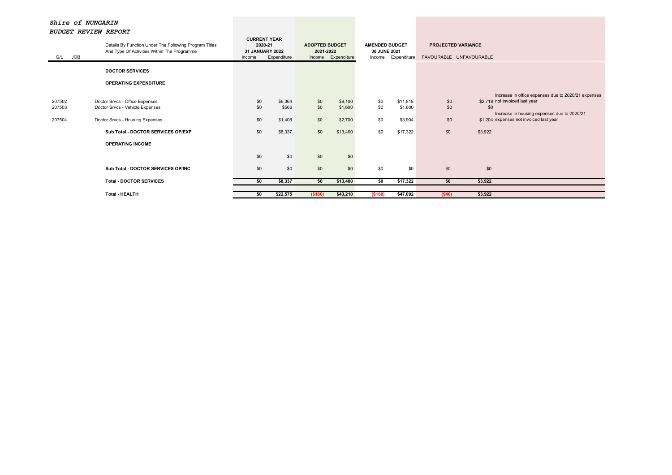| G/L JOB                    | Details By Function Under The Following Program Titles<br>And Type Of Activities Within The Programme                                                                 | <b>CURRENT YEAR</b><br>2020-21<br>31 JANUARY 2022<br>Income | Expenditure                            | <b>ADOPTED BUDGET</b><br>2021-2022 | Income Expenditure                        | <b>AMENDED BUDGET</b><br>30 JUNE 2021 | Income Expenditure                         | <b>PROJECTED VARIANCE</b><br>FAVOURABLE UNFAVOURABLE |                |                                                                                                                                                                                 |
|----------------------------|-----------------------------------------------------------------------------------------------------------------------------------------------------------------------|-------------------------------------------------------------|----------------------------------------|------------------------------------|-------------------------------------------|---------------------------------------|--------------------------------------------|------------------------------------------------------|----------------|---------------------------------------------------------------------------------------------------------------------------------------------------------------------------------|
|                            | <b>DOCTOR SERVICES</b>                                                                                                                                                |                                                             |                                        |                                    |                                           |                                       |                                            |                                                      |                |                                                                                                                                                                                 |
|                            | <b>OPERATING EXPENDITURE</b>                                                                                                                                          |                                                             |                                        |                                    |                                           |                                       |                                            |                                                      |                |                                                                                                                                                                                 |
| 207502<br>207503<br>207504 | Doctor Srvcs - Office Expenses<br>Doctor Srvcs - Vehicle Expenses<br>Doctor Srvcs - Housing Expenses<br>Sub Total - DOCTOR SERVICES OP/EXP<br><b>OPERATING INCOME</b> | \$0<br>\$0<br>\$0<br>\$0                                    | \$6,364<br>\$566<br>\$1,408<br>\$8,337 | \$0<br>\$0<br>\$0<br>\$0           | \$9,100<br>\$1,600<br>\$2,700<br>\$13,400 | \$0<br>\$0<br>\$0<br>\$0              | \$11,818<br>\$1,600<br>\$3,904<br>\$17,322 | \$0<br>\$0<br>\$0<br>\$0                             | \$0<br>\$3,922 | Increase in office expenses due to 2020/21 expenses<br>\$2.718 not invoiced last year<br>Increase in housing expenses due to 2020/21<br>\$1,204 expenses not invoiced last year |
|                            |                                                                                                                                                                       | \$0                                                         | \$0                                    | \$0                                | \$0                                       |                                       |                                            |                                                      |                |                                                                                                                                                                                 |
|                            | Sub Total - DOCTOR SERVICES OP/INC                                                                                                                                    | \$0                                                         | \$0                                    | \$0                                | \$0                                       | \$0                                   | \$0                                        | \$0                                                  | \$0            |                                                                                                                                                                                 |
|                            | <b>Total - DOCTOR SERVICES</b>                                                                                                                                        | \$0                                                         | \$8,337                                | \$0                                | \$13,400                                  | $\overline{50}$                       | \$17,322                                   | \$0                                                  | \$3,922        |                                                                                                                                                                                 |
|                            | <b>Total - HEALTH</b>                                                                                                                                                 | \$0                                                         | \$22,575                               | (\$160)                            | \$43,210                                  | (\$160)                               | \$47,092                                   | (\$40)                                               | \$3,922        |                                                                                                                                                                                 |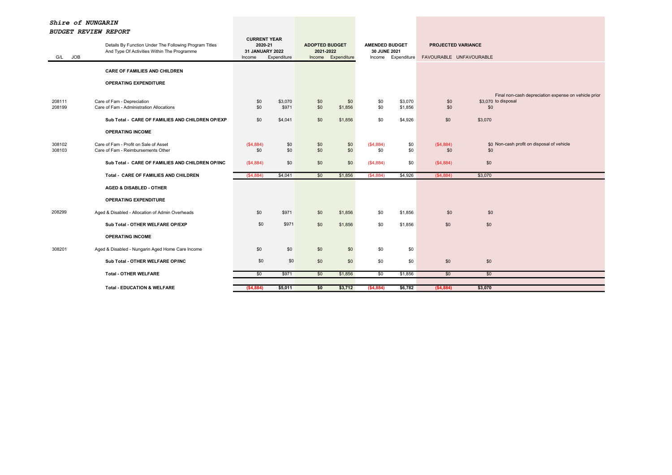| G/L JOB          | Details By Function Under The Following Program Titles<br>And Type Of Activities Within The Programme | <b>CURRENT YEAR</b><br>2020-21<br>31 JANUARY 2022<br>Income | Expenditure      | <b>ADOPTED BUDGET</b><br>2021-2022<br>Income | Expenditure    | <b>AMENDED BUDGET</b><br>30 JUNE 2021 | Income Expenditure | <b>PROJECTED VARIANCE</b> | FAVOURABLE UNFAVOURABLE                                                            |
|------------------|-------------------------------------------------------------------------------------------------------|-------------------------------------------------------------|------------------|----------------------------------------------|----------------|---------------------------------------|--------------------|---------------------------|------------------------------------------------------------------------------------|
|                  | <b>CARE OF FAMILIES AND CHILDREN</b>                                                                  |                                                             |                  |                                              |                |                                       |                    |                           |                                                                                    |
|                  | <b>OPERATING EXPENDITURE</b>                                                                          |                                                             |                  |                                              |                |                                       |                    |                           |                                                                                    |
| 208111<br>208199 | Care of Fam - Depreciation<br>Care of Fam - Administration Allocations                                | \$0<br>\$0                                                  | \$3,070<br>\$971 | \$0<br>\$0                                   | \$0<br>\$1,856 | \$0<br>\$0                            | \$3,070<br>\$1,856 | \$0<br>\$0                | Final non-cash depreciation expense on vehicle prior<br>\$3,070 to disposal<br>\$0 |
|                  | Sub Total - CARE OF FAMILIES AND CHILDREN OP/EXP                                                      | \$0                                                         | \$4,041          | \$0                                          | \$1,856        | \$0                                   | \$4,926            | \$0                       | \$3,070                                                                            |
|                  | <b>OPERATING INCOME</b>                                                                               |                                                             |                  |                                              |                |                                       |                    |                           |                                                                                    |
| 308102<br>308103 | Care of Fam - Profit on Sale of Asset<br>Care of Fam - Reimbursements Other                           | (\$4,884)<br>\$0                                            | \$0<br>\$0       | \$0<br>\$0                                   | \$0<br>\$0     | (\$4,884)<br>\$0                      | \$0<br>\$0         | (\$4,884)<br>\$0          | \$0 Non-cash profit on disposal of vehicle<br>\$0                                  |
|                  | Sub Total - CARE OF FAMILIES AND CHILDREN OP/INC                                                      | (\$4,884)                                                   | \$0              | \$0                                          | \$0            | (\$4,884)                             | \$0                | (\$4,884)                 | \$0                                                                                |
|                  | Total - CARE OF FAMILIES AND CHILDREN                                                                 | (S4,884)                                                    | \$4,041          | \$0                                          | \$1,856        | (S4, 884)                             | \$4,926            | (S4, 884)                 | \$3,070                                                                            |
|                  | <b>AGED &amp; DISABLED - OTHER</b>                                                                    |                                                             |                  |                                              |                |                                       |                    |                           |                                                                                    |
|                  | <b>OPERATING EXPENDITURE</b>                                                                          |                                                             |                  |                                              |                |                                       |                    |                           |                                                                                    |
| 208299           | Aged & Disabled - Allocation of Admin Overheads                                                       | \$0                                                         | \$971            | \$0                                          | \$1,856        | \$0                                   | \$1,856            | \$0                       | \$0                                                                                |
|                  | Sub Total - OTHER WELFARE OP/EXP                                                                      | \$0                                                         | \$971            | \$0                                          | \$1,856        | \$0                                   | \$1,856            | \$0                       | \$0                                                                                |
|                  | <b>OPERATING INCOME</b>                                                                               |                                                             |                  |                                              |                |                                       |                    |                           |                                                                                    |
| 308201           | Aged & Disabled - Nungarin Aged Home Care Income                                                      | \$0                                                         | \$0              | \$0                                          | \$0            | \$0                                   | \$0                |                           |                                                                                    |
|                  | Sub Total - OTHER WELFARE OP/INC                                                                      | \$0                                                         | \$0              | \$0                                          | \$0            | \$0                                   | \$0                | \$0                       | \$0                                                                                |
|                  | <b>Total - OTHER WELFARE</b>                                                                          | \$0                                                         | \$971            | \$0                                          | \$1,856        | \$0                                   | \$1,856            | \$0                       | \$0                                                                                |
|                  | <b>Total - EDUCATION &amp; WELFARE</b>                                                                | (\$4,884)                                                   | \$5,011          | \$0                                          | \$3,712        | ( \$4,884)                            | \$6,782            | (\$4,884)                 | \$3,070                                                                            |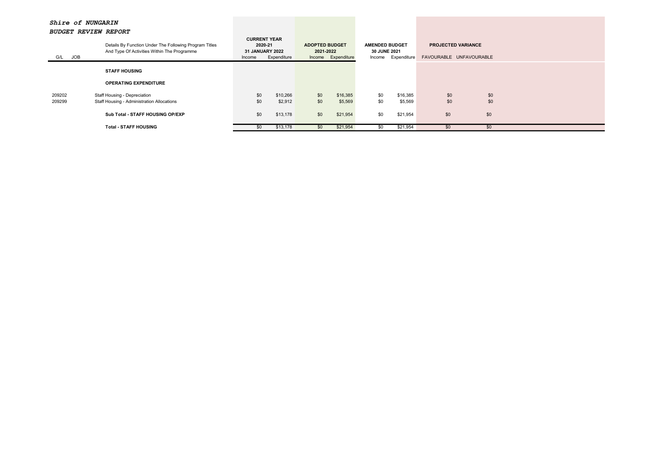| <i>BUDGEL REVIEW REFURI</i> |                                                                                                       |                                                             |             |                                    |                    |                                                             |          |                                                      |     |  |
|-----------------------------|-------------------------------------------------------------------------------------------------------|-------------------------------------------------------------|-------------|------------------------------------|--------------------|-------------------------------------------------------------|----------|------------------------------------------------------|-----|--|
| JOB<br>G/L                  | Details By Function Under The Following Program Titles<br>And Type Of Activities Within The Programme | <b>CURRENT YEAR</b><br>2020-21<br>31 JANUARY 2022<br>Income | Expenditure | <b>ADOPTED BUDGET</b><br>2021-2022 | Income Expenditure | <b>AMENDED BUDGET</b><br>30 JUNE 2021<br>Income Expenditure |          | <b>PROJECTED VARIANCE</b><br>FAVOURABLE UNFAVOURABLE |     |  |
|                             | <b>STAFF HOUSING</b>                                                                                  |                                                             |             |                                    |                    |                                                             |          |                                                      |     |  |
|                             | <b>OPERATING EXPENDITURE</b>                                                                          |                                                             |             |                                    |                    |                                                             |          |                                                      |     |  |
| 209202                      | Staff Housing - Depreciation                                                                          | \$0                                                         | \$10,266    | \$0                                | \$16,385           | \$0                                                         | \$16,385 | \$0                                                  | \$0 |  |
| 209299                      | Staff Housing - Administration Allocations                                                            | \$0                                                         | \$2,912     | \$0                                | \$5,569            | \$0                                                         | \$5,569  | \$0                                                  | \$0 |  |
|                             | Sub Total - STAFF HOUSING OP/EXP                                                                      | \$0                                                         | \$13,178    | \$0                                | \$21,954           | \$0                                                         | \$21,954 | \$0                                                  | \$0 |  |
|                             | <b>Total - STAFF HOUSING</b>                                                                          | \$0                                                         | \$13,178    | \$0                                | \$21,954           | \$0                                                         | \$21,954 | \$0                                                  | \$0 |  |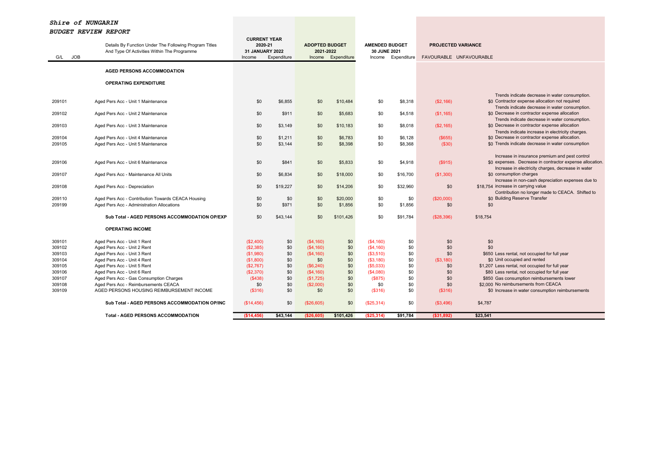| <b>JOB</b><br>G/L | Details By Function Under The Following Program Titles<br>And Type Of Activities Within The Programme | <b>CURRENT YEAR</b><br>2020-21<br>31 JANUARY 2022<br>Income | Expenditure  | <b>ADOPTED BUDGET</b><br>2021-2022<br>Income | Expenditure         | <b>AMENDED BUDGET</b><br>30 JUNE 2021<br>Income | Expenditure    | <b>PROJECTED VARIANCE</b><br>FAVOURABLE UNFAVOURABLE |                                                                                                            |
|-------------------|-------------------------------------------------------------------------------------------------------|-------------------------------------------------------------|--------------|----------------------------------------------|---------------------|-------------------------------------------------|----------------|------------------------------------------------------|------------------------------------------------------------------------------------------------------------|
|                   | <b>AGED PERSONS ACCOMMODATION</b>                                                                     |                                                             |              |                                              |                     |                                                 |                |                                                      |                                                                                                            |
|                   |                                                                                                       |                                                             |              |                                              |                     |                                                 |                |                                                      |                                                                                                            |
|                   | <b>OPERATING EXPENDITURE</b>                                                                          |                                                             |              |                                              |                     |                                                 |                |                                                      |                                                                                                            |
|                   |                                                                                                       |                                                             |              |                                              |                     |                                                 |                |                                                      | Trends indicate decrease in water consumption.                                                             |
| 209101            | Aged Pers Acc - Unit 1 Maintenance                                                                    | \$0                                                         | \$6,855      | \$0                                          | \$10,484            | \$0                                             | \$8,318        | (S2, 166)                                            | \$0 Contractor expense allocation not required                                                             |
|                   |                                                                                                       |                                                             |              |                                              |                     |                                                 |                |                                                      | Trends indicate decrease in water consumption.                                                             |
| 209102            | Aged Pers Acc - Unit 2 Maintenance                                                                    | \$0                                                         | \$911        | \$0                                          | \$5,683             | \$0                                             | \$4,518        | (S1, 165)                                            | \$0 Decrease in contractor expense allocation                                                              |
| 209103            | Aged Pers Acc - Unit 3 Maintenance                                                                    | \$0                                                         | \$3,149      | \$0                                          | \$10,183            | \$0                                             | \$8,018        | (\$2,165)                                            | Trends indicate decrease in water consumption.<br>\$0 Decrease in contractor expense allocation            |
|                   |                                                                                                       |                                                             |              |                                              |                     |                                                 |                |                                                      | Trends indicate increase in electricity charges.                                                           |
| 209104            | Aged Pers Acc - Unit 4 Maintenance                                                                    | \$0                                                         | \$1,211      | \$0                                          | \$6,783             | \$0                                             | \$6,128        | (\$655)                                              | \$0 Decrease in contractor expense allocation.                                                             |
| 209105            | Aged Pers Acc - Unit 5 Maintenance                                                                    | \$0                                                         | \$3,144      | \$0                                          | \$8,398             | \$0                                             | \$8,368        | (\$30)                                               | \$0 Trends indicate decrease in water consumption                                                          |
|                   |                                                                                                       |                                                             |              |                                              |                     |                                                 |                |                                                      |                                                                                                            |
| 209106            | Aged Pers Acc - Unit 6 Maintenance                                                                    | \$0                                                         | \$841        | \$0                                          | \$5,833             | \$0                                             | \$4,918        | (\$915)                                              | Increase in insurance premium and pest control<br>\$0 expenses. Decrease in contractor expense allocation. |
|                   |                                                                                                       |                                                             |              |                                              |                     |                                                 |                |                                                      | Increase in electricity charges, decrease in water                                                         |
| 209107            | Aged Pers Acc - Maintenance All Units                                                                 | \$0                                                         | \$6,834      | \$0                                          | \$18,000            | \$0                                             | \$16,700       | (\$1,300)                                            | \$0 consumption charges                                                                                    |
|                   |                                                                                                       |                                                             |              |                                              |                     |                                                 |                |                                                      | Increase in non-cash depreciation expenses due to                                                          |
| 209108            | Aged Pers Acc - Depreciation                                                                          | \$0                                                         | \$19,227     | \$0                                          | \$14,206            | \$0                                             | \$32,960       | \$0                                                  | \$18,754 increase in carrying value                                                                        |
|                   |                                                                                                       |                                                             |              |                                              |                     |                                                 |                |                                                      | Contribution no longer made to CEACA. Shifted to<br>\$0 Building Reserve Transfer                          |
| 209110<br>209199  | Aged Pers Acc - Contribution Towards CEACA Housing<br>Aged Pers Acc - Administration Allocations      | \$0<br>\$0                                                  | \$0<br>\$971 | \$0<br>\$0                                   | \$20,000<br>\$1,856 | \$0<br>\$0                                      | \$0<br>\$1,856 | (\$20,000)<br>\$0                                    | \$0                                                                                                        |
|                   |                                                                                                       |                                                             |              |                                              |                     |                                                 |                |                                                      |                                                                                                            |
|                   | Sub Total - AGED PERSONS ACCOMMODATION OP/EXP                                                         | \$0                                                         | \$43,144     | \$0                                          | \$101,426           | \$0                                             | \$91,784       | (\$28,396)                                           | \$18,754                                                                                                   |
|                   | <b>OPERATING INCOME</b>                                                                               |                                                             |              |                                              |                     |                                                 |                |                                                      |                                                                                                            |
| 309101            | Aged Pers Acc - Unit 1 Rent                                                                           | (\$2,400)                                                   | \$0          | (S4, 160)                                    | \$0                 | (S4, 160)                                       | \$0            | \$0                                                  | \$0                                                                                                        |
| 309102            | Aged Pers Acc - Unit 2 Rent                                                                           | (S2, 385)                                                   | \$0          | (S4, 160)                                    | \$0                 | (S4, 160)                                       | \$0            | \$0                                                  | \$0                                                                                                        |
| 309103            | Aged Pers Acc - Unit 3 Rent                                                                           | (\$1,980)                                                   | \$0          | (S4, 160)                                    | \$0                 | (\$3,510)                                       | \$0            | \$0                                                  | \$650 Less rental, not occupied for full year                                                              |
| 309104            | Aged Pers Acc - Unit 4 Rent                                                                           | (\$1,800)                                                   | \$0          | \$0                                          | \$0                 | (S3, 180)                                       | \$0            | (\$3,180)                                            | \$0 Unit occupied and rented                                                                               |
| 309105            | Aged Pers Acc - Unit 5 Rent                                                                           | (\$2,767)                                                   | \$0          | (\$6,240)                                    | \$0                 | $($ \$5,033)                                    | \$0            | \$0                                                  | \$1,207 Less rental, not occupied for full year                                                            |
| 309106            | Aged Pers Acc - Unit 6 Rent                                                                           | (S2,370)                                                    | \$0<br>\$0   | (S4, 160)                                    | \$0                 | (S4,080)                                        | \$0            | \$0                                                  | \$80 Less rental, not occupied for full year                                                               |
| 309107<br>309108  | Aged Pers Acc - Gas Consumption Charges<br>Aged Pers Acc - Reimbursements CEACA                       | (S438)<br>\$0                                               | \$0          | (\$1,725)<br>(\$2,000)                       | \$0<br>\$0          | (S875)<br>\$0                                   | \$0<br>\$0     | \$0<br>\$0                                           | \$850 Gas consumption reimbursements lower<br>\$2,000 No reimbursements from CEACA                         |
| 309109            | AGED PERSONS HOUSING REIMBURSEMENT INCOME                                                             | ( \$316)                                                    | \$0          | \$0                                          | \$0                 | (\$316)                                         | \$0            | (\$316)                                              | \$0 Increase in water consumption reimbursements                                                           |
|                   | Sub Total - AGED PERSONS ACCOMMODATION OP/INC                                                         | (\$14,456)                                                  | \$0          | (\$26,605)                                   | \$0                 | (S25, 314)                                      | \$0            | (S3, 496)                                            | \$4,787                                                                                                    |
|                   | <b>Total - AGED PERSONS ACCOMMODATION</b>                                                             | (\$14,456)                                                  | \$43,144     | ( \$26,605)                                  | \$101,426           | (\$25,314)                                      | \$91,784       | ( \$31, 892)                                         | \$23,541                                                                                                   |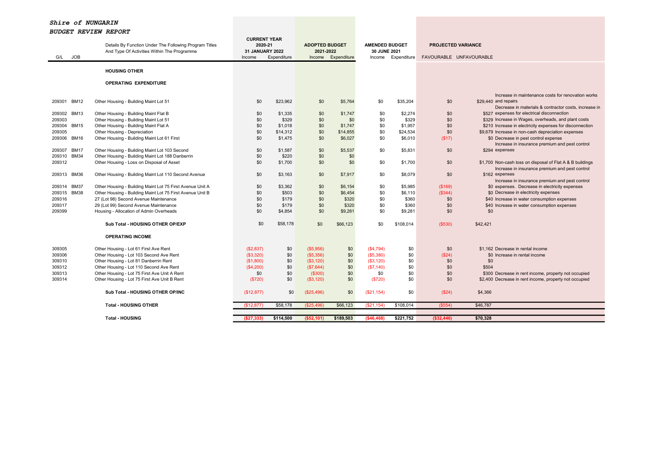|                       | Details By Function Under The Following Program Titles                                        | <b>CURRENT YEAR</b><br>2020-21 |                  | <b>ADOPTED BUDGET</b> |                    | <b>AMENDED BUDGET</b> |                    | <b>PROJECTED VARIANCE</b> |                                                                                                             |
|-----------------------|-----------------------------------------------------------------------------------------------|--------------------------------|------------------|-----------------------|--------------------|-----------------------|--------------------|---------------------------|-------------------------------------------------------------------------------------------------------------|
|                       | And Type Of Activities Within The Programme                                                   | <b>31 JANUARY 2022</b>         |                  | 2021-2022             |                    | 30 JUNE 2021          |                    |                           |                                                                                                             |
| <b>JOB</b><br>G/L     |                                                                                               | Income                         | Expenditure      |                       | Income Expenditure |                       | Income Expenditure | FAVOURABLE UNFAVOURABLE   |                                                                                                             |
|                       | <b>HOUSING OTHER</b>                                                                          |                                |                  |                       |                    |                       |                    |                           |                                                                                                             |
|                       |                                                                                               |                                |                  |                       |                    |                       |                    |                           |                                                                                                             |
|                       | <b>OPERATING EXPENDITURE</b>                                                                  |                                |                  |                       |                    |                       |                    |                           |                                                                                                             |
|                       |                                                                                               |                                |                  |                       |                    |                       |                    |                           |                                                                                                             |
| 209301 BM12           | Other Housing - Building Maint Lot 51                                                         | \$0                            | \$23,962         | \$0                   | \$5,764            | \$0                   | \$35,204           | \$0                       | Increase in maintenance costs for renovation works<br>\$29,440 and repairs                                  |
|                       |                                                                                               |                                |                  |                       |                    |                       |                    |                           | Decrease in materials & contractor costs, increase in                                                       |
| <b>BM13</b><br>209302 | Other Housing - Building Maint Flat B                                                         | \$0                            | \$1,335          | \$0                   | \$1,747            | \$0                   | \$2,274            | \$0                       | \$527 expenses for electrical disconnection                                                                 |
| 209303                | Other Housing - Building Maint Lot 51                                                         | \$0                            | \$329            | \$0                   | \$0                | \$0                   | \$329              | \$0                       | \$329 Increase in Wages, overheads, and plant costs                                                         |
| 209304 BM15           | Other Housing - Building Maint Flat A                                                         | \$0                            | \$1,018          | \$0                   | \$1,747            | \$0                   | \$1,957            | \$0                       | \$210 Increase in electricity expenses for disconnection                                                    |
| 209305                | Other Housing - Depreciation                                                                  | \$0                            | \$14,312         | \$0                   | \$14,855           | \$0                   | \$24,534           | \$0                       | \$9,679 Increase in non-cash depreciation expenses                                                          |
| 209306<br><b>BM16</b> | Other Housing - Building Maint Lot 61 First                                                   | \$0                            | \$1,475          | \$0                   | \$6,027            | \$0                   | \$6,010            | (S17)                     | \$0 Decrease in pest control expense                                                                        |
|                       |                                                                                               |                                |                  |                       |                    |                       |                    |                           | Increase in insurance premium and pest control                                                              |
| 209307<br><b>BM17</b> | Other Housing - Building Maint Lot 103 Second                                                 | \$0                            | \$1,587          | \$0                   | \$5,537            | \$0                   | \$5,831            | \$0                       | \$294 expenses                                                                                              |
| 209310 BM34<br>209312 | Other Housing - Building Maint Lot 188 Danberrin<br>Other Housing - Loss on Disposal of Asset | \$0<br>\$0                     | \$220<br>\$1,700 | \$0<br>\$0            | \$0<br>\$0         | \$0                   | \$1,700            | \$0                       |                                                                                                             |
|                       |                                                                                               |                                |                  |                       |                    |                       |                    |                           | \$1,700 Non-cash loss on disposal of Flat A & B buildings<br>Increase in insurance premium and pest control |
| 209313 BM36           | Other Housing - Building Maint Lot 110 Second Avenue                                          | \$0                            | \$3,163          | \$0                   | \$7,917            | \$0                   | \$8,079            | \$0                       | \$162 expenses                                                                                              |
|                       |                                                                                               |                                |                  |                       |                    |                       |                    |                           | Increase in insurance premium and pest control                                                              |
| 209314 BM37           | Other Housing - Building Maint Lot 75 First Avenue Unit A                                     | \$0                            | \$3,362          | \$0                   | \$6,154            | \$0                   | \$5,985            | (\$169)                   | \$0 expenses. Decrease in electricity expenses                                                              |
| 209315 BM38           | Other Housing - Building Maint Lot 75 First Avenue Unit B                                     | \$0                            | \$503            | \$0                   | \$6,454            | \$0                   | \$6,110            | (\$344)                   | \$0 Decrease in electricity expenses                                                                        |
| 209316                | 27 (Lot 98) Second Avenue Maintenance                                                         | \$0                            | \$179            | \$0                   | \$320              | \$0                   | \$360              | \$0                       | \$40 Increase in water consumption expenses                                                                 |
| 209317                | 29 (Lot 99) Second Avenue Maintenance                                                         | \$0                            | \$179            | \$0                   | \$320              | \$0                   | \$360              | \$0                       | \$40 Increase in water consumption expenses                                                                 |
| 209399                | Housing - Allocation of Admin Overheads                                                       | \$0                            | \$4,854          | \$0                   | \$9,281            | \$0                   | \$9,281            | \$0                       | \$0                                                                                                         |
|                       | Sub Total - HOUSING OTHER OP/EXP                                                              | \$0                            | \$58,178         | \$0                   | \$66,123           | \$0                   | \$108,014          | (\$530)                   | \$42,421                                                                                                    |
|                       |                                                                                               |                                |                  |                       |                    |                       |                    |                           |                                                                                                             |
|                       | <b>OPERATING INCOME</b>                                                                       |                                |                  |                       |                    |                       |                    |                           |                                                                                                             |
| 309305                | Other Housing - Lot 61 First Ave Rent                                                         | (\$2,837)                      | \$0              | $($ \$5,956)          | \$0                | (S4, 794)             | \$0                | \$0                       | \$1,162 Decrease in rental income                                                                           |
| 309306                | Other Housing - Lot 103 Second Ave Rent                                                       | (\$3,320)                      | \$0              | (\$5,356)             | \$0                | (\$5,380)             | \$0                | (\$24)                    | \$0 Increase in rental income                                                                               |
| 309310                | Other Housing - Lot 81 Danberrin Rent                                                         | (\$1,800)                      | \$0              | ( \$3, 120)           | \$0                | (S3, 120)             | \$0                | \$0                       | \$0                                                                                                         |
| 309312                | Other Housing - Lot 110 Second Ave Rent                                                       | (\$4,200)                      | \$0              | (\$7,644)             | \$0                | (\$7,140)             | \$0                | \$0                       | \$504                                                                                                       |
| 309313                | Other Housing - Lot 75 First Ave Unit A Rent                                                  | \$0                            | \$0              | $($ \$300)            | \$0                | \$0                   | \$0                | \$0                       | \$300 Decrease in rent income, property not occupied                                                        |
| 309314                | Other Housing - Lot 75 First Ave Unit B Rent                                                  | (\$720)                        | \$0              | (S3, 120)             | \$0                | (\$720)               | \$0                | \$0                       | \$2,400 Decrease in rent income, property not occupied                                                      |
|                       | Sub Total - HOUSING OTHER OP/INC                                                              | (\$12,877)                     | \$0              | (\$25,496)            | \$0                | (\$21,154)            | \$0                | (\$24)                    | \$4,366                                                                                                     |
|                       | <b>Total - HOUSING OTHER</b>                                                                  | (S12.877)                      | \$58,178         | (\$25.496             | \$66,123           | (\$21, 154            | \$108,014          | (\$554)                   | \$46,787                                                                                                    |
|                       |                                                                                               |                                |                  |                       |                    |                       |                    |                           |                                                                                                             |
|                       | <b>Total - HOUSING</b>                                                                        | (\$27,333)                     | \$114,500        | ( \$52, 101)          | \$189,503          | ( \$46,468)           | \$221,752          | ( \$32,446)               | \$70,328                                                                                                    |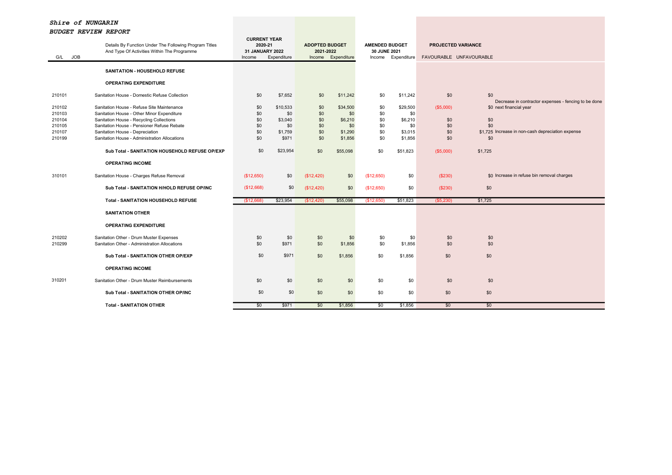| G/L JOB          | Details By Function Under The Following Program Titles<br>And Type Of Activities Within The Programme | <b>CURRENT YEAR</b><br>2020-21<br><b>31 JANUARY 2022</b><br>Income | Expenditure      | <b>ADOPTED BUDGET</b><br>2021-2022<br>Income | Expenditure        | <b>AMENDED BUDGET</b><br>30 JUNE 2021 | Income Expenditure | <b>PROJECTED VARIANCE</b> | FAVOURABLE UNFAVOURABLE                                                         |
|------------------|-------------------------------------------------------------------------------------------------------|--------------------------------------------------------------------|------------------|----------------------------------------------|--------------------|---------------------------------------|--------------------|---------------------------|---------------------------------------------------------------------------------|
|                  | <b>SANITATION - HOUSEHOLD REFUSE</b>                                                                  |                                                                    |                  |                                              |                    |                                       |                    |                           |                                                                                 |
|                  | <b>OPERATING EXPENDITURE</b>                                                                          |                                                                    |                  |                                              |                    |                                       |                    |                           |                                                                                 |
| 210101           | Sanitation House - Domestic Refuse Collection                                                         | \$0                                                                | \$7,652          | \$0                                          | \$11,242           | \$0                                   | \$11,242           | \$0                       | \$0                                                                             |
| 210102<br>210103 | Sanitation House - Refuse Site Maintenance<br>Sanitation House - Other Minor Expenditure              | \$0<br>\$0                                                         | \$10,533<br>\$0  | \$0<br>\$0                                   | \$34,500<br>\$0    | \$0<br>\$0                            | \$29,500<br>\$0    | (\$5,000)                 | Decrease in contractor expenses - fencing to be done<br>\$0 next financial year |
| 210104<br>210105 | Sanitation House - Recycling Collections<br>Sanitation House - Pensioner Refuse Rebate                | \$0<br>\$0                                                         | \$3,040<br>\$0   | \$0<br>\$0                                   | \$6,210<br>\$0     | \$0<br>\$0                            | \$6,210<br>\$0     | \$0<br>\$0                | \$0<br>\$0                                                                      |
| 210107<br>210199 | Sanitation House - Depreciation<br>Sanitation House - Administration Allocations                      | \$0<br>\$0                                                         | \$1,759<br>\$971 | \$0<br>\$0                                   | \$1,290<br>\$1,856 | \$0<br>\$0                            | \$3,015<br>\$1,856 | \$0<br>\$0                | \$1,725 Increase in non-cash depreciation expense<br>\$0                        |
|                  | Sub Total - SANITATION HOUSEHOLD REFUSE OP/EXP                                                        | \$0                                                                | \$23,954         | \$0                                          | \$55,098           | \$0                                   | \$51,823           | (\$5,000)                 | \$1,725                                                                         |
|                  | <b>OPERATING INCOME</b>                                                                               |                                                                    |                  |                                              |                    |                                       |                    |                           |                                                                                 |
| 310101           | Sanitation House - Charges Refuse Removal                                                             | (\$12,650)                                                         | \$0              | (\$12,420)                                   | \$0                | (\$12,650)                            | \$0                | (\$230)                   | \$0 Increase in refuse bin removal charges                                      |
|                  | Sub Total - SANITATION H/HOLD REFUSE OP/INC                                                           | (\$12,668)                                                         | \$0              | (\$12,420)                                   | \$0                | (\$12,650)                            | \$0                | (\$230)                   | \$0                                                                             |
|                  | <b>Total - SANITATION HOUSEHOLD REFUSE</b>                                                            | (\$12,668)                                                         | \$23,954         | (\$12,420)                                   | \$55,098           | (\$12,650)                            | \$51,823           | $($ \$5,230)              | \$1,725                                                                         |
|                  | <b>SANITATION OTHER</b>                                                                               |                                                                    |                  |                                              |                    |                                       |                    |                           |                                                                                 |
|                  | <b>OPERATING EXPENDITURE</b>                                                                          |                                                                    |                  |                                              |                    |                                       |                    |                           |                                                                                 |
| 210202<br>210299 | Sanitation Other - Drum Muster Expenses<br>Sanitation Other - Administration Allocations              | \$0<br>\$0                                                         | \$0<br>\$971     | \$0<br>\$0                                   | \$0<br>\$1,856     | \$0<br>\$0                            | \$0<br>\$1,856     | \$0<br>\$0                | \$0<br>\$0                                                                      |
|                  | Sub Total - SANITATION OTHER OP/EXP                                                                   | \$0                                                                | \$971            | \$0                                          | \$1,856            | \$0                                   | \$1,856            | \$0                       | \$0                                                                             |
|                  | <b>OPERATING INCOME</b>                                                                               |                                                                    |                  |                                              |                    |                                       |                    |                           |                                                                                 |
| 310201           | Sanitation Other - Drum Muster Reimbursements                                                         | \$0                                                                | \$0              | \$0                                          | \$0                | \$0                                   | \$0                | \$0                       | \$0                                                                             |
|                  | Sub Total - SANITATION OTHER OP/INC                                                                   | \$0                                                                | \$0              | \$0                                          | \$0                | \$0                                   | \$0                | \$0                       | \$0                                                                             |
|                  | <b>Total - SANITATION OTHER</b>                                                                       | \$0                                                                | \$971            | \$0                                          | \$1,856            | \$0                                   | \$1,856            | \$0                       | \$0                                                                             |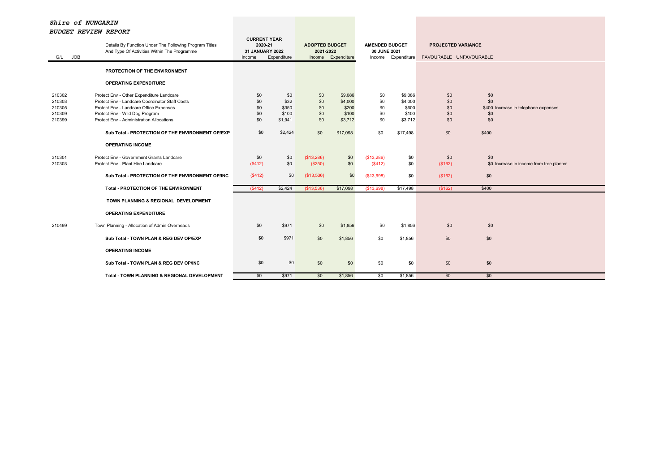| G/L JOB                                        | Details By Function Under The Following Program Titles<br>And Type Of Activities Within The Programme                                                                                                              | <b>CURRENT YEAR</b><br>2020-21<br>31 JANUARY 2022<br>Income | Expenditure                              | <b>ADOPTED BUDGET</b><br>2021-2022 | Income Expenditure                              | <b>AMENDED BUDGET</b><br>30 JUNE 2021 | Income Expenditure                              | PROJECTED VARIANCE<br>FAVOURABLE UNFAVOURABLE |                                                                  |
|------------------------------------------------|--------------------------------------------------------------------------------------------------------------------------------------------------------------------------------------------------------------------|-------------------------------------------------------------|------------------------------------------|------------------------------------|-------------------------------------------------|---------------------------------------|-------------------------------------------------|-----------------------------------------------|------------------------------------------------------------------|
|                                                | PROTECTION OF THE ENVIRONMENT                                                                                                                                                                                      |                                                             |                                          |                                    |                                                 |                                       |                                                 |                                               |                                                                  |
|                                                | <b>OPERATING EXPENDITURE</b>                                                                                                                                                                                       |                                                             |                                          |                                    |                                                 |                                       |                                                 |                                               |                                                                  |
| 210302<br>210303<br>210305<br>210309<br>210399 | Protect Env - Other Expenditure Landcare<br>Protect Env - Landcare Coordinator Staff Costs<br>Protect Env - Landcare Office Expenses<br>Protect Env - Wild Dog Program<br>Protect Env - Administration Allocations | \$0<br>\$0<br>\$0<br>\$0<br>\$0                             | \$0<br>\$32<br>\$350<br>\$100<br>\$1,941 | \$0<br>\$0<br>\$0<br>\$0<br>\$0    | \$9,086<br>\$4,000<br>\$200<br>\$100<br>\$3,712 | \$0<br>\$0<br>\$0<br>\$0<br>\$0       | \$9,086<br>\$4,000<br>\$600<br>\$100<br>\$3,712 | \$0<br>\$0<br>\$0<br>\$0<br>\$0               | \$0<br>\$0<br>\$400 Increase in telephone expenses<br>\$0<br>\$0 |
|                                                | Sub Total - PROTECTION OF THE ENVIRONMENT OP/EXP                                                                                                                                                                   | \$0                                                         | \$2,424                                  | \$0                                | \$17,098                                        | \$0                                   | \$17,498                                        | \$0                                           | \$400                                                            |
|                                                | <b>OPERATING INCOME</b>                                                                                                                                                                                            |                                                             |                                          |                                    |                                                 |                                       |                                                 |                                               |                                                                  |
| 310301<br>310303                               | Protect Env - Government Grants Landcare<br>Protect Env - Plant Hire Landcare                                                                                                                                      | \$0<br>(\$412)                                              | \$0<br>\$0                               | (\$13,286)<br>(\$250)              | \$0<br>\$0                                      | (\$13,286)<br>(\$412)                 | \$0<br>\$0                                      | \$0<br>(\$162)                                | \$0<br>\$0 Increase in income from tree planter                  |
|                                                | Sub Total - PROTECTION OF THE ENVIRONMENT OP/INC                                                                                                                                                                   | (\$412)                                                     | \$0                                      | (\$13,536)                         | \$0                                             | (\$13,698)                            | \$0                                             | (\$162)                                       | \$0                                                              |
|                                                | <b>Total - PROTECTION OF THE ENVIRONMENT</b>                                                                                                                                                                       | (S412)                                                      | \$2,424                                  | (\$13,536)                         | \$17,098                                        | (\$13,698)                            | \$17,498                                        | (\$162)                                       | \$400                                                            |
|                                                | TOWN PLANNING & REGIONAL DEVELOPMENT                                                                                                                                                                               |                                                             |                                          |                                    |                                                 |                                       |                                                 |                                               |                                                                  |
|                                                | <b>OPERATING EXPENDITURE</b>                                                                                                                                                                                       |                                                             |                                          |                                    |                                                 |                                       |                                                 |                                               |                                                                  |
| 210499                                         | Town Planning - Allocation of Admin Overheads                                                                                                                                                                      | \$0                                                         | \$971                                    | \$0                                | \$1,856                                         | \$0                                   | \$1,856                                         | \$0                                           | \$0                                                              |
|                                                | Sub Total - TOWN PLAN & REG DEV OP/EXP                                                                                                                                                                             | \$0                                                         | \$971                                    | \$0                                | \$1,856                                         | \$0                                   | \$1,856                                         | \$0                                           | \$0                                                              |
|                                                | <b>OPERATING INCOME</b>                                                                                                                                                                                            |                                                             |                                          |                                    |                                                 |                                       |                                                 |                                               |                                                                  |
|                                                | Sub Total - TOWN PLAN & REG DEV OP/INC                                                                                                                                                                             | \$0                                                         | \$0                                      | \$0                                | \$0                                             | \$0                                   | \$0                                             | \$0                                           | \$0                                                              |
|                                                | Total - TOWN PLANNING & REGIONAL DEVELOPMENT                                                                                                                                                                       | \$0                                                         | \$971                                    | \$0                                | \$1,856                                         | \$0                                   | \$1,856                                         | \$0                                           | \$0                                                              |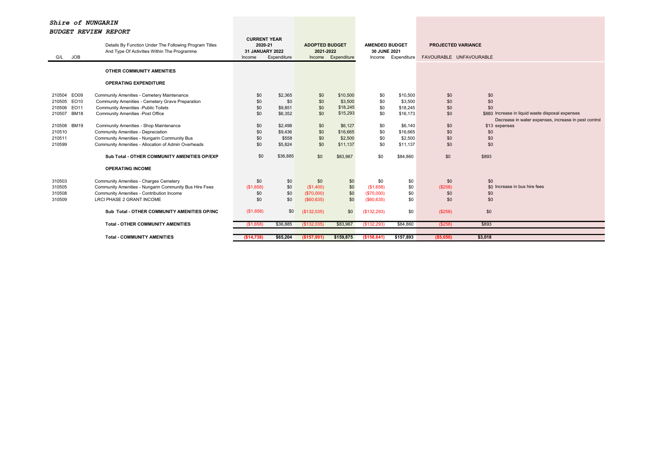| <b>JOB</b><br>G/L                                                  | Details By Function Under The Following Program Titles<br>And Type Of Activities Within The Programme                                                                               | <b>CURRENT YEAR</b><br>2020-21<br>31 JANUARY 2022<br>Income | Expenditure                            | <b>ADOPTED BUDGET</b><br>2021-2022<br>Income    | Expenditure                                 | <b>AMENDED BUDGET</b><br>30 JUNE 2021<br>Income | Expenditure                                 | <b>PROJECTED VARIANCE</b><br>FAVOURABLE UNFAVOURABLE |                                                                                                                               |
|--------------------------------------------------------------------|-------------------------------------------------------------------------------------------------------------------------------------------------------------------------------------|-------------------------------------------------------------|----------------------------------------|-------------------------------------------------|---------------------------------------------|-------------------------------------------------|---------------------------------------------|------------------------------------------------------|-------------------------------------------------------------------------------------------------------------------------------|
|                                                                    | OTHER COMMUNITY AMENITIES                                                                                                                                                           |                                                             |                                        |                                                 |                                             |                                                 |                                             |                                                      |                                                                                                                               |
|                                                                    | <b>OPERATING EXPENDITURE</b>                                                                                                                                                        |                                                             |                                        |                                                 |                                             |                                                 |                                             |                                                      |                                                                                                                               |
| 210504 EO09<br>210505 EO10<br>210506 EO11<br>210507<br><b>BM18</b> | Community Amenities - Cemetery Maintenance<br>Community Amenities - Cemetery Grave Preparation<br><b>Community Amenities -Public Toilets</b><br>Community Amenities - Post Office   | \$0<br>\$0<br>\$0<br>\$0                                    | \$2,365<br>\$0<br>\$9,851<br>\$6,352   | \$0<br>\$0<br>\$0<br>\$0                        | \$10,500<br>\$3,500<br>\$18,245<br>\$15,293 | \$0<br>\$0<br>\$0<br>\$0                        | \$10,500<br>\$3,500<br>\$18,245<br>\$16,173 | \$0<br>\$0<br>\$0<br>\$0                             | \$0<br>\$0<br>\$0<br>\$880 Increase in liquid waste disposal expenses<br>Decrease in water expenses, increase in pest control |
| 210508 BM19<br>210510<br>210511<br>210599                          | Community Amenities - Shop Maintenance<br>Community Amenities - Depreciation<br>Community Amenities - Nungarin Community Bus<br>Community Amenities - Allocation of Admin Overheads | \$0<br>\$0<br>\$0<br>\$0                                    | \$2,498<br>\$9,436<br>\$558<br>\$5,824 | \$0<br>\$0<br>\$0<br>\$0                        | \$6,127<br>\$16,665<br>\$2,500<br>\$11,137  | \$0<br>\$0<br>\$0<br>\$0                        | \$6,140<br>\$16,665<br>\$2,500<br>\$11,137  | \$0<br>\$0<br>\$0<br>\$0                             | \$13 expenses<br>\$0<br>\$0<br>\$0                                                                                            |
|                                                                    | Sub Total - OTHER COMMUNITY AMENITIES OP/EXP                                                                                                                                        | \$0                                                         | \$36,885                               | \$0                                             | \$83,967                                    | \$0                                             | \$84,860                                    | \$0                                                  | \$893                                                                                                                         |
|                                                                    | <b>OPERATING INCOME</b>                                                                                                                                                             |                                                             |                                        |                                                 |                                             |                                                 |                                             |                                                      |                                                                                                                               |
| 310503<br>310505<br>310508<br>310509                               | Community Amenities - Charges Cemetery<br>Community Amenities - Nungarin Community Bus Hire Fees<br>Community Amenities - Contribution Income<br><b>LRCI PHASE 2 GRANT INCOME</b>   | \$0<br>(\$1,658)<br>\$0<br>\$0                              | \$0<br>\$0<br>\$0<br>\$0               | \$0<br>(\$1,400)<br>(\$70,000)<br>$($ \$60,635) | \$0<br>\$0<br>\$0<br>\$0                    | \$0<br>(\$1,658)<br>(\$70,000)<br>$($ \$60,635) | \$0<br>\$0<br>\$0<br>\$0                    | \$0<br>(\$258)<br>\$0<br>\$0                         | \$0<br>\$0 Increase in bus hire fees<br>\$0<br>\$0                                                                            |
|                                                                    | Sub Total - OTHER COMMUNITY AMENITIES OP/INC                                                                                                                                        | (\$1,658)                                                   | \$0                                    | (\$132,035)                                     | \$0                                         | (\$132,293)                                     | \$0                                         | (\$258)                                              | \$0                                                                                                                           |
|                                                                    | <b>Total - OTHER COMMUNITY AMENITIES</b>                                                                                                                                            | (\$1,658)                                                   | \$36,885                               | (\$132,035)                                     | \$83,967                                    | (\$132,293)                                     | \$84,860                                    | (\$258)                                              | \$893                                                                                                                         |
|                                                                    | <b>Total - COMMUNITY AMENITIES</b>                                                                                                                                                  | (\$14,738)                                                  | \$65,204                               | (\$157,991)                                     | \$159,875                                   | (\$158,641)                                     | \$157,893                                   | (\$5,650)                                            | \$3,018                                                                                                                       |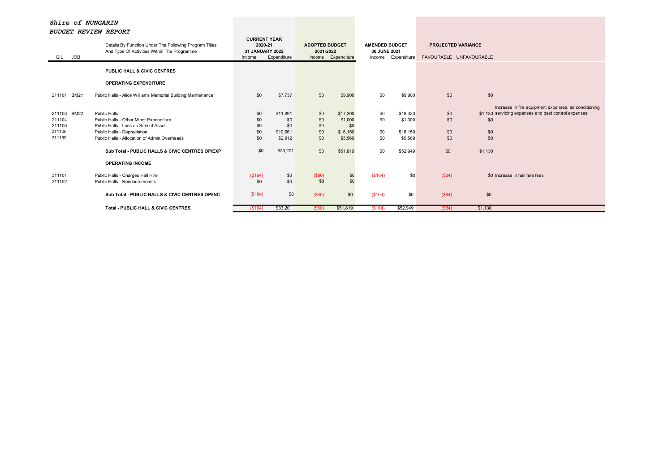|                                                     | popert neview neroni                                                                                                                                                                                                               |                                                                    |                                                           |                                              |                                                               |                                                                |                                                        |                                                      |                                                                                                                                               |  |
|-----------------------------------------------------|------------------------------------------------------------------------------------------------------------------------------------------------------------------------------------------------------------------------------------|--------------------------------------------------------------------|-----------------------------------------------------------|----------------------------------------------|---------------------------------------------------------------|----------------------------------------------------------------|--------------------------------------------------------|------------------------------------------------------|-----------------------------------------------------------------------------------------------------------------------------------------------|--|
| <b>JOB</b><br>G/L                                   | Details By Function Under The Following Program Titles<br>And Type Of Activities Within The Programme                                                                                                                              | <b>CURRENT YEAR</b><br>2020-21<br><b>31 JANUARY 2022</b><br>Income | Expenditure                                               | <b>ADOPTED BUDGET</b><br>2021-2022<br>Income | Expenditure                                                   | <b>AMENDED BUDGET</b><br>30 JUNE 2021<br>Expenditure<br>Income |                                                        | <b>PROJECTED VARIANCE</b><br>FAVOURABLE UNFAVOURABLE |                                                                                                                                               |  |
|                                                     | <b>PUBLIC HALL &amp; CIVIC CENTRES</b>                                                                                                                                                                                             |                                                                    |                                                           |                                              |                                                               |                                                                |                                                        |                                                      |                                                                                                                                               |  |
|                                                     | <b>OPERATING EXPENDITURE</b>                                                                                                                                                                                                       |                                                                    |                                                           |                                              |                                                               |                                                                |                                                        |                                                      |                                                                                                                                               |  |
| <b>BM21</b><br>211101                               | Public Halls - Alice Williams Memorial Building Maintenance                                                                                                                                                                        | \$0                                                                | \$7,737                                                   | \$0                                          | \$9,900                                                       | \$0                                                            | \$9,900                                                | \$0                                                  | \$0                                                                                                                                           |  |
| 211103 BM22<br>211104<br>211105<br>211106<br>211199 | Public Halls -<br>Public Halls - Other Minor Expenditure<br>Public Halls - Loss on Sale of Asset<br>Public Halls - Depreciation<br>Public Halls - Allocation of Admin Overheads<br>Sub Total - PUBLIC HALLS & CIVIC CENTRES OP/EXP | \$0<br>\$0<br>\$0<br>\$0<br>\$0<br>\$0                             | \$11,891<br>\$0<br>\$0<br>\$10,661<br>\$2,912<br>\$33,201 | \$0<br>\$0<br>\$0<br>\$0<br>\$0<br>\$0       | \$17,200<br>\$1,000<br>\$0<br>\$18,150<br>\$5,569<br>\$51,819 | \$0<br>\$0<br>\$0<br>\$0<br>\$0                                | \$18,330<br>\$1,000<br>\$18,150<br>\$5,569<br>\$52,949 | \$0<br>\$0<br>\$0<br>\$0<br>\$0                      | Increase in fire equipment expenses, air conditioning<br>\$1,130 servicing expenses and pest control expenses<br>\$0<br>\$0<br>\$0<br>\$1,130 |  |
| 311101<br>311102                                    | <b>OPERATING INCOME</b><br>Public Halls - Charges Hall Hire<br>Public Halls - Reimbursements<br>Sub Total - PUBLIC HALLS & CIVIC CENTRES OP/INC                                                                                    | (\$164)<br>\$0<br>(\$164)                                          | \$0<br>\$0<br>\$0                                         | (\$80)<br>\$0<br>(\$80)                      | \$0<br>\$0<br>\$0                                             | (\$164)<br>(\$164)                                             | \$0<br>\$0                                             | (S84)<br>(\$84)                                      | \$0 Increase in hall hire fees<br>\$0                                                                                                         |  |
|                                                     | <b>Total - PUBLIC HALL &amp; CIVIC CENTRES</b>                                                                                                                                                                                     | (\$164)                                                            | \$33,201                                                  | (\$80)                                       | \$51,819                                                      | (\$164)                                                        | \$52,949                                               | (\$84)                                               | \$1,130                                                                                                                                       |  |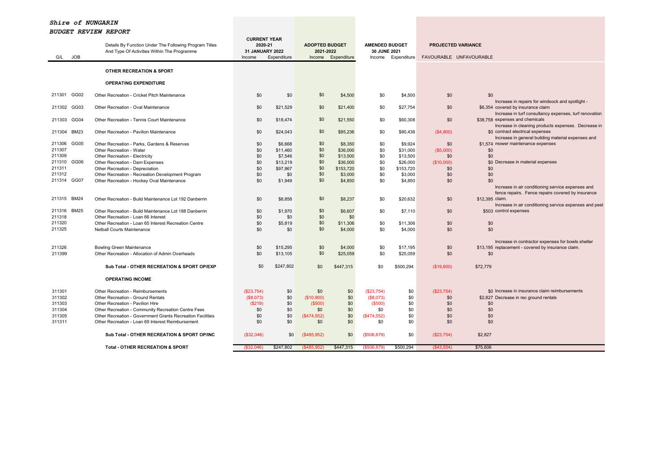| <b>OTHER RECREATION &amp; SPORT</b><br><b>OPERATING EXPENDITURE</b><br>GG02<br>211301<br>\$0<br>Other Recreation - Cricket Pitch Maintenance<br>\$0<br>\$0<br>\$4,500<br>\$0<br>\$4,500<br>\$0<br>\$0<br>Increase in repairs for windsock and spotlight -<br>\$0<br>\$6,354 covered by insurance claim<br>211302 GG03<br>Other Recreation - Oval Maintenance<br>\$0<br>\$21,529<br>\$21,400<br>\$0<br>\$27,754<br>\$0<br>Increase in turf consultancy expenses, turf renovation<br>\$0<br>GG04<br>Other Recreation - Tennis Court Maintenance<br>\$0<br>\$21,550<br>\$0<br>\$0<br>\$38,758 expenses and chemicals<br>211303<br>\$18,474<br>\$60,308<br>Increase in cleaning products expenses. Decrease in<br>\$0<br>\$0 contract electrical expenses<br><b>BM23</b><br>Other Recreation - Pavilion Maintenance<br>\$0<br>\$24,043<br>\$85,236<br>\$0<br>\$80,436<br>(\$4,800)<br>211304<br>Increase in general building material expenses and<br>211306<br>GG05<br>\$0<br>\$0<br>\$0<br>\$1,574 mower maintenance expenses<br>Other Recreation - Parks, Gardens & Reserves<br>\$6,668<br>\$8,350<br>\$9.924<br>\$0<br>\$0<br>211307<br>\$0<br>\$36,000<br>\$0<br>\$31,000<br>(\$5,000)<br>Other Recreation - Water<br>\$11,460<br>\$0<br>\$0<br>211309<br>\$0<br>\$0<br>\$7,546<br>\$13,500<br>\$13,500<br>\$0<br>\$0<br>Other Recreation - Electricity<br>GG06<br>\$0<br>211310<br>\$0<br>\$0<br>\$0 Decrease in material expenses<br>Other Recreation - Dam Expenses<br>\$13,219<br>\$36,000<br>\$26,000<br>(\$10,000)<br>\$0<br>211311<br>\$0<br>\$0<br>Other Recreation - Depreciation<br>\$97,867<br>\$153,720<br>\$153,720<br>\$0<br>\$0<br>\$0<br>211312<br>\$0<br>\$3,000<br>\$0<br>\$3,000<br>\$0<br>\$0<br>Other Recreation - Recreation Development Program<br>\$0<br>\$0<br>211314 GG07<br>Other Recreation - Hockey Oval Maintenance<br>\$0<br>\$1,949<br>\$4,850<br>\$0<br>\$0<br>\$0<br>\$4,850<br>Increase in air conditioning service expenses and<br>fence repairs. Fence repairs covered by insurance<br><b>BM24</b><br>\$0<br>211315<br>Other Recreation - Build Maintenance Lot 192 Danberrin<br>\$0<br>\$8,858<br>\$8,237<br>\$0<br>\$20,632<br>\$0<br>\$12,395 claim.<br>Increase in air conditioning service expenses and pest<br>211316 BM25<br>\$0 |  |
|-------------------------------------------------------------------------------------------------------------------------------------------------------------------------------------------------------------------------------------------------------------------------------------------------------------------------------------------------------------------------------------------------------------------------------------------------------------------------------------------------------------------------------------------------------------------------------------------------------------------------------------------------------------------------------------------------------------------------------------------------------------------------------------------------------------------------------------------------------------------------------------------------------------------------------------------------------------------------------------------------------------------------------------------------------------------------------------------------------------------------------------------------------------------------------------------------------------------------------------------------------------------------------------------------------------------------------------------------------------------------------------------------------------------------------------------------------------------------------------------------------------------------------------------------------------------------------------------------------------------------------------------------------------------------------------------------------------------------------------------------------------------------------------------------------------------------------------------------------------------------------------------------------------------------------------------------------------------------------------------------------------------------------------------------------------------------------------------------------------------------------------------------------------------------------------------------------------------------------------------------------------------------------|--|
|                                                                                                                                                                                                                                                                                                                                                                                                                                                                                                                                                                                                                                                                                                                                                                                                                                                                                                                                                                                                                                                                                                                                                                                                                                                                                                                                                                                                                                                                                                                                                                                                                                                                                                                                                                                                                                                                                                                                                                                                                                                                                                                                                                                                                                                                               |  |
|                                                                                                                                                                                                                                                                                                                                                                                                                                                                                                                                                                                                                                                                                                                                                                                                                                                                                                                                                                                                                                                                                                                                                                                                                                                                                                                                                                                                                                                                                                                                                                                                                                                                                                                                                                                                                                                                                                                                                                                                                                                                                                                                                                                                                                                                               |  |
|                                                                                                                                                                                                                                                                                                                                                                                                                                                                                                                                                                                                                                                                                                                                                                                                                                                                                                                                                                                                                                                                                                                                                                                                                                                                                                                                                                                                                                                                                                                                                                                                                                                                                                                                                                                                                                                                                                                                                                                                                                                                                                                                                                                                                                                                               |  |
|                                                                                                                                                                                                                                                                                                                                                                                                                                                                                                                                                                                                                                                                                                                                                                                                                                                                                                                                                                                                                                                                                                                                                                                                                                                                                                                                                                                                                                                                                                                                                                                                                                                                                                                                                                                                                                                                                                                                                                                                                                                                                                                                                                                                                                                                               |  |
|                                                                                                                                                                                                                                                                                                                                                                                                                                                                                                                                                                                                                                                                                                                                                                                                                                                                                                                                                                                                                                                                                                                                                                                                                                                                                                                                                                                                                                                                                                                                                                                                                                                                                                                                                                                                                                                                                                                                                                                                                                                                                                                                                                                                                                                                               |  |
|                                                                                                                                                                                                                                                                                                                                                                                                                                                                                                                                                                                                                                                                                                                                                                                                                                                                                                                                                                                                                                                                                                                                                                                                                                                                                                                                                                                                                                                                                                                                                                                                                                                                                                                                                                                                                                                                                                                                                                                                                                                                                                                                                                                                                                                                               |  |
|                                                                                                                                                                                                                                                                                                                                                                                                                                                                                                                                                                                                                                                                                                                                                                                                                                                                                                                                                                                                                                                                                                                                                                                                                                                                                                                                                                                                                                                                                                                                                                                                                                                                                                                                                                                                                                                                                                                                                                                                                                                                                                                                                                                                                                                                               |  |
|                                                                                                                                                                                                                                                                                                                                                                                                                                                                                                                                                                                                                                                                                                                                                                                                                                                                                                                                                                                                                                                                                                                                                                                                                                                                                                                                                                                                                                                                                                                                                                                                                                                                                                                                                                                                                                                                                                                                                                                                                                                                                                                                                                                                                                                                               |  |
|                                                                                                                                                                                                                                                                                                                                                                                                                                                                                                                                                                                                                                                                                                                                                                                                                                                                                                                                                                                                                                                                                                                                                                                                                                                                                                                                                                                                                                                                                                                                                                                                                                                                                                                                                                                                                                                                                                                                                                                                                                                                                                                                                                                                                                                                               |  |
|                                                                                                                                                                                                                                                                                                                                                                                                                                                                                                                                                                                                                                                                                                                                                                                                                                                                                                                                                                                                                                                                                                                                                                                                                                                                                                                                                                                                                                                                                                                                                                                                                                                                                                                                                                                                                                                                                                                                                                                                                                                                                                                                                                                                                                                                               |  |
|                                                                                                                                                                                                                                                                                                                                                                                                                                                                                                                                                                                                                                                                                                                                                                                                                                                                                                                                                                                                                                                                                                                                                                                                                                                                                                                                                                                                                                                                                                                                                                                                                                                                                                                                                                                                                                                                                                                                                                                                                                                                                                                                                                                                                                                                               |  |
|                                                                                                                                                                                                                                                                                                                                                                                                                                                                                                                                                                                                                                                                                                                                                                                                                                                                                                                                                                                                                                                                                                                                                                                                                                                                                                                                                                                                                                                                                                                                                                                                                                                                                                                                                                                                                                                                                                                                                                                                                                                                                                                                                                                                                                                                               |  |
|                                                                                                                                                                                                                                                                                                                                                                                                                                                                                                                                                                                                                                                                                                                                                                                                                                                                                                                                                                                                                                                                                                                                                                                                                                                                                                                                                                                                                                                                                                                                                                                                                                                                                                                                                                                                                                                                                                                                                                                                                                                                                                                                                                                                                                                                               |  |
|                                                                                                                                                                                                                                                                                                                                                                                                                                                                                                                                                                                                                                                                                                                                                                                                                                                                                                                                                                                                                                                                                                                                                                                                                                                                                                                                                                                                                                                                                                                                                                                                                                                                                                                                                                                                                                                                                                                                                                                                                                                                                                                                                                                                                                                                               |  |
|                                                                                                                                                                                                                                                                                                                                                                                                                                                                                                                                                                                                                                                                                                                                                                                                                                                                                                                                                                                                                                                                                                                                                                                                                                                                                                                                                                                                                                                                                                                                                                                                                                                                                                                                                                                                                                                                                                                                                                                                                                                                                                                                                                                                                                                                               |  |
| \$503 control expenses<br>Other Recreation - Build Maintenance Lot 188 Danberrin<br>\$0<br>\$0<br>\$1,970<br>\$6,607<br>\$0<br>\$7,110                                                                                                                                                                                                                                                                                                                                                                                                                                                                                                                                                                                                                                                                                                                                                                                                                                                                                                                                                                                                                                                                                                                                                                                                                                                                                                                                                                                                                                                                                                                                                                                                                                                                                                                                                                                                                                                                                                                                                                                                                                                                                                                                        |  |
| \$0<br>211318<br>Other Recreation - Loan 66 Interest<br>\$0<br>\$0<br>\$0<br>\$0<br>211320                                                                                                                                                                                                                                                                                                                                                                                                                                                                                                                                                                                                                                                                                                                                                                                                                                                                                                                                                                                                                                                                                                                                                                                                                                                                                                                                                                                                                                                                                                                                                                                                                                                                                                                                                                                                                                                                                                                                                                                                                                                                                                                                                                                    |  |
| Other Recreation - Loan 65 Interest Recreation Centre<br>\$0<br>\$5,819<br>\$11,306<br>\$0<br>\$11,306<br>\$0<br>\$0<br>\$0<br>211325<br>\$0<br>\$0<br>\$0<br><b>Netball Courts Maintenance</b><br>\$0<br>\$4,000<br>\$4,000<br>\$0                                                                                                                                                                                                                                                                                                                                                                                                                                                                                                                                                                                                                                                                                                                                                                                                                                                                                                                                                                                                                                                                                                                                                                                                                                                                                                                                                                                                                                                                                                                                                                                                                                                                                                                                                                                                                                                                                                                                                                                                                                           |  |
|                                                                                                                                                                                                                                                                                                                                                                                                                                                                                                                                                                                                                                                                                                                                                                                                                                                                                                                                                                                                                                                                                                                                                                                                                                                                                                                                                                                                                                                                                                                                                                                                                                                                                                                                                                                                                                                                                                                                                                                                                                                                                                                                                                                                                                                                               |  |
| Increase in contractor expenses for bowls shelter                                                                                                                                                                                                                                                                                                                                                                                                                                                                                                                                                                                                                                                                                                                                                                                                                                                                                                                                                                                                                                                                                                                                                                                                                                                                                                                                                                                                                                                                                                                                                                                                                                                                                                                                                                                                                                                                                                                                                                                                                                                                                                                                                                                                                             |  |
| 211326<br>\$15,295<br>\$0<br>\$4,000<br>\$17,195<br>\$13,195 replacement - covered by insurance claim.<br><b>Bowling Green Maintenance</b><br>\$0<br>\$0<br>\$0<br>\$0<br>\$0<br>\$0<br>211399<br>Other Recreation - Allocation of Admin Overheads<br>\$13,105<br>\$25,059<br>\$25,059<br>\$0<br>\$0                                                                                                                                                                                                                                                                                                                                                                                                                                                                                                                                                                                                                                                                                                                                                                                                                                                                                                                                                                                                                                                                                                                                                                                                                                                                                                                                                                                                                                                                                                                                                                                                                                                                                                                                                                                                                                                                                                                                                                          |  |
|                                                                                                                                                                                                                                                                                                                                                                                                                                                                                                                                                                                                                                                                                                                                                                                                                                                                                                                                                                                                                                                                                                                                                                                                                                                                                                                                                                                                                                                                                                                                                                                                                                                                                                                                                                                                                                                                                                                                                                                                                                                                                                                                                                                                                                                                               |  |
| \$0<br>\$247,802<br>\$0<br>Sub Total - OTHER RECREATION & SPORT OP/EXP<br>\$447,315<br>\$0<br>\$500,294<br>(\$19,800)<br>\$72,779                                                                                                                                                                                                                                                                                                                                                                                                                                                                                                                                                                                                                                                                                                                                                                                                                                                                                                                                                                                                                                                                                                                                                                                                                                                                                                                                                                                                                                                                                                                                                                                                                                                                                                                                                                                                                                                                                                                                                                                                                                                                                                                                             |  |
| <b>OPERATING INCOME</b>                                                                                                                                                                                                                                                                                                                                                                                                                                                                                                                                                                                                                                                                                                                                                                                                                                                                                                                                                                                                                                                                                                                                                                                                                                                                                                                                                                                                                                                                                                                                                                                                                                                                                                                                                                                                                                                                                                                                                                                                                                                                                                                                                                                                                                                       |  |
| \$0 Increase in insurance claim reimbursements<br>311301<br>Other Recreation - Reimbursements<br>(\$23,754)<br>\$0<br>\$0<br>\$0<br>(\$23,754)<br>\$0<br>(\$23,754)                                                                                                                                                                                                                                                                                                                                                                                                                                                                                                                                                                                                                                                                                                                                                                                                                                                                                                                                                                                                                                                                                                                                                                                                                                                                                                                                                                                                                                                                                                                                                                                                                                                                                                                                                                                                                                                                                                                                                                                                                                                                                                           |  |
| 311302<br>Other Recreation - Ground Rentals<br>(\$8,073)<br>\$0<br>(\$10,900)<br>\$0<br>(\$8,073)<br>\$0<br>\$0<br>\$2,827 Decrease in rec ground rentals                                                                                                                                                                                                                                                                                                                                                                                                                                                                                                                                                                                                                                                                                                                                                                                                                                                                                                                                                                                                                                                                                                                                                                                                                                                                                                                                                                                                                                                                                                                                                                                                                                                                                                                                                                                                                                                                                                                                                                                                                                                                                                                     |  |
| \$0<br>311303<br>Other Recreation - Pavilion Hire<br>(\$219)<br>\$0<br>(\$500)<br>\$0<br>\$0<br>\$0<br>(\$500)                                                                                                                                                                                                                                                                                                                                                                                                                                                                                                                                                                                                                                                                                                                                                                                                                                                                                                                                                                                                                                                                                                                                                                                                                                                                                                                                                                                                                                                                                                                                                                                                                                                                                                                                                                                                                                                                                                                                                                                                                                                                                                                                                                |  |
| 311304<br>Other Recreation - Community Recreation Centre Fees<br>\$0<br>\$0<br>\$0<br>\$0<br>\$0<br>\$0<br>\$0<br>\$0                                                                                                                                                                                                                                                                                                                                                                                                                                                                                                                                                                                                                                                                                                                                                                                                                                                                                                                                                                                                                                                                                                                                                                                                                                                                                                                                                                                                                                                                                                                                                                                                                                                                                                                                                                                                                                                                                                                                                                                                                                                                                                                                                         |  |
| 311305<br>Other Recreation - Government Grants Recreation Facilities<br>\$0<br>\$0<br>(\$474,552)<br>\$0<br>(\$474,552)<br>\$0<br>\$0<br>\$0                                                                                                                                                                                                                                                                                                                                                                                                                                                                                                                                                                                                                                                                                                                                                                                                                                                                                                                                                                                                                                                                                                                                                                                                                                                                                                                                                                                                                                                                                                                                                                                                                                                                                                                                                                                                                                                                                                                                                                                                                                                                                                                                  |  |
| \$0<br>\$0<br>\$0<br>\$0<br>\$0<br>311311<br>Other Recreation - Loan 69 Interest Reimbursement<br>\$0<br>\$0<br>\$0                                                                                                                                                                                                                                                                                                                                                                                                                                                                                                                                                                                                                                                                                                                                                                                                                                                                                                                                                                                                                                                                                                                                                                                                                                                                                                                                                                                                                                                                                                                                                                                                                                                                                                                                                                                                                                                                                                                                                                                                                                                                                                                                                           |  |
| (\$32,046)<br>\$0<br>\$0<br>\$2,827<br>Sub Total - OTHER RECREATION & SPORT OP/INC<br>$($ \$485,952)<br>\$0<br>(\$506, 879)<br>(\$23,754)                                                                                                                                                                                                                                                                                                                                                                                                                                                                                                                                                                                                                                                                                                                                                                                                                                                                                                                                                                                                                                                                                                                                                                                                                                                                                                                                                                                                                                                                                                                                                                                                                                                                                                                                                                                                                                                                                                                                                                                                                                                                                                                                     |  |
| <b>Total - OTHER RECREATION &amp; SPORT</b><br>\$247,802<br>\$447,315<br>\$500,294<br>\$75,606<br>(\$32,046)<br>(\$485,952)<br>(\$506, 879)<br>(\$43,554)                                                                                                                                                                                                                                                                                                                                                                                                                                                                                                                                                                                                                                                                                                                                                                                                                                                                                                                                                                                                                                                                                                                                                                                                                                                                                                                                                                                                                                                                                                                                                                                                                                                                                                                                                                                                                                                                                                                                                                                                                                                                                                                     |  |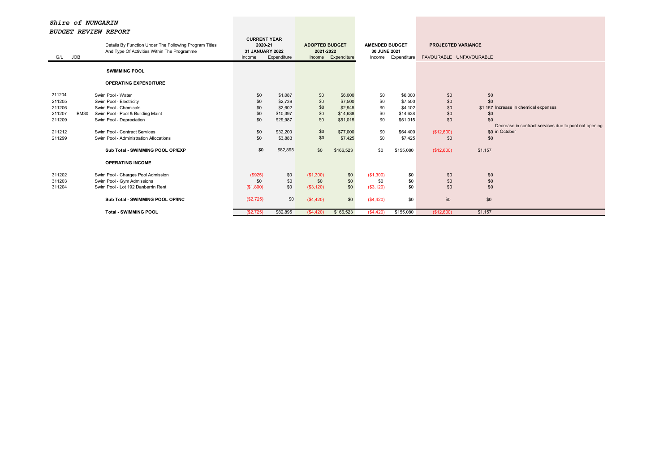| G/L    | JOB         | Details By Function Under The Following Program Titles<br>And Type Of Activities Within The Programme | <b>CURRENT YEAR</b><br>2020-21<br>31 JANUARY 2022<br>Income | Expenditure | <b>ADOPTED BUDGET</b><br>2021-2022 | Income Expenditure | <b>AMENDED BUDGET</b><br>30 JUNE 2021<br>Income | Expenditure | <b>PROJECTED VARIANCE</b><br>FAVOURABLE UNFAVOURABLE |                                                       |
|--------|-------------|-------------------------------------------------------------------------------------------------------|-------------------------------------------------------------|-------------|------------------------------------|--------------------|-------------------------------------------------|-------------|------------------------------------------------------|-------------------------------------------------------|
|        |             | <b>SWIMMING POOL</b>                                                                                  |                                                             |             |                                    |                    |                                                 |             |                                                      |                                                       |
|        |             | <b>OPERATING EXPENDITURE</b>                                                                          |                                                             |             |                                    |                    |                                                 |             |                                                      |                                                       |
| 211204 |             | Swim Pool - Water                                                                                     | \$0                                                         | \$1,087     | \$0                                | \$6,000            | \$0                                             | \$6,000     | \$0                                                  | \$0                                                   |
| 211205 |             | Swim Pool - Electricity                                                                               | \$0                                                         | \$2,739     | \$0                                | \$7,500            | \$0                                             | \$7,500     | \$0                                                  | \$0                                                   |
| 211206 |             | Swim Pool - Chemicals                                                                                 | \$0                                                         | \$2,602     | \$0                                | \$2,945            | \$0                                             | \$4,102     | \$0                                                  | \$1,157 Increase in chemical expenses                 |
| 211207 | <b>BM30</b> | Swim Pool - Pool & Building Maint                                                                     | \$0                                                         | \$10,397    | \$0                                | \$14,638           | \$0                                             | \$14,638    | \$0                                                  | \$0                                                   |
| 211209 |             | Swim Pool - Depreciation                                                                              | \$0                                                         | \$29,987    | \$0                                | \$51,015           | \$0                                             | \$51,015    | \$0                                                  | \$0                                                   |
|        |             |                                                                                                       |                                                             |             |                                    |                    |                                                 |             |                                                      | Decrease in contract services due to pool not opening |
| 211212 |             | Swim Pool - Contract Services                                                                         | \$0                                                         | \$32,200    | \$0                                | \$77,000           | \$0                                             | \$64,400    | (\$12,600)                                           | \$0 in October                                        |
| 211299 |             | Swim Pool - Administration Allocations                                                                | \$0                                                         | \$3,883     | \$0                                | \$7,425            | \$0                                             | \$7,425     | \$0                                                  | \$0                                                   |
|        |             | Sub Total - SWIMMING POOL OP/EXP                                                                      | \$0                                                         | \$82,895    | \$0                                | \$166,523          | \$0                                             | \$155,080   | (\$12,600)                                           | \$1,157                                               |
|        |             | <b>OPERATING INCOME</b>                                                                               |                                                             |             |                                    |                    |                                                 |             |                                                      |                                                       |
| 311202 |             | Swim Pool - Charges Pool Admission                                                                    | (\$925)                                                     | \$0         | (\$1,300)                          | \$0                | (\$1,300)                                       | \$0         | \$0                                                  | \$0                                                   |
| 311203 |             | Swim Pool - Gym Admissions                                                                            | \$0                                                         | \$0         | \$0                                | \$0                | \$0                                             | \$0         | \$0                                                  | \$0                                                   |
| 311204 |             | Swim Pool - Lot 192 Danberrin Rent                                                                    | (\$1,800)                                                   | \$0         | (\$3,120)                          | \$0                | (\$3,120)                                       | \$0         | \$0                                                  | \$0                                                   |
|        |             |                                                                                                       |                                                             |             |                                    |                    |                                                 |             |                                                      |                                                       |
|        |             | Sub Total - SWIMMING POOL OP/INC                                                                      | (\$2,725)                                                   | \$0         | (\$4,420)                          | \$0                | (S4, 420)                                       | \$0         | \$0                                                  | \$0                                                   |
|        |             | <b>Total - SWIMMING POOL</b>                                                                          | (S2, 725)                                                   | \$82,895    | (S4, 420)                          | \$166,523          | (S4, 420)                                       | \$155,080   | (\$12,600)                                           | \$1,157                                               |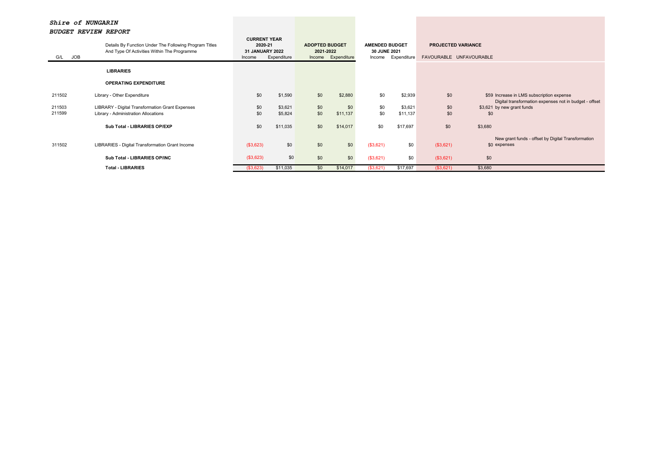| JOB<br>G/L       | Details By Function Under The Following Program Titles<br>And Type Of Activities Within The Programme |            | <b>CURRENT YEAR</b><br>2020-21<br>31 JANUARY 2022<br>Expenditure<br>Income |            | <b>ADOPTED BUDGET</b><br>2021-2022<br>Income Expenditure |            | <b>AMENDED BUDGET</b><br>30 JUNE 2021<br>Expenditure | <b>PROJECTED VARIANCE</b><br>FAVOURABLE UNFAVOURABLE |                                                                                                     |
|------------------|-------------------------------------------------------------------------------------------------------|------------|----------------------------------------------------------------------------|------------|----------------------------------------------------------|------------|------------------------------------------------------|------------------------------------------------------|-----------------------------------------------------------------------------------------------------|
|                  | <b>LIBRARIES</b>                                                                                      |            |                                                                            |            |                                                          |            |                                                      |                                                      |                                                                                                     |
|                  | <b>OPERATING EXPENDITURE</b>                                                                          |            |                                                                            |            |                                                          |            |                                                      |                                                      |                                                                                                     |
| 211502           | Library - Other Expenditure                                                                           | \$0        | \$1,590                                                                    | \$0        | \$2,880                                                  | \$0        | \$2,939                                              | \$0                                                  | \$59 Increase in LMS subscription expense<br>Digital transformation expenses not in budget - offset |
| 211503<br>211599 | LIBRARY - Digital Transformation Grant Expenses<br>Library - Administration Allocations               | \$0<br>\$0 | \$3,621<br>\$5,824                                                         | \$0<br>\$0 | \$0<br>\$11,137                                          | \$0<br>\$0 | \$3,621<br>\$11,137                                  | \$0<br>\$0                                           | \$3,621 by new grant funds<br>\$0                                                                   |
|                  | Sub Total - LIBRARIES OP/EXP                                                                          | \$0        | \$11,035                                                                   | \$0        | \$14,017                                                 | \$0        | \$17,697                                             | \$0                                                  | \$3,680                                                                                             |
| 311502           | LIBRARIES - Digital Transformation Grant Income                                                       | (\$3,623)  | \$0                                                                        | \$0        | \$0                                                      | (\$3,621)  | \$0                                                  | (\$3,621)                                            | New grant funds - offset by Digital Transformation<br>\$0 expenses                                  |
|                  | Sub Total - LIBRARIES OP/INC                                                                          | (\$3,623)  | \$0                                                                        | \$0        | \$0                                                      | (\$3,621)  | \$0                                                  | (\$3,621)                                            | \$0                                                                                                 |
|                  | <b>Total - LIBRARIES</b>                                                                              | (\$3,623)  | \$11,035                                                                   | \$0        | \$14,017                                                 | (\$3,621)  | \$17,697                                             | (\$3,621)                                            | \$3,680                                                                                             |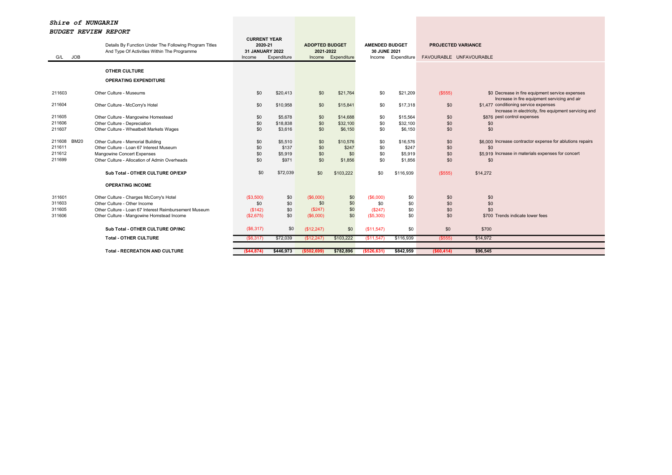| G/L JOB               | Details By Function Under The Following Program Titles<br>And Type Of Activities Within The Programme | <b>CURRENT YEAR</b><br>2020-21<br>31 JANUARY 2022<br>Income | Expenditure | <b>ADOPTED BUDGET</b><br>2021-2022 | Income Expenditure | <b>AMENDED BUDGET</b><br>30 JUNE 2021<br>Income | Expenditure | <b>PROJECTED VARIANCE</b><br>FAVOURABLE UNFAVOURABLE |                                                                                                 |
|-----------------------|-------------------------------------------------------------------------------------------------------|-------------------------------------------------------------|-------------|------------------------------------|--------------------|-------------------------------------------------|-------------|------------------------------------------------------|-------------------------------------------------------------------------------------------------|
|                       | <b>OTHER CULTURE</b>                                                                                  |                                                             |             |                                    |                    |                                                 |             |                                                      |                                                                                                 |
|                       |                                                                                                       |                                                             |             |                                    |                    |                                                 |             |                                                      |                                                                                                 |
|                       | <b>OPERATING EXPENDITURE</b>                                                                          |                                                             |             |                                    |                    |                                                 |             |                                                      |                                                                                                 |
| 211603                | Other Culture - Museums                                                                               | \$0                                                         | \$20,413    | \$0                                | \$21,764           | \$0                                             | \$21,209    | (\$555)                                              | \$0 Decrease in fire equipment service expenses<br>Increase in fire equipment servicing and air |
| 211604                | Other Culture - McCorry's Hotel                                                                       | \$0                                                         | \$10,958    | \$0                                | \$15,841           | \$0                                             | \$17,318    | \$0                                                  | \$1,477 conditioning service expenses<br>Increase in electricity, fire equipment servicing and  |
| 211605                | Other Culture - Mangowine Homestead                                                                   | \$0                                                         | \$5,678     | \$0                                | \$14,688           | \$0                                             | \$15,564    | \$0                                                  | \$876 pest control expenses                                                                     |
| 211606                | Other Culture - Depreciation                                                                          | \$0                                                         | \$18,838    | \$0                                | \$32,100           | \$0                                             | \$32,100    | \$0                                                  | \$0                                                                                             |
| 211607                | Other Culture - Wheatbelt Markets Wages                                                               | \$0                                                         | \$3,616     | \$0                                | \$6,150            | \$0                                             | \$6,150     | \$0                                                  | \$0                                                                                             |
| <b>BM20</b><br>211608 | Other Culture - Memorial Building                                                                     | \$0                                                         | \$5,510     | \$0                                | \$10,576           | \$0                                             | \$16,576    | \$0                                                  | \$6,000 Increase contractor expense for ablutions repairs                                       |
| 211611                | Other Culture - Loan 67 Interest Museum                                                               | \$0                                                         | \$137       | \$0                                | \$247              | \$0                                             | \$247       | \$0                                                  | \$0                                                                                             |
| 211612                | Mangowine Concert Expenses                                                                            | \$0                                                         | \$5,919     | \$0                                | \$0                | \$0                                             | \$5,919     | \$0                                                  | \$5.919 Increase in materials expenses for concert                                              |
| 211699                | Other Culture - Allocation of Admin Overheads                                                         | \$0                                                         | \$971       | \$0                                | \$1,856            | \$0                                             | \$1,856     | \$0                                                  | \$0                                                                                             |
|                       | Sub Total - OTHER CULTURE OP/EXP                                                                      | \$0                                                         | \$72,039    | \$0                                | \$103,222          | \$0                                             | \$116.939   | (\$555)                                              | \$14,272                                                                                        |
|                       | <b>OPERATING INCOME</b>                                                                               |                                                             |             |                                    |                    |                                                 |             |                                                      |                                                                                                 |
| 311601                | Other Culture - Charges McCorry's Hotel                                                               | (S3,500)                                                    | \$0         | (\$6,000)                          | \$0                | $($ \$6,000)                                    | \$0         | \$0                                                  | \$0                                                                                             |
| 311603                | Other Culture - Other Income                                                                          | \$0                                                         | \$0         | \$0                                | \$0                | \$0                                             | \$0         | \$0                                                  | \$0                                                                                             |
| 311605                | Other Culture - Loan 67 Interest Reimbursement Museum                                                 | (\$142)                                                     | \$0         | (S247)                             | \$0                | (S247)                                          | \$0         | \$0                                                  | \$0                                                                                             |
| 311606                | Other Culture - Mangowine Homstead Income                                                             | (\$2,675)                                                   | \$0         | (\$6,000)                          | \$0                | ( \$5,300)                                      | \$0         | \$0                                                  | \$700 Trends indicate lower fees                                                                |
|                       | Sub Total - OTHER CULTURE OP/INC                                                                      | (\$6,317)                                                   | \$0         | (\$12,247)                         | \$0                | (S11, 547)                                      | \$0         | \$0                                                  | \$700                                                                                           |
|                       | <b>Total - OTHER CULTURE</b>                                                                          | (S6, 317)                                                   | \$72,039    | (\$12,247)                         | \$103,222          | (\$11,547)                                      | \$116,939   | (\$555)                                              | \$14,972                                                                                        |
|                       |                                                                                                       |                                                             |             |                                    |                    |                                                 |             |                                                      |                                                                                                 |
|                       | <b>Total - RECREATION AND CULTURE</b>                                                                 | (\$44,874)                                                  | \$446,973   | ( \$502.699)                       | \$782,896          | ( \$526.631)                                    | \$842,959   | ( \$60,414)                                          | \$96,545                                                                                        |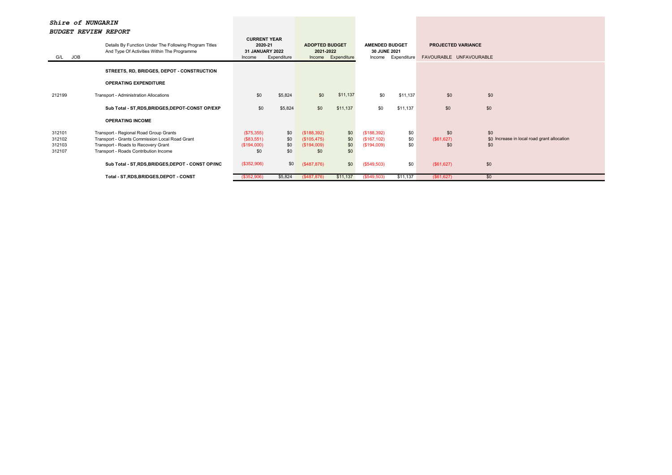| <b>JOB</b><br>G/L                    | Details By Function Under The Following Program Titles<br>And Type Of Activities Within The Programme                                                                    | <b>CURRENT YEAR</b><br>2020-21<br>31 JANUARY 2022<br>Income | Expenditure              | <b>ADOPTED BUDGET</b><br>2021-2022               | Income Expenditure       | <b>AMENDED BUDGET</b><br>30 JUNE 2021<br>Income | Expenditure       | <b>PROJECTED VARIANCE</b><br>FAVOURABLE UNFAVOURABLE |                                                           |
|--------------------------------------|--------------------------------------------------------------------------------------------------------------------------------------------------------------------------|-------------------------------------------------------------|--------------------------|--------------------------------------------------|--------------------------|-------------------------------------------------|-------------------|------------------------------------------------------|-----------------------------------------------------------|
|                                      | STREETS, RD, BRIDGES, DEPOT - CONSTRUCTION                                                                                                                               |                                                             |                          |                                                  |                          |                                                 |                   |                                                      |                                                           |
|                                      | <b>OPERATING EXPENDITURE</b>                                                                                                                                             |                                                             |                          |                                                  |                          |                                                 |                   |                                                      |                                                           |
| 212199                               | Transport - Administration Allocations                                                                                                                                   | \$0                                                         | \$5,824                  | \$0                                              | \$11,137                 | \$0                                             | \$11,137          | \$0                                                  | \$0                                                       |
|                                      | Sub Total - ST, RDS, BRIDGES, DEPOT-CONST OP/EXP                                                                                                                         | \$0                                                         | \$5,824                  | \$0                                              | \$11,137                 | \$0                                             | \$11,137          | \$0                                                  | \$0                                                       |
|                                      | <b>OPERATING INCOME</b>                                                                                                                                                  |                                                             |                          |                                                  |                          |                                                 |                   |                                                      |                                                           |
| 312101<br>312102<br>312103<br>312107 | Transport - Regional Road Group Grants<br>Transport - Grants Commission Local Road Grant<br>Transport - Roads to Recovery Grant<br>Transport - Roads Contribution Income | (\$75,355)<br>(\$83,551)<br>(\$194,000)<br>\$0              | \$0<br>\$0<br>\$0<br>\$0 | (\$188,392)<br>(\$105,475)<br>(\$194,009)<br>\$0 | \$0<br>\$0<br>\$0<br>\$0 | (\$188,392)<br>(\$167, 102)<br>(\$194,009)      | \$0<br>\$0<br>\$0 | \$0<br>(\$61,627)<br>\$0                             | \$0<br>\$0 Increase in local road grant allocation<br>\$0 |
|                                      | Sub Total - ST, RDS, BRIDGES, DEPOT - CONST OP/INC                                                                                                                       | (\$352,906)                                                 | \$0                      | (\$487,876)                                      | \$0                      | (\$549,503)                                     | \$0               | (\$61,627)                                           | \$0                                                       |
|                                      | Total - ST, RDS, BRIDGES, DEPOT - CONST                                                                                                                                  | (\$352,906)                                                 | \$5,824                  | $($ \$487,876)                                   | \$11,137                 | (\$549,503)                                     | \$11,137          | (\$61,627)                                           | \$0                                                       |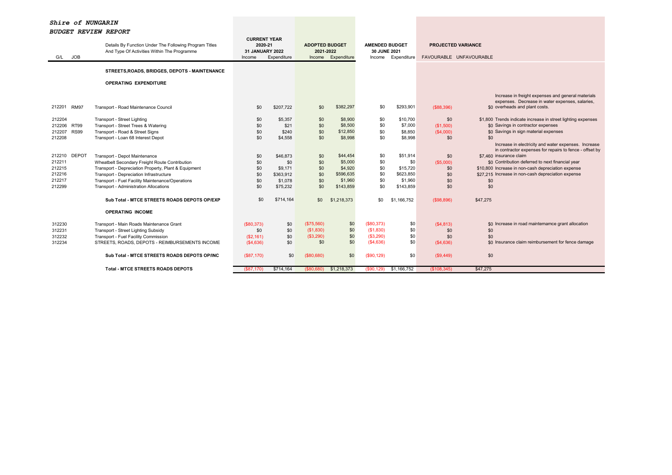| <b>JOB</b><br>G/L                                                        | Details By Function Under The Following Program Titles<br>And Type Of Activities Within The Programme                                                                                                                                                                            | <b>CURRENT YEAR</b><br>2020-21<br>31 JANUARY 2022<br>Income | Expenditure                                                    | <b>ADOPTED BUDGET</b><br>2021-2022           | Income Expenditure                                                  | <b>AMENDED BUDGET</b><br>30 JUNE 2021<br>Income    | Expenditure                                                      | <b>PROJECTED VARIANCE</b><br>FAVOURABLE UNFAVOURABLE |                                                                                                                                                                                                                                                                  |
|--------------------------------------------------------------------------|----------------------------------------------------------------------------------------------------------------------------------------------------------------------------------------------------------------------------------------------------------------------------------|-------------------------------------------------------------|----------------------------------------------------------------|----------------------------------------------|---------------------------------------------------------------------|----------------------------------------------------|------------------------------------------------------------------|------------------------------------------------------|------------------------------------------------------------------------------------------------------------------------------------------------------------------------------------------------------------------------------------------------------------------|
|                                                                          | STREETS, ROADS, BRIDGES, DEPOTS - MAINTENANCE                                                                                                                                                                                                                                    |                                                             |                                                                |                                              |                                                                     |                                                    |                                                                  |                                                      |                                                                                                                                                                                                                                                                  |
|                                                                          | <b>OPERATING EXPENDITURE</b>                                                                                                                                                                                                                                                     |                                                             |                                                                |                                              |                                                                     |                                                    |                                                                  |                                                      |                                                                                                                                                                                                                                                                  |
| 212201<br><b>RM97</b>                                                    | Transport - Road Maintenance Council                                                                                                                                                                                                                                             | \$0                                                         | \$207,722                                                      | \$0                                          | \$382,297                                                           | \$0                                                | \$293,901                                                        | ( \$88, 396)                                         | Increase in freight expenses and general materials<br>expenses. Decrease in water expenses, salaries,<br>\$0 overheads and plant costs.                                                                                                                          |
| 212204<br>212206<br><b>RT99</b><br><b>RS99</b><br>212207<br>212208       | Transport - Street Lighting<br>Transport - Street Trees & Watering<br>Transport - Road & Street Signs<br>Transport - Loan 68 Interest Depot                                                                                                                                      | \$0<br>\$0<br>\$0<br>\$0                                    | \$5,357<br>\$21<br>\$240<br>\$4,558                            | \$0<br>\$0<br>\$0<br>\$0                     | \$8,900<br>\$8,500<br>\$12,850<br>\$8,998                           | \$0<br>\$0<br>\$0<br>\$0                           | \$10,700<br>\$7,000<br>\$8,850<br>\$8,998                        | \$0<br>(\$1,500)<br>(S4,000)<br>\$0                  | \$1,800 Trends indicate increase in street lighting expenses<br>\$0 Savings in contractor expenses<br>\$0 Savings in sign material expenses<br>\$0<br>Increase in electricity and water expenses. Increase                                                       |
| <b>DEPOT</b><br>212210<br>212211<br>212215<br>212216<br>212217<br>212299 | Transport - Depot Maintenance<br>Wheatbelt Secondary Freight Route Contribution<br>Transport - Depreciation Property, Plant & Equipment<br>Transport - Depreciation Infrastructure<br>Transport - Fuel Facility Maintenance/Operations<br>Transport - Administration Allocations | \$0<br>\$0<br>\$0<br>\$0<br>\$0<br>\$0                      | \$46,873<br>\$0<br>\$9,171<br>\$363.912<br>\$1,078<br>\$75,232 | \$0<br>\$0<br>\$0<br>\$0<br>\$0<br>\$0       | \$44,454<br>\$5,000<br>\$4,920<br>\$596.635<br>\$1,960<br>\$143,859 | \$0<br>\$0<br>\$0<br>\$0<br>\$0<br>\$0             | \$51,914<br>\$0<br>\$15,720<br>\$623,850<br>\$1,960<br>\$143.859 | \$0<br>$($ \$5,000)<br>\$0<br>\$0<br>\$0<br>\$0      | in contractor expenses for repairs to fence - offset by<br>\$7,460 insurance claim<br>\$0 Contribution deferred to next financial year<br>\$10,800 Increase in non-cash depreciation expense<br>\$27,215 Increase in non-cash depreciation expense<br>\$0<br>\$0 |
|                                                                          | Sub Total - MTCE STREETS ROADS DEPOTS OP/EXP                                                                                                                                                                                                                                     | \$0                                                         | \$714,164                                                      | \$0                                          | \$1,218,373                                                         | \$0                                                | \$1.166.752                                                      | (\$98,896)                                           | \$47,275                                                                                                                                                                                                                                                         |
|                                                                          | <b>OPERATING INCOME</b>                                                                                                                                                                                                                                                          |                                                             |                                                                |                                              |                                                                     |                                                    |                                                                  |                                                      |                                                                                                                                                                                                                                                                  |
| 312230<br>312231<br>312232<br>312234                                     | Transport - Main Roads Maintenance Grant<br>Transport - Street Lighting Subsidy<br>Transport - Fuel Facility Commission<br>STREETS, ROADS, DEPOTS - REIMBURSEMENTS INCOME                                                                                                        | (\$80,373)<br>\$0<br>(\$2,161)<br>( \$4,636)                | \$0<br>\$0<br>\$0<br>\$0                                       | (\$75,560)<br>(\$1,830)<br>( \$3,290)<br>\$0 | \$0<br>\$0<br>\$0<br>\$0                                            | (\$80,373)<br>(\$1,830)<br>( \$3,290)<br>(\$4,636) | \$0<br>\$0<br>\$0<br>\$0                                         | (S4, 813)<br>\$0<br>\$0<br>(\$4,636)                 | \$0 Increase in road maintemamce grant allocation<br>\$0<br>\$0<br>\$0 Insurance claim reimbursement for fence damage                                                                                                                                            |
|                                                                          | Sub Total - MTCE STREETS ROADS DEPOTS OP/INC                                                                                                                                                                                                                                     | (\$87,170)                                                  | \$0                                                            | $($ \$80,680)                                | \$0                                                                 | (\$90, 129)                                        | \$0                                                              | (S9, 449)                                            | \$0                                                                                                                                                                                                                                                              |
|                                                                          | <b>Total - MTCE STREETS ROADS DEPOTS</b>                                                                                                                                                                                                                                         | (S87.170)                                                   | \$714,164                                                      | (S80.680)                                    | \$1,218,373                                                         | (S90.129)                                          | \$1,166,752                                                      | $($ \$108.345)                                       | \$47,275                                                                                                                                                                                                                                                         |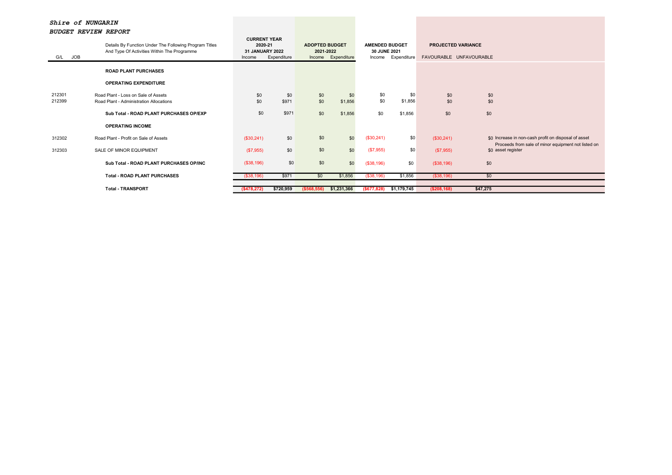| <b>JOB</b><br>G/L | Details By Function Under The Following Program Titles<br>And Type Of Activities Within The Programme | <b>CURRENT YEAR</b><br>2020-21<br>31 JANUARY 2022<br>Income | Expenditure  | <b>ADOPTED BUDGET</b><br>2021-2022 | Income Expenditure | <b>AMENDED BUDGET</b><br>30 JUNE 2021<br>Income | Expenditure    | <b>PROJECTED VARIANCE</b><br>FAVOURABLE UNFAVOURABLE |                                                                                                             |
|-------------------|-------------------------------------------------------------------------------------------------------|-------------------------------------------------------------|--------------|------------------------------------|--------------------|-------------------------------------------------|----------------|------------------------------------------------------|-------------------------------------------------------------------------------------------------------------|
|                   | <b>ROAD PLANT PURCHASES</b>                                                                           |                                                             |              |                                    |                    |                                                 |                |                                                      |                                                                                                             |
|                   | <b>OPERATING EXPENDITURE</b>                                                                          |                                                             |              |                                    |                    |                                                 |                |                                                      |                                                                                                             |
| 212301<br>212399  | Road Plant - Loss on Sale of Assets<br>Road Plant - Administration Allocations                        | \$0<br>\$0                                                  | \$0<br>\$971 | \$0<br>\$0                         | \$0<br>\$1,856     | \$0<br>\$0                                      | \$0<br>\$1,856 | \$0<br>\$0                                           | \$0<br>\$0                                                                                                  |
|                   | Sub Total - ROAD PLANT PURCHASES OP/EXP                                                               | \$0                                                         | \$971        | \$0                                | \$1,856            | \$0                                             | \$1,856        | \$0                                                  | \$0                                                                                                         |
|                   | <b>OPERATING INCOME</b>                                                                               |                                                             |              |                                    |                    |                                                 |                |                                                      |                                                                                                             |
| 312302            | Road Plant - Profit on Sale of Assets                                                                 | (\$30,241)                                                  | \$0          | \$0                                | \$0                | (\$30,241)                                      | \$0            | (\$30,241)                                           | \$0 Increase in non-cash profit on disposal of asset<br>Proceeds from sale of minor equipment not listed on |
| 312303            | SALE OF MINOR EQUIPMENT                                                                               | (\$7,955)                                                   | \$0          | \$0                                | \$0                | (\$7,955)                                       | \$0            | (\$7,955)                                            | \$0 asset register                                                                                          |
|                   | Sub Total - ROAD PLANT PURCHASES OP/INC                                                               | (\$38,196)                                                  | \$0          | \$0                                | \$0                | (\$38,196)                                      | \$0            | (\$38,196)                                           | \$0                                                                                                         |
|                   | <b>Total - ROAD PLANT PURCHASES</b>                                                                   | (\$38,196)                                                  | \$971        | \$0                                | \$1,856            | (\$38,196)                                      | \$1,856        | ( \$38, 196)                                         | \$0                                                                                                         |
|                   | <b>Total - TRANSPORT</b>                                                                              | (\$478,272)                                                 | \$720,959    | ( \$568, 556)                      | \$1,231,366        | ( \$677, 828)                                   | \$1,179,745    | ( \$208, 168)                                        | \$47,275                                                                                                    |
|                   |                                                                                                       |                                                             |              |                                    |                    |                                                 |                |                                                      |                                                                                                             |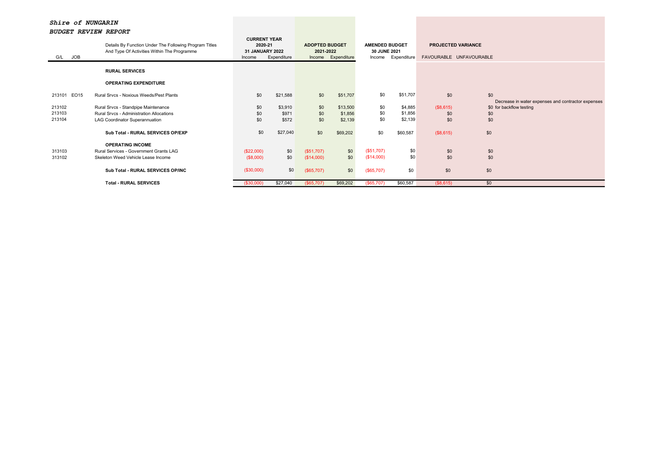| <b>JOB</b><br>G/L | Details By Function Under The Following Program Titles<br>And Type Of Activities Within The Programme | <b>CURRENT YEAR</b><br>2020-21<br>31 JANUARY 2022<br>Expenditure<br>Income |          | <b>ADOPTED BUDGET</b><br>2021-2022<br>Income Expenditure |          | <b>AMENDED BUDGET</b><br>30 JUNE 2021<br>Expenditure<br>Income |          | <b>PROJECTED VARIANCE</b><br>FAVOURABLE UNFAVOURABLE |     |                                                    |
|-------------------|-------------------------------------------------------------------------------------------------------|----------------------------------------------------------------------------|----------|----------------------------------------------------------|----------|----------------------------------------------------------------|----------|------------------------------------------------------|-----|----------------------------------------------------|
|                   | <b>RURAL SERVICES</b>                                                                                 |                                                                            |          |                                                          |          |                                                                |          |                                                      |     |                                                    |
|                   | <b>OPERATING EXPENDITURE</b>                                                                          |                                                                            |          |                                                          |          |                                                                |          |                                                      |     |                                                    |
| 213101 EO15       | Rural Srvcs - Noxious Weeds/Pest Plants                                                               | \$0                                                                        | \$21,588 | \$0                                                      | \$51,707 | \$0                                                            | \$51,707 | \$0                                                  | \$0 | Decrease in water expenses and contractor expenses |
| 213102            | Rural Srvcs - Standpipe Maintenance                                                                   | \$0                                                                        | \$3,910  | \$0                                                      | \$13,500 | \$0                                                            | \$4,885  | (\$8,615)                                            |     | \$0 for backflow testing                           |
| 213103            | Rural Srvcs - Administration Allocations                                                              | \$0                                                                        | \$971    | \$0                                                      | \$1,856  | \$0                                                            | \$1,856  | \$0                                                  | \$0 |                                                    |
| 213104            | LAG Coordinator Superannuation                                                                        | \$0                                                                        | \$572    | \$0                                                      | \$2,139  | \$0                                                            | \$2,139  | \$0                                                  | \$0 |                                                    |
|                   | Sub Total - RURAL SERVICES OP/EXP                                                                     | \$0                                                                        | \$27,040 | \$0                                                      | \$69,202 | \$0                                                            | \$60,587 | (\$8,615)                                            | \$0 |                                                    |
|                   | <b>OPERATING INCOME</b>                                                                               |                                                                            |          |                                                          |          |                                                                |          |                                                      |     |                                                    |
| 313103            | Rural Services - Government Grants LAG                                                                | (\$22,000)                                                                 | \$0      | (S51,707)                                                | \$0      | (S51,707)                                                      | \$0      | \$0                                                  | \$0 |                                                    |
| 313102            | Skeleton Weed Vehicle Lease Income                                                                    | (\$8,000)                                                                  | \$0      | (\$14,000)                                               | \$0      | (\$14,000)                                                     | \$0      | \$0                                                  | \$0 |                                                    |
|                   | Sub Total - RURAL SERVICES OP/INC                                                                     | (\$30,000)                                                                 | \$0      | (\$65,707)                                               | \$0      | (\$65,707)                                                     | \$0      | \$0                                                  | \$0 |                                                    |
|                   | <b>Total - RURAL SERVICES</b>                                                                         | (\$30,000)                                                                 | \$27,040 | (\$65,707)                                               | \$69,202 | (\$65,707)                                                     | \$60,587 | (S8, 615)                                            | \$0 |                                                    |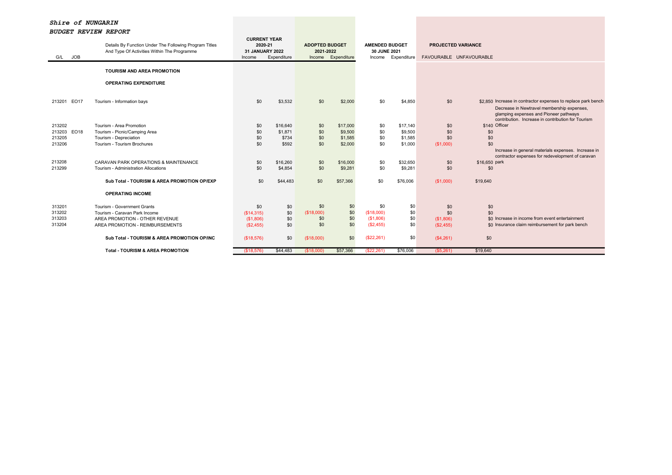| <b>JOB</b><br>G/L     | Details By Function Under The Following Program Titles<br>And Type Of Activities Within The Programme | <b>CURRENT YEAR</b><br>2020-21<br>31 JANUARY 2022<br>Income | Expenditure | <b>ADOPTED BUDGET</b><br>2021-2022<br>Income | Expenditure | <b>AMENDED BUDGET</b><br>30 JUNE 2021 | Income Expenditure | <b>PROJECTED VARIANCE</b><br>FAVOURABLE UNFAVOURABLE |                                                                                                                                            |
|-----------------------|-------------------------------------------------------------------------------------------------------|-------------------------------------------------------------|-------------|----------------------------------------------|-------------|---------------------------------------|--------------------|------------------------------------------------------|--------------------------------------------------------------------------------------------------------------------------------------------|
|                       | <b>TOURISM AND AREA PROMOTION</b>                                                                     |                                                             |             |                                              |             |                                       |                    |                                                      |                                                                                                                                            |
|                       | <b>OPERATING EXPENDITURE</b>                                                                          |                                                             |             |                                              |             |                                       |                    |                                                      |                                                                                                                                            |
| <b>EO17</b><br>213201 | Tourism - Information bays                                                                            | \$0                                                         | \$3,532     | \$0                                          | \$2,000     | \$0                                   | \$4,850            | \$0                                                  | \$2,850 Increase in contractor expenses to replace park bench                                                                              |
|                       |                                                                                                       |                                                             |             |                                              |             |                                       |                    |                                                      | Decrease in Newtravel membership expenses,<br>glamping expenses and Pioneer pathways<br>contribution. Increase in contribution for Tourism |
| 213202                | Tourism - Area Promotion                                                                              | \$0                                                         | \$16,640    | \$0                                          | \$17,000    | \$0                                   | \$17,140           | \$0                                                  | \$140 Officer                                                                                                                              |
| 213203 EO18           | Tourism - Picnic/Camping Area                                                                         | \$0                                                         | \$1,871     | \$0                                          | \$9,500     | \$0                                   | \$9,500            | \$0                                                  | \$0                                                                                                                                        |
| 213205                | Tourism - Depreciation                                                                                | \$0                                                         | \$734       | \$0                                          | \$1,585     | \$0                                   | \$1,585            | \$0                                                  | \$0                                                                                                                                        |
| 213206                | Tourism - Tourism Brochures                                                                           | \$0                                                         | \$592       | \$0                                          | \$2,000     | \$0                                   | \$1,000            | (\$1,000)                                            | \$0                                                                                                                                        |
|                       |                                                                                                       |                                                             |             |                                              |             |                                       |                    |                                                      | Increase in general materials expenses. Increase in                                                                                        |
|                       |                                                                                                       |                                                             |             |                                              |             |                                       |                    |                                                      | contractor expenses for redevelopment of caravan                                                                                           |
| 213208                | CARAVAN PARK OPERATIONS & MAINTENANCE                                                                 | \$0                                                         | \$16,260    | \$0                                          | \$16,000    | \$0                                   | \$32.650           | \$0                                                  | \$16,650 park                                                                                                                              |
| 213299                | Tourism - Administration Allocations                                                                  | \$0                                                         | \$4,854     | \$0                                          | \$9,281     | \$0                                   | \$9,281            | \$0                                                  | \$0                                                                                                                                        |
|                       | Sub Total - TOURISM & AREA PROMOTION OP/EXP                                                           | \$0                                                         | \$44,483    | \$0                                          | \$57,366    | \$0                                   | \$76,006           | (S1,000)                                             | \$19,640                                                                                                                                   |
|                       | <b>OPERATING INCOME</b>                                                                               |                                                             |             |                                              |             |                                       |                    |                                                      |                                                                                                                                            |
| 313201                | Tourism - Government Grants                                                                           | \$0                                                         | \$0         | \$0                                          | \$0         | \$0                                   | \$0                | \$0                                                  | \$0                                                                                                                                        |
| 313202                | Tourism - Caravan Park Income                                                                         | (\$14,315)                                                  | \$0         | (\$18,000)                                   | \$0         | (\$18,000)                            | \$0                | \$0                                                  | \$0                                                                                                                                        |
| 313203                | AREA PROMOTION - OTHER REVENUE                                                                        | (\$1,806)                                                   | \$0         | \$0                                          | \$0         | (\$1,806)                             | \$0                | (\$1,806)                                            | \$0 Increase in income from event entertainment                                                                                            |
| 313204                | AREA PROMOTION - REIMBURSEMENTS                                                                       | (\$2,455)                                                   | \$0         | \$0                                          | \$0         | (S2, 455)                             | \$0                | (\$2,455)                                            | \$0 Insurance claim reimbursement for park bench                                                                                           |
|                       | Sub Total - TOURISM & AREA PROMOTION OP/INC                                                           | (\$18,576)                                                  | \$0         | (\$18,000)                                   | \$0         | (\$22,261)                            | \$0                | (\$4,261)                                            | \$0                                                                                                                                        |
|                       | <b>Total - TOURISM &amp; AREA PROMOTION</b>                                                           | (\$18,576)                                                  | \$44,483    | (\$18,000)                                   | \$57,366    | (\$22,261)                            | \$76,006           | (\$5,261)                                            | \$19,640                                                                                                                                   |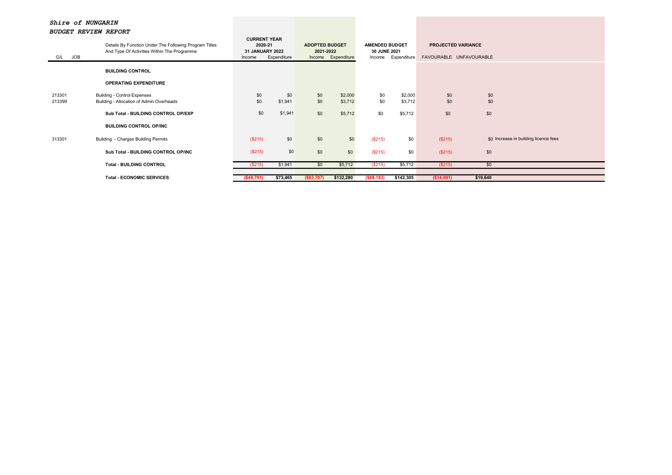| JOB<br>G/L       | Details By Function Under The Following Program Titles<br>And Type Of Activities Within The Programme | <b>CURRENT YEAR</b><br>2020-21<br>31 JANUARY 2022<br>Income | Expenditure    |            | <b>ADOPTED BUDGET</b><br>2021-2022<br>Income Expenditure |              | <b>AMENDED BUDGET</b><br>30 JUNE 2021<br>Income Expenditure | <b>PROJECTED VARIANCE</b><br>FAVOURABLE UNFAVOURABLE |                                       |  |
|------------------|-------------------------------------------------------------------------------------------------------|-------------------------------------------------------------|----------------|------------|----------------------------------------------------------|--------------|-------------------------------------------------------------|------------------------------------------------------|---------------------------------------|--|
|                  | <b>BUILDING CONTROL</b>                                                                               |                                                             |                |            |                                                          |              |                                                             |                                                      |                                       |  |
|                  | <b>OPERATING EXPENDITURE</b>                                                                          |                                                             |                |            |                                                          |              |                                                             |                                                      |                                       |  |
| 213301<br>213399 | <b>Building - Control Expenses</b><br>Building - Allocation of Admin Overheads                        | \$0<br>\$0                                                  | \$0<br>\$1,941 | \$0<br>\$0 | \$2,000<br>\$3,712                                       | \$0<br>\$0   | \$2,000<br>\$3,712                                          | \$0<br>\$0                                           | \$0<br>\$0                            |  |
|                  | Sub Total - BUILDING CONTROL OP/EXP                                                                   | \$0                                                         | \$1,941        | \$0        | \$5,712                                                  | \$0          | \$5,712                                                     | \$0                                                  | \$0                                   |  |
|                  | <b>BUILDING CONTROL OP/INC</b>                                                                        |                                                             |                |            |                                                          |              |                                                             |                                                      |                                       |  |
| 313301           | Building - Charges Building Permits                                                                   | (\$215)                                                     | \$0            | \$0        | \$0                                                      | (\$215)      | \$0                                                         | (\$215)                                              | \$0 Increase in building licence fees |  |
|                  | Sub Total - BUILDING CONTROL OP/INC                                                                   | (\$215)                                                     | \$0            | \$0        | \$0                                                      | (\$215)      | \$0                                                         | (\$215)                                              | \$0                                   |  |
|                  | <b>Total - BUILDING CONTROL</b>                                                                       | (\$215)                                                     | \$1,941        | \$0        | \$5,712                                                  | (\$215)      | \$5,712                                                     | (\$215)                                              | \$0                                   |  |
|                  | <b>Total - ECONOMIC SERVICES</b>                                                                      | ( \$48,791)                                                 | \$73,465       | (\$83,707) | \$132,280                                                | ( \$88, 183) | \$142,305                                                   | ( \$14,091)                                          | \$19,640                              |  |
|                  |                                                                                                       |                                                             |                |            |                                                          |              |                                                             |                                                      |                                       |  |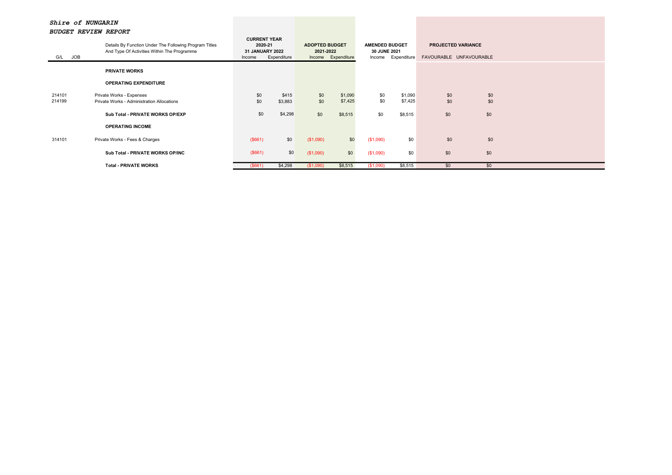| <b>JOB</b><br>G/L | bobgs: Nsvish Refond<br>Details By Function Under The Following Program Titles<br>And Type Of Activities Within The Programme | <b>CURRENT YEAR</b><br>2020-21<br><b>31 JANUARY 2022</b><br>Expenditure<br>Income |                  | <b>ADOPTED BUDGET</b><br>2021-2022<br>Income Expenditure |                    | <b>AMENDED BUDGET</b><br>30 JUNE 2021<br>Expenditure<br>Income |                    | <b>PROJECTED VARIANCE</b><br>FAVOURABLE UNFAVOURABLE |            |  |  |
|-------------------|-------------------------------------------------------------------------------------------------------------------------------|-----------------------------------------------------------------------------------|------------------|----------------------------------------------------------|--------------------|----------------------------------------------------------------|--------------------|------------------------------------------------------|------------|--|--|
|                   | <b>PRIVATE WORKS</b>                                                                                                          |                                                                                   |                  |                                                          |                    |                                                                |                    |                                                      |            |  |  |
|                   | <b>OPERATING EXPENDITURE</b>                                                                                                  |                                                                                   |                  |                                                          |                    |                                                                |                    |                                                      |            |  |  |
| 214101<br>214199  | Private Works - Expenses<br>Private Works - Administration Allocations                                                        | \$0<br>\$0                                                                        | \$415<br>\$3,883 | \$0<br>\$0                                               | \$1,090<br>\$7,425 | \$0<br>\$0                                                     | \$1,090<br>\$7,425 | \$0<br>\$0                                           | \$0<br>\$0 |  |  |
|                   | Sub Total - PRIVATE WORKS OP/EXP                                                                                              | \$0                                                                               | \$4,298          | \$0                                                      | \$8,515            | \$0                                                            | \$8,515            | \$0                                                  | \$0        |  |  |
|                   | <b>OPERATING INCOME</b>                                                                                                       |                                                                                   |                  |                                                          |                    |                                                                |                    |                                                      |            |  |  |
| 314101            | Private Works - Fees & Charges                                                                                                | (\$661)                                                                           | \$0              | (\$1,090)                                                | \$0                | (\$1,090)                                                      | \$0                | \$0                                                  | \$0        |  |  |
|                   | Sub Total - PRIVATE WORKS OP/INC                                                                                              | (\$661)                                                                           | \$0              | (\$1,090)                                                | \$0                | (\$1,090)                                                      | \$0                | \$0                                                  | \$0        |  |  |
|                   | <b>Total - PRIVATE WORKS</b>                                                                                                  | (\$661)                                                                           | \$4,298          | (\$1,090)                                                | \$8,515            | (\$1,090)                                                      | \$8,515            | \$0                                                  | \$0        |  |  |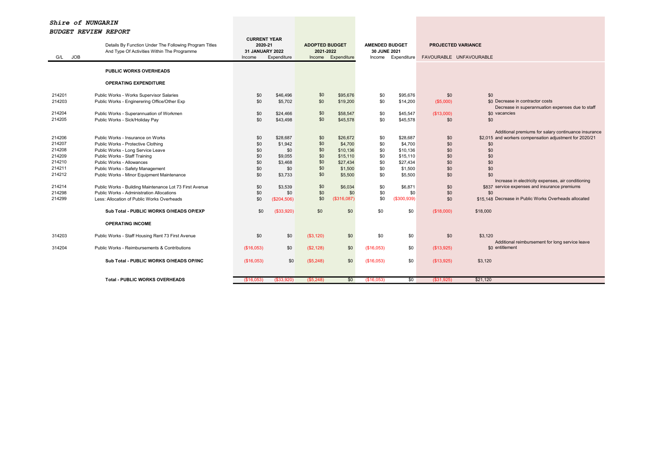| Details By Function Under The Following Program Titles |                                                                             | <b>CURRENT YEAR</b><br>2020-21 |                      | <b>ADOPTED BUDGET</b> |                      | <b>AMENDED BUDGET</b> |                      | <b>PROJECTED VARIANCE</b> |                                                                                                     |  |
|--------------------------------------------------------|-----------------------------------------------------------------------------|--------------------------------|----------------------|-----------------------|----------------------|-----------------------|----------------------|---------------------------|-----------------------------------------------------------------------------------------------------|--|
|                                                        | And Type Of Activities Within The Programme                                 | 31 JANUARY 2022                |                      | 2021-2022             |                      | 30 JUNE 2021          |                      |                           |                                                                                                     |  |
| <b>JOB</b><br>G/L                                      |                                                                             | Income                         | Expenditure          |                       | Income Expenditure   | Income                | Expenditure          | FAVOURABLE UNFAVOURABLE   |                                                                                                     |  |
|                                                        | <b>PUBLIC WORKS OVERHEADS</b>                                               |                                |                      |                       |                      |                       |                      |                           |                                                                                                     |  |
|                                                        | <b>OPERATING EXPENDITURE</b>                                                |                                |                      |                       |                      |                       |                      |                           |                                                                                                     |  |
| 214201                                                 | Public Works - Works Supervisor Salaries                                    | \$0                            | \$46,496             | \$0                   | \$95,676             | \$0                   | \$95,676             | \$0                       | \$0                                                                                                 |  |
| 214203                                                 | Public Works - Enginerering Office/Other Exp                                | \$0                            | \$5,702              | \$0                   | \$19,200             | \$0                   | \$14,200             | (\$5,000)                 | \$0 Decrease in contractor costs                                                                    |  |
| 214204                                                 |                                                                             |                                |                      | \$0                   |                      |                       |                      |                           | Decrease in superannuation expenses due to staff<br>\$0 vacancies                                   |  |
| 214205                                                 | Public Works - Superannuation of Workmen<br>Public Works - Sick/Holiday Pay | \$0<br>\$0                     | \$24,466<br>\$43,498 | \$0                   | \$58,547<br>\$45,578 | \$0<br>\$0            | \$45,547<br>\$45,578 | (\$13,000)<br>\$0         | \$0                                                                                                 |  |
|                                                        |                                                                             |                                |                      |                       |                      |                       |                      |                           |                                                                                                     |  |
|                                                        |                                                                             |                                |                      |                       |                      |                       |                      |                           | Additional premiums for salary continuance insurance                                                |  |
| 214206                                                 | Public Works - Insurance on Works                                           | \$0                            | \$28,687             | \$0                   | \$26,672             | \$0                   | \$28,687             | \$0                       | \$2.015 and workers compensation adjustment for 2020/21                                             |  |
| 214207                                                 | Public Works - Protective Clothing                                          | \$0                            | \$1,942              | \$0                   | \$4,700              | \$0                   | \$4,700              | \$0                       | \$0                                                                                                 |  |
| 214208                                                 | Public Works - Long Service Leave                                           | \$0                            | \$0                  | \$0                   | \$10,136             | \$0                   | \$10,136             | \$0                       | \$0                                                                                                 |  |
| 214209                                                 | Public Works - Staff Training                                               | \$0                            | \$9.055              | \$0                   | \$15,110             | \$0                   | \$15,110             | \$0                       | \$0                                                                                                 |  |
| 214210                                                 | Public Works - Allowances                                                   | \$0                            | \$3,468              | \$0                   | \$27,434             | \$0                   | \$27,434             | \$0                       | \$0                                                                                                 |  |
| 214211                                                 | Public Works - Safety Management                                            | \$0                            | \$0                  | \$0                   | \$1,500              | \$0                   | \$1,500              | \$0                       | \$0                                                                                                 |  |
| 214212                                                 | Public Works - Minor Equipment Maintenance                                  | \$0                            | \$3,733              | \$0                   | \$5,500              | \$0                   | \$5,500              | \$0                       | \$0                                                                                                 |  |
| 214214                                                 | Public Works - Building Maintenance Lot 73 First Avenue                     | \$0                            | \$3,539              | \$0                   | \$6,034              | \$0                   | \$6,871              | \$0                       | Increase in electricity expenses, air conditioning<br>\$837 service expenses and insurance premiums |  |
| 214298                                                 | Public Works - Administration Allocations                                   | \$0                            | \$0                  | \$0                   | \$0                  | \$0                   | \$0                  | \$0                       | \$0                                                                                                 |  |
| 214299                                                 | Less: Allocation of Public Works Overheads                                  | \$0                            | (\$204,506)          | \$0                   | (\$316,087)          | \$0                   | (\$300,939)          | \$0                       | \$15.148 Decrease in Public Works Overheads allocated                                               |  |
|                                                        |                                                                             |                                |                      |                       |                      |                       |                      |                           |                                                                                                     |  |
|                                                        | Sub Total - PUBLIC WORKS O/HEADS OP/EXP                                     | \$0                            | (\$33,920)           | \$0                   | \$0                  | \$0                   | \$0                  | (\$18,000)                | \$18,000                                                                                            |  |
|                                                        | <b>OPERATING INCOME</b>                                                     |                                |                      |                       |                      |                       |                      |                           |                                                                                                     |  |
| 314203                                                 | Public Works - Staff Housing Rent 73 First Avenue                           | \$0                            | \$0                  | (\$3,120)             | \$0                  | \$0                   | \$0                  | \$0                       | \$3,120<br>Additional reimbursement for long service leave                                          |  |
| 314204                                                 | Public Works - Reimbursements & Contributions                               | (\$16,053)                     | \$0                  | (S2, 128)             | \$0                  | (S16,053)             | \$0                  | (\$13,925)                | \$0 entitlement                                                                                     |  |
|                                                        | Sub Total - PUBLIC WORKS O/HEADS OP/INC                                     | (\$16,053)                     | \$0                  | (\$5,248)             | \$0                  | (\$16,053)            | \$0                  | (\$13,925)                | \$3,120                                                                                             |  |
|                                                        |                                                                             |                                |                      |                       |                      |                       |                      |                           |                                                                                                     |  |
|                                                        | <b>Total - PUBLIC WORKS OVERHEADS</b>                                       | (\$16,053)                     | (S33,920)            | (S5, 248)             | \$0                  | (\$16,053)            | \$0                  | $($ \$31,925)             | \$21,120                                                                                            |  |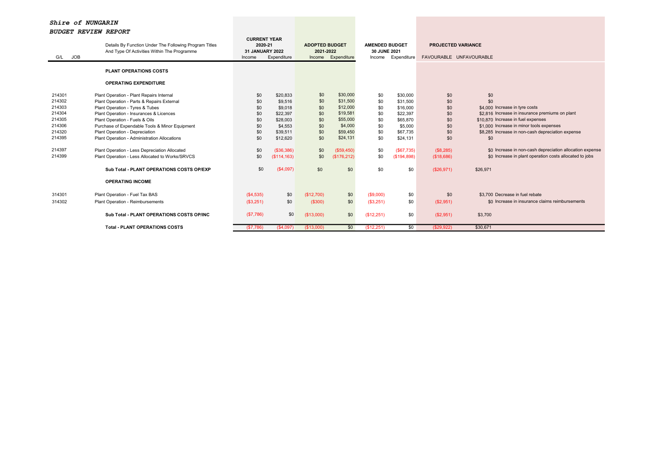| JOB<br>G/L                                                                                       | Details By Function Under The Following Program Titles<br>And Type Of Activities Within The Programme                                                                                                                                                                                                                                                                                                                                          |                                                                    | <b>CURRENT YEAR</b><br>2020-21<br>31 JANUARY 2022<br>Expenditure<br>Income                                               |                                                                    | <b>ADOPTED BUDGET</b><br>2021-2022<br>Expenditure<br>Income                                                              |                                                                    | <b>AMENDED BUDGET</b><br>30 JUNE 2021<br>Expenditure                                                                     | <b>PROJECTED VARIANCE</b><br>FAVOURABLE UNFAVOURABLE                            |                                                                                                                                                                                                                                                                                                                                                                      |  |
|--------------------------------------------------------------------------------------------------|------------------------------------------------------------------------------------------------------------------------------------------------------------------------------------------------------------------------------------------------------------------------------------------------------------------------------------------------------------------------------------------------------------------------------------------------|--------------------------------------------------------------------|--------------------------------------------------------------------------------------------------------------------------|--------------------------------------------------------------------|--------------------------------------------------------------------------------------------------------------------------|--------------------------------------------------------------------|--------------------------------------------------------------------------------------------------------------------------|---------------------------------------------------------------------------------|----------------------------------------------------------------------------------------------------------------------------------------------------------------------------------------------------------------------------------------------------------------------------------------------------------------------------------------------------------------------|--|
|                                                                                                  | <b>PLANT OPERATIONS COSTS</b>                                                                                                                                                                                                                                                                                                                                                                                                                  |                                                                    |                                                                                                                          |                                                                    |                                                                                                                          |                                                                    |                                                                                                                          |                                                                                 |                                                                                                                                                                                                                                                                                                                                                                      |  |
|                                                                                                  | <b>OPERATING EXPENDITURE</b>                                                                                                                                                                                                                                                                                                                                                                                                                   |                                                                    |                                                                                                                          |                                                                    |                                                                                                                          |                                                                    |                                                                                                                          |                                                                                 |                                                                                                                                                                                                                                                                                                                                                                      |  |
| 214301<br>214302<br>214303<br>214304<br>214305<br>214306<br>214320<br>214395<br>214397<br>214399 | Plant Operation - Plant Repairs Internal<br>Plant Operation - Parts & Repairs External<br>Plant Operation - Tyres & Tubes<br>Plant Operation - Insurances & Licences<br>Plant Operation - Fuels & Oils<br>Purchase of Expendable Tools & Minor Equipment<br>Plant Operation - Depreciation<br>Plant Operation - Administration Allocations<br>Plant Operation - Less Depreciation Allocated<br>Plant Operation - Less Allocated to Works/SRVCS | \$0<br>\$0<br>\$0<br>\$0<br>\$0<br>\$0<br>\$0<br>\$0<br>\$0<br>\$0 | \$20,833<br>\$9,516<br>\$9,018<br>\$22,397<br>\$28,003<br>\$4.553<br>\$39,511<br>\$12,620<br>( \$36, 386)<br>(\$114,163) | \$0<br>\$0<br>\$0<br>\$0<br>\$0<br>\$0<br>\$0<br>\$0<br>\$0<br>\$0 | \$30,000<br>\$31,500<br>\$12,000<br>\$19,581<br>\$55,000<br>\$4,000<br>\$59,450<br>\$24,131<br>(\$59,450)<br>(\$176,212) | \$0<br>\$0<br>\$0<br>\$0<br>\$0<br>\$0<br>\$0<br>\$0<br>\$0<br>\$0 | \$30,000<br>\$31,500<br>\$16,000<br>\$22,397<br>\$65,870<br>\$5,000<br>\$67,735<br>\$24,131<br>(S67, 735)<br>(S194, 898) | \$0<br>\$0<br>\$0<br>\$0<br>\$0<br>\$0<br>\$0<br>\$0<br>(S8, 285)<br>(\$18,686) | \$0<br>\$0<br>\$4,000 Increase in tyre costs<br>\$2.816 Increase in insurance premiums on plant<br>\$10.870 Increase in fuel expenses<br>\$1,000 Increase in minor tools expenses<br>\$8.285 Increase in non-cash depreciation expense<br>\$0<br>\$0 Increase in non-cash depreciation allocation expense<br>\$0 Increase in plant operation costs allocated to jobs |  |
|                                                                                                  | Sub Total - PLANT OPERATIONS COSTS OP/EXP                                                                                                                                                                                                                                                                                                                                                                                                      | \$0                                                                | (S4,097)                                                                                                                 | \$0                                                                | \$0                                                                                                                      | \$0                                                                | \$0                                                                                                                      | (\$26,971)                                                                      | \$26,971                                                                                                                                                                                                                                                                                                                                                             |  |
|                                                                                                  | <b>OPERATING INCOME</b>                                                                                                                                                                                                                                                                                                                                                                                                                        |                                                                    |                                                                                                                          |                                                                    |                                                                                                                          |                                                                    |                                                                                                                          |                                                                                 |                                                                                                                                                                                                                                                                                                                                                                      |  |
| 314301<br>314302                                                                                 | Plant Operation - Fuel Tax BAS<br>Plant Operation - Reimbursements                                                                                                                                                                                                                                                                                                                                                                             | (S4, 535)<br>(S3,251)                                              | \$0<br>\$0                                                                                                               | (\$12,700)<br>(\$300)                                              | \$0<br>\$0                                                                                                               | (S9,000)<br>(\$3,251)                                              | \$0<br>\$0                                                                                                               | \$0<br>(\$2,951)                                                                | \$3.700 Decrease in fuel rebate<br>\$0 Increase in insurance claims reimbursements                                                                                                                                                                                                                                                                                   |  |
|                                                                                                  | Sub Total - PLANT OPERATIONS COSTS OP/INC                                                                                                                                                                                                                                                                                                                                                                                                      | (\$7,786)                                                          | \$0                                                                                                                      | (\$13,000)                                                         | \$0                                                                                                                      | (\$12,251)                                                         | \$0                                                                                                                      | (S2,951)                                                                        | \$3,700                                                                                                                                                                                                                                                                                                                                                              |  |
|                                                                                                  | <b>Total - PLANT OPERATIONS COSTS</b>                                                                                                                                                                                                                                                                                                                                                                                                          | (S7,786)                                                           | (\$4,097)                                                                                                                | (\$13,000)                                                         | \$0                                                                                                                      | (\$12,251)                                                         | \$0                                                                                                                      | (\$29,922)                                                                      | \$30.671                                                                                                                                                                                                                                                                                                                                                             |  |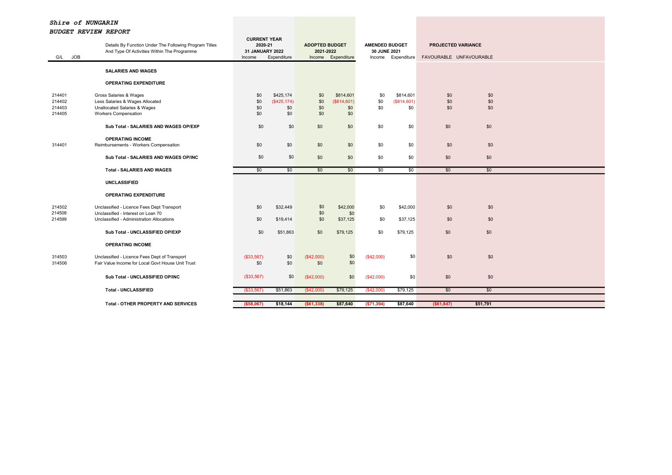| G/L JOB | Details By Function Under The Following Program Titles<br>And Type Of Activities Within The Programme | <b>CURRENT YEAR</b><br>2020-21<br><b>31 JANUARY 2022</b><br>Income | Expenditure  | <b>ADOPTED BUDGET</b><br>2021-2022<br>Income | Expenditure | <b>AMENDED BUDGET</b><br>30 JUNE 2021<br>Income | Expenditure | <b>PROJECTED VARIANCE</b><br>FAVOURABLE UNFAVOURABLE |          |  |
|---------|-------------------------------------------------------------------------------------------------------|--------------------------------------------------------------------|--------------|----------------------------------------------|-------------|-------------------------------------------------|-------------|------------------------------------------------------|----------|--|
|         | <b>SALARIES AND WAGES</b>                                                                             |                                                                    |              |                                              |             |                                                 |             |                                                      |          |  |
|         | <b>OPERATING EXPENDITURE</b>                                                                          |                                                                    |              |                                              |             |                                                 |             |                                                      |          |  |
| 214401  | Gross Salaries & Wages                                                                                | \$0                                                                | \$425,174    | \$0                                          | \$814,601   | \$0                                             | \$814.601   | \$0                                                  | \$0      |  |
| 214402  | Less Salaries & Wages Allocated                                                                       | \$0                                                                | (\$425, 174) | \$0                                          | (\$814,601) | \$0                                             | (\$814,601) | \$0                                                  | \$0      |  |
| 214403  | Unallocated Salaries & Wages                                                                          | \$0                                                                | \$0          | \$0                                          | \$0         | \$0                                             | \$0         | \$0                                                  | \$0      |  |
| 214405  | <b>Workers Compensation</b>                                                                           | \$0                                                                | \$0          | \$0                                          | \$0         |                                                 |             |                                                      |          |  |
|         | Sub Total - SALARIES AND WAGES OP/EXP                                                                 | \$0                                                                | \$0          | \$0                                          | \$0         | \$0                                             | \$0         | \$0                                                  | \$0      |  |
|         | <b>OPERATING INCOME</b>                                                                               |                                                                    |              |                                              |             |                                                 |             |                                                      |          |  |
| 314401  | Reimbursements - Workers Compensation                                                                 | \$0                                                                | \$0          | \$0                                          | \$0         | \$0                                             | \$0         | \$0                                                  | \$0      |  |
|         | Sub Total - SALARIES AND WAGES OP/INC                                                                 | \$0                                                                | \$0          | \$0                                          | \$0         | \$0                                             | \$0         | \$0                                                  | \$0      |  |
|         |                                                                                                       |                                                                    |              |                                              |             |                                                 |             |                                                      |          |  |
|         | <b>Total - SALARIES AND WAGES</b>                                                                     | \$0                                                                | \$0          | \$0                                          | \$0         | \$0                                             | \$0         | \$0                                                  | \$0      |  |
|         | <b>UNCLASSIFIED</b>                                                                                   |                                                                    |              |                                              |             |                                                 |             |                                                      |          |  |
|         | <b>OPERATING EXPENDITURE</b>                                                                          |                                                                    |              |                                              |             |                                                 |             |                                                      |          |  |
| 214502  | Unclassified - Licence Fees Dept Transport                                                            | \$0                                                                | \$32,449     | \$0                                          | \$42,000    | \$0                                             | \$42,000    | \$0                                                  | \$0      |  |
| 214508  | Unclassified - Interest on Loan 70                                                                    |                                                                    |              | \$0                                          | \$0         |                                                 |             |                                                      |          |  |
| 214599  | Unclassified - Administration Allocations                                                             | \$0                                                                | \$19,414     | \$0                                          | \$37,125    | \$0                                             | \$37,125    | \$0                                                  | \$0      |  |
|         | Sub Total - UNCLASSIFIED OP/EXP                                                                       | \$0                                                                | \$51,863     | \$0                                          | \$79,125    | \$0                                             | \$79,125    | \$0                                                  | \$0      |  |
|         | <b>OPERATING INCOME</b>                                                                               |                                                                    |              |                                              |             |                                                 |             |                                                      |          |  |
| 314503  | Unclassified - Licence Fees Dept of Transport                                                         | (\$33,567)                                                         | \$0          | (\$42,000)                                   | \$0         | (\$42,000)                                      | \$0         | \$0                                                  | \$0      |  |
| 314506  | Fair Value Income for Local Govt House Unit Trust                                                     | \$0                                                                | \$0          | \$0                                          | \$0         |                                                 |             |                                                      |          |  |
|         |                                                                                                       |                                                                    |              |                                              |             |                                                 |             |                                                      |          |  |
|         | Sub Total - UNCLASSIFIED OP/INC                                                                       | (\$33,567)                                                         | \$0          | (\$42,000)                                   | \$0         | (\$42,000)                                      | \$0         | \$0                                                  | \$0      |  |
|         | <b>Total - UNCLASSIFIED</b>                                                                           | $($ \$33,567)                                                      | \$51,863     | (\$42,000)                                   | \$79,125    | ( \$42,000)                                     | \$79,125    | \$0                                                  | \$0      |  |
|         |                                                                                                       |                                                                    |              |                                              |             |                                                 |             |                                                      |          |  |
|         | <b>Total - OTHER PROPERTY AND SERVICES</b>                                                            | ( \$58,067)                                                        | \$18,144     | ( \$61, 338)                                 | \$87,640    | ( \$71, 394)                                    | \$87,640    | ( \$61, 847)                                         | \$51,791 |  |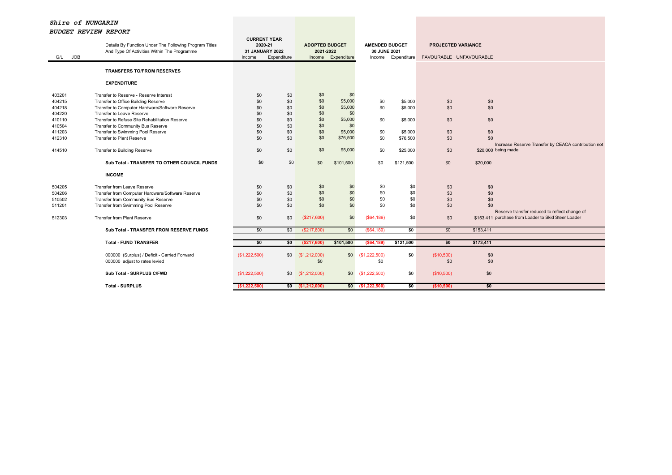| <b>JOB</b><br>G/L | Details By Function Under The Following Program Titles<br>And Type Of Activities Within The Programme | 2020-21<br>31 JANUARY 2022<br>Income | <b>CURRENT YEAR</b><br>Expenditure | <b>ADOPTED BUDGET</b><br>2021-2022<br>Income | Expenditure | <b>AMENDED BUDGET</b><br>30 JUNE 2021 | Income Expenditure | <b>PROJECTED VARIANCE</b><br>FAVOURABLE UNFAVOURABLE |            |                                                     |
|-------------------|-------------------------------------------------------------------------------------------------------|--------------------------------------|------------------------------------|----------------------------------------------|-------------|---------------------------------------|--------------------|------------------------------------------------------|------------|-----------------------------------------------------|
|                   | <b>TRANSFERS TO/FROM RESERVES</b>                                                                     |                                      |                                    |                                              |             |                                       |                    |                                                      |            |                                                     |
|                   | <b>EXPENDITURE</b>                                                                                    |                                      |                                    |                                              |             |                                       |                    |                                                      |            |                                                     |
| 403201            | Transfer to Reserve - Reserve Interest                                                                | \$0                                  | \$0                                | \$0                                          | \$0         |                                       |                    |                                                      |            |                                                     |
| 404215            | Transfer to Office Building Reserve                                                                   | \$0                                  | \$0                                | \$0                                          | \$5,000     | \$0                                   | \$5,000            | \$0                                                  | \$0        |                                                     |
| 404218            | Transfer to Computer Hardware/Software Reserve                                                        | \$0                                  | \$0                                | \$0                                          | \$5,000     | \$0                                   | \$5,000            | \$0                                                  | \$0        |                                                     |
| 404220            | Transfer to Leave Reserve                                                                             | \$0                                  | \$0                                | \$0                                          | \$0         |                                       |                    |                                                      |            |                                                     |
| 410110            | Transfer to Refuse Site Rehabilitation Reserve                                                        | \$0                                  | \$0                                | \$0                                          | \$5,000     | \$0                                   | \$5,000            | \$0                                                  | \$0        |                                                     |
| 410504            | Transfer to Community Bus Reserve                                                                     | \$0                                  | \$0                                | \$0                                          | \$0         |                                       |                    |                                                      |            |                                                     |
| 411203            | Transfer to Swimming Pool Reserve                                                                     | \$0                                  | \$0                                | \$0                                          | \$5,000     | \$0                                   | \$5,000            | \$0                                                  | \$0        |                                                     |
| 412310            | Transfer to Plant Reserve                                                                             | \$0                                  | \$0                                | \$0                                          | \$76,500    | \$0                                   | \$76,500           | \$0                                                  | \$0        |                                                     |
|                   |                                                                                                       |                                      |                                    |                                              |             |                                       |                    |                                                      |            | Increase Reserve Transfer by CEACA contribution not |
| 414510            | Transfer to Building Reserve                                                                          | \$0                                  | \$0                                | \$0                                          | \$5,000     | \$0                                   | \$25,000           | \$0                                                  |            | \$20,000 being made.                                |
|                   | Sub Total - TRANSFER TO OTHER COUNCIL FUNDS                                                           | \$0                                  | \$0                                | \$0                                          | \$101.500   | \$0                                   | \$121,500          | \$0                                                  | \$20,000   |                                                     |
|                   | <b>INCOME</b>                                                                                         |                                      |                                    |                                              |             |                                       |                    |                                                      |            |                                                     |
| 504205            | Transfer from Leave Reserve                                                                           | \$0                                  | \$0                                | \$0                                          | \$0         | \$0                                   | \$0                | \$0                                                  | \$0        |                                                     |
| 504206            | Transfer from Computer Hardware/Software Reserve                                                      | \$0                                  | \$0                                | \$0                                          | \$0         | \$0                                   | \$0                | \$0                                                  | \$0        |                                                     |
| 510502            | Transfer from Community Bus Reserve                                                                   | \$0                                  | \$0                                | \$0                                          | \$0         | \$0                                   | \$0                | \$0                                                  | \$0        |                                                     |
| 511201            | Transfer from Swimming Pool Reserve                                                                   | \$0                                  | \$0                                | \$0                                          | \$0         | \$0                                   | \$0                | \$0                                                  | \$0        |                                                     |
|                   |                                                                                                       |                                      |                                    |                                              |             |                                       |                    |                                                      |            | Reserve transfer reduced to reflect change of       |
| 512303            | Transfer from Plant Reserve                                                                           | \$0                                  | \$0                                | (\$217,600)                                  | \$0         | (\$64,189)                            | \$0                | \$0                                                  |            | \$153.411 purchase from Loader to Skid Steer Loader |
|                   | Sub Total - TRANSFER FROM RESERVE FUNDS                                                               | \$0                                  | \$0                                | (\$217,600)                                  | \$0         | (\$64,189)                            | \$0                | \$0                                                  | \$153,411  |                                                     |
|                   |                                                                                                       |                                      |                                    |                                              |             |                                       |                    |                                                      |            |                                                     |
|                   | <b>Total - FUND TRANSFER</b>                                                                          | \$0                                  | \$0                                | (\$217,600)                                  | \$101,500   | ( \$64, 189)                          | \$121,500          | \$0                                                  | \$173,411  |                                                     |
|                   |                                                                                                       |                                      |                                    |                                              |             |                                       |                    |                                                      |            |                                                     |
|                   | 000000 (Surplus) / Deficit - Carried Forward<br>000000 adjust to rates levied                         | (\$1,222,500)                        |                                    | \$0 (\$1,212,000)<br>\$0                     | \$0         | (\$1,222,500)<br>\$0                  | \$0                | (\$10,500)<br>\$0                                    | \$0<br>\$0 |                                                     |
|                   |                                                                                                       |                                      |                                    |                                              |             |                                       |                    |                                                      |            |                                                     |
|                   | Sub Total - SURPLUS C/FWD                                                                             | (\$1,222,500)                        | \$0                                | (\$1,212,000)                                | \$0         | (\$1,222,500)                         | \$0                | (\$10,500)                                           | \$0        |                                                     |
|                   |                                                                                                       |                                      |                                    |                                              |             |                                       |                    |                                                      |            |                                                     |
|                   | <b>Total - SURPLUS</b>                                                                                | (\$1,222,500)                        |                                    | $$0$ (\$1,212,000)                           |             | $$0$ (\$1,222,500)                    | 50                 | (\$10,500)                                           | \$0        |                                                     |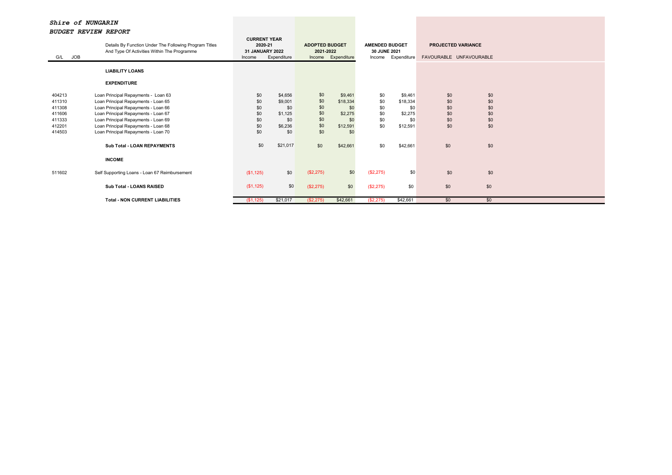| JOB<br>G/L                                                         | Details By Function Under The Following Program Titles<br>And Type Of Activities Within The Programme                                                                                                                                                                         | <b>CURRENT YEAR</b><br>2020-21<br><b>31 JANUARY 2022</b><br>Income | Expenditure                                                   | <b>ADOPTED BUDGET</b><br>2021-2022            | Income Expenditure                                              | <b>AMENDED BUDGET</b><br>30 JUNE 2021<br>Income Expenditure |                                                          | <b>PROJECTED VARIANCE</b><br>FAVOURABLE UNFAVOURABLE |                                        |  |  |
|--------------------------------------------------------------------|-------------------------------------------------------------------------------------------------------------------------------------------------------------------------------------------------------------------------------------------------------------------------------|--------------------------------------------------------------------|---------------------------------------------------------------|-----------------------------------------------|-----------------------------------------------------------------|-------------------------------------------------------------|----------------------------------------------------------|------------------------------------------------------|----------------------------------------|--|--|
|                                                                    | <b>LIABILITY LOANS</b><br><b>EXPENDITURE</b>                                                                                                                                                                                                                                  |                                                                    |                                                               |                                               |                                                                 |                                                             |                                                          |                                                      |                                        |  |  |
| 404213<br>411310<br>411308<br>411606<br>411333<br>412201<br>414503 | Loan Principal Repayments - Loan 63<br>Loan Principal Repayments - Loan 65<br>Loan Principal Repayments - Loan 66<br>Loan Principal Repayments - Loan 67<br>Loan Principal Repayments - Loan 69<br>Loan Principal Repayments - Loan 68<br>Loan Principal Repayments - Loan 70 | \$0<br>\$0<br>\$0<br>\$0<br>\$0<br>\$0<br>\$0                      | \$4,656<br>\$9,001<br>\$0<br>\$1,125<br>\$0<br>\$6,236<br>\$0 | \$0<br>\$0<br>\$0<br>\$0<br>\$0<br>\$0<br>\$0 | \$9,461<br>\$18,334<br>\$0<br>\$2,275<br>\$0<br>\$12,591<br>\$0 | \$0<br>\$0<br>\$0<br>\$0<br>\$0<br>\$0                      | \$9,461<br>\$18,334<br>\$0<br>\$2,275<br>\$0<br>\$12,591 | \$0<br>\$0<br>\$0<br>\$0<br>\$0<br>\$0               | \$0<br>\$0<br>\$0<br>\$0<br>\$0<br>\$0 |  |  |
|                                                                    | Sub Total - LOAN REPAYMENTS<br><b>INCOME</b>                                                                                                                                                                                                                                  | \$0                                                                | \$21,017                                                      | \$0                                           | \$42,661                                                        | \$0                                                         | \$42,661                                                 | \$0                                                  | \$0                                    |  |  |
| 511602                                                             | Self Supporting Loans - Loan 67 Reimbursement                                                                                                                                                                                                                                 | (\$1,125)                                                          | \$0                                                           | (\$2,275)                                     | \$0                                                             | (\$2,275)                                                   | \$0                                                      | \$0                                                  | \$0                                    |  |  |
|                                                                    | Sub Total - LOANS RAISED                                                                                                                                                                                                                                                      | (\$1,125)                                                          | \$0                                                           | (\$2,275)                                     | \$0                                                             | (\$2,275)                                                   | \$0                                                      | \$0                                                  | \$0                                    |  |  |
|                                                                    | <b>Total - NON CURRENT LIABILITIES</b>                                                                                                                                                                                                                                        | (\$1,125)                                                          | \$21,017                                                      | (\$2,275)                                     | \$42,661                                                        | (S2, 275)                                                   | \$42,661                                                 | \$0                                                  | \$0                                    |  |  |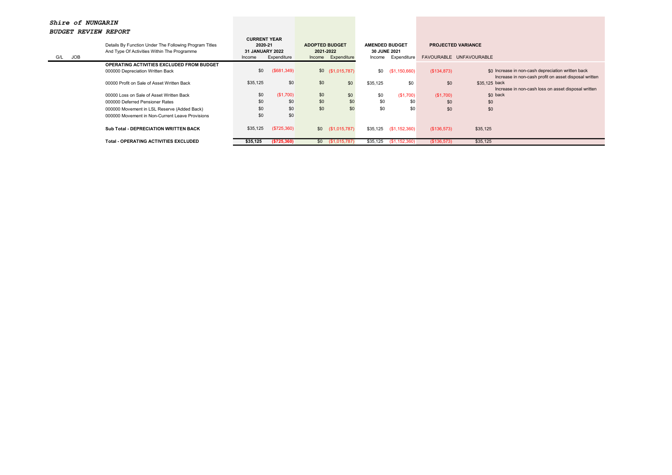| G/L | JOB | Details By Function Under The Following Program Titles<br>And Type Of Activities Within The Programme | <b>CURRENT YEAR</b><br>2020-21<br><b>31 JANUARY 2022</b><br>Income | Expenditure | <b>ADOPTED BUDGET</b><br>2021-2022 | Income Expenditure | <b>AMENDED BUDGET</b><br><b>30 JUNE 2021</b><br>Income | Expenditure   | <b>PROJECTED VARIANCE</b> | FAVOURABLE UNFAVOURABLE                               |
|-----|-----|-------------------------------------------------------------------------------------------------------|--------------------------------------------------------------------|-------------|------------------------------------|--------------------|--------------------------------------------------------|---------------|---------------------------|-------------------------------------------------------|
|     |     | OPERATING ACTIVITIES EXCLUDED FROM BUDGET                                                             |                                                                    |             |                                    |                    |                                                        |               |                           |                                                       |
|     |     | 000000 Depreciation Written Back                                                                      | \$0                                                                | (\$681,349) |                                    | $$0$ (\$1,015,787) | \$0                                                    | (\$1,150,660) | (\$134,873)               | \$0 Increase in non-cash depreciation written back    |
|     |     |                                                                                                       |                                                                    |             |                                    |                    |                                                        |               |                           | Increase in non-cash profit on asset disposal written |
|     |     | 00000 Profit on Sale of Asset Written Back                                                            | \$35,125                                                           | \$0         | \$0                                | \$0                | \$35.125                                               | \$0           | \$0                       | \$35,125 back                                         |
|     |     |                                                                                                       |                                                                    |             |                                    |                    |                                                        |               |                           | Increase in non-cash loss on asset disposal written   |
|     |     | 00000 Loss on Sale of Asset Written Back                                                              | \$0                                                                | (\$1,700)   | \$0                                | \$0                | \$0                                                    | (\$1,700)     | (\$1,700)                 | \$0 back                                              |
|     |     | 000000 Deferred Pensioner Rates                                                                       | \$0                                                                | \$0         | \$0                                | \$0                | \$0                                                    | \$0           | \$0                       | \$0                                                   |
|     |     | 000000 Movement in LSL Reserve (Added Back)                                                           | \$0                                                                | \$0         | \$0                                | \$0                | \$0                                                    | \$0           | \$0                       | \$0                                                   |
|     |     | 000000 Movement in Non-Current Leave Provisions                                                       | \$0                                                                | \$0         |                                    |                    |                                                        |               |                           |                                                       |
|     |     |                                                                                                       |                                                                    |             |                                    |                    |                                                        |               |                           |                                                       |
|     |     | <b>Sub Total - DEPRECIATION WRITTEN BACK</b>                                                          | \$35,125                                                           | (\$725,360) |                                    | $$0$ (\$1,015,787) | \$35.125                                               | (\$1,152,360) | (\$136,573)               | \$35,125                                              |
|     |     |                                                                                                       |                                                                    |             |                                    |                    |                                                        |               |                           |                                                       |
|     |     | <b>Total - OPERATING ACTIVITIES EXCLUDED</b>                                                          | \$35,125                                                           | (\$725,360) | \$0                                | (\$1,015,787)      | \$35,125                                               | (\$1,152,360) | (\$136,573)               | \$35,125                                              |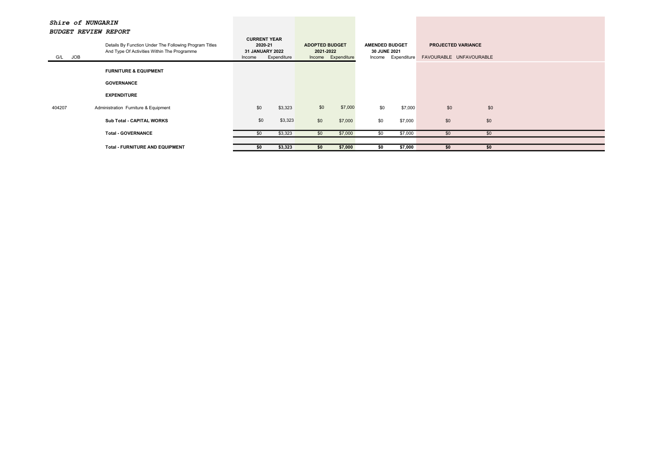| <b>CURRENT YEAR</b><br>Details By Function Under The Following Program Titles<br><b>PROJECTED VARIANCE</b><br>2020-21<br><b>ADOPTED BUDGET</b><br><b>AMENDED BUDGET</b><br>And Type Of Activities Within The Programme<br><b>31 JANUARY 2022</b><br>2021-2022<br><b>30 JUNE 2021</b><br>G/L JOB<br>FAVOURABLE UNFAVOURABLE<br>Income Expenditure<br>Income Expenditure<br>Expenditure<br>Income<br><b>FURNITURE &amp; EQUIPMENT</b><br><b>GOVERNANCE</b><br><b>EXPENDITURE</b><br>\$0<br>\$7,000<br>\$0<br>\$0<br>\$0<br>\$0<br>\$3,323<br>Administration Furniture & Equipment<br>\$7,000<br>404207<br>\$0<br>\$3,323<br>\$0<br>\$0<br>\$0<br>\$0<br>\$7,000<br>\$7,000<br>Sub Total - CAPITAL WORKS<br>\$7,000<br><b>Total - GOVERNANCE</b><br>\$3,323<br>\$7,000<br>\$0<br>\$0<br>\$0<br>\$0<br>\$0 | budgei review refuri |  |  |  |  |  |  |
|--------------------------------------------------------------------------------------------------------------------------------------------------------------------------------------------------------------------------------------------------------------------------------------------------------------------------------------------------------------------------------------------------------------------------------------------------------------------------------------------------------------------------------------------------------------------------------------------------------------------------------------------------------------------------------------------------------------------------------------------------------------------------------------------------------|----------------------|--|--|--|--|--|--|
|                                                                                                                                                                                                                                                                                                                                                                                                                                                                                                                                                                                                                                                                                                                                                                                                        |                      |  |  |  |  |  |  |
|                                                                                                                                                                                                                                                                                                                                                                                                                                                                                                                                                                                                                                                                                                                                                                                                        |                      |  |  |  |  |  |  |
|                                                                                                                                                                                                                                                                                                                                                                                                                                                                                                                                                                                                                                                                                                                                                                                                        |                      |  |  |  |  |  |  |
|                                                                                                                                                                                                                                                                                                                                                                                                                                                                                                                                                                                                                                                                                                                                                                                                        |                      |  |  |  |  |  |  |
|                                                                                                                                                                                                                                                                                                                                                                                                                                                                                                                                                                                                                                                                                                                                                                                                        |                      |  |  |  |  |  |  |
|                                                                                                                                                                                                                                                                                                                                                                                                                                                                                                                                                                                                                                                                                                                                                                                                        |                      |  |  |  |  |  |  |
|                                                                                                                                                                                                                                                                                                                                                                                                                                                                                                                                                                                                                                                                                                                                                                                                        |                      |  |  |  |  |  |  |
| \$3,323<br>\$7,000<br>\$7,000<br><b>Total - FURNITURE AND EQUIPMENT</b><br>\$0<br>\$0<br>\$0<br>\$0<br>\$0                                                                                                                                                                                                                                                                                                                                                                                                                                                                                                                                                                                                                                                                                             |                      |  |  |  |  |  |  |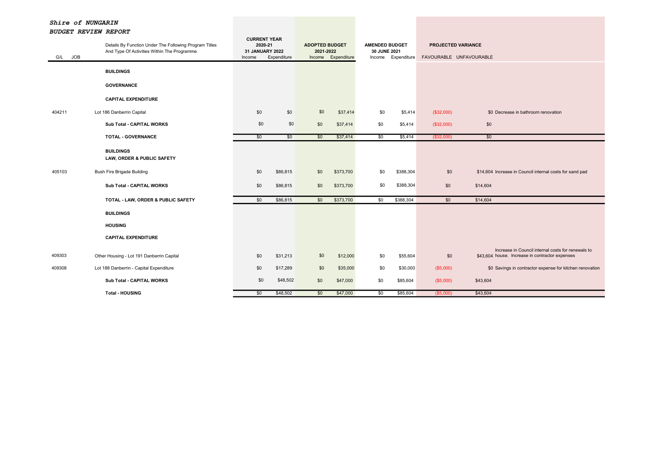| <b>JOB</b><br>G/L | Details By Function Under The Following Program Titles<br>And Type Of Activities Within The Programme<br><b>BUILDINGS</b><br><b>GOVERNANCE</b> | <b>CURRENT YEAR</b><br>2020-21<br>31 JANUARY 2022<br>Income | Expenditure | <b>ADOPTED BUDGET</b><br>2021-2022<br>Income | Expenditure | <b>AMENDED BUDGET</b><br>30 JUNE 2021 | Income Expenditure | <b>PROJECTED VARIANCE</b><br>FAVOURABLE UNFAVOURABLE |                                                                                                       |
|-------------------|------------------------------------------------------------------------------------------------------------------------------------------------|-------------------------------------------------------------|-------------|----------------------------------------------|-------------|---------------------------------------|--------------------|------------------------------------------------------|-------------------------------------------------------------------------------------------------------|
|                   | <b>CAPITAL EXPENDITURE</b>                                                                                                                     |                                                             |             |                                              |             |                                       |                    |                                                      |                                                                                                       |
| 404211            | Lot 186 Danberrin Capital                                                                                                                      | \$0                                                         | \$0         | \$0                                          | \$37,414    | \$0                                   | \$5,414            | (\$32,000)                                           | \$0 Decrease in bathroom renovation                                                                   |
|                   | Sub Total - CAPITAL WORKS                                                                                                                      | \$0                                                         | \$0         | \$0                                          | \$37,414    | \$0                                   | \$5,414            | (\$32,000)                                           | \$0                                                                                                   |
|                   | <b>TOTAL - GOVERNANCE</b>                                                                                                                      | \$0                                                         | \$0         | \$0                                          | \$37,414    | \$0                                   | \$5,414            | ( \$32,000)                                          | \$0                                                                                                   |
|                   | <b>BUILDINGS</b><br>LAW, ORDER & PUBLIC SAFETY                                                                                                 |                                                             |             |                                              |             |                                       |                    |                                                      |                                                                                                       |
| 405103            | <b>Bush Fire Brigade Building</b>                                                                                                              | \$0                                                         | \$86,815    | \$0                                          | \$373,700   | \$0                                   | \$388,304          | \$0                                                  | \$14,604 Increase in Council internal costs for sand pad                                              |
|                   | Sub Total - CAPITAL WORKS                                                                                                                      | \$0                                                         | \$86,815    | \$0                                          | \$373,700   | \$0                                   | \$388,304          | \$0                                                  | \$14,604                                                                                              |
|                   | TOTAL - LAW, ORDER & PUBLIC SAFETY                                                                                                             | \$0                                                         | \$86,815    | \$0                                          | \$373,700   | \$0                                   | \$388,304          | \$0                                                  | \$14,604                                                                                              |
|                   | <b>BUILDINGS</b>                                                                                                                               |                                                             |             |                                              |             |                                       |                    |                                                      |                                                                                                       |
|                   | <b>HOUSING</b>                                                                                                                                 |                                                             |             |                                              |             |                                       |                    |                                                      |                                                                                                       |
|                   | <b>CAPITAL EXPENDITURE</b>                                                                                                                     |                                                             |             |                                              |             |                                       |                    |                                                      |                                                                                                       |
| 409303            | Other Housing - Lot 191 Danberrin Capital                                                                                                      | \$0                                                         | \$31,213    | \$0                                          | \$12,000    | \$0                                   | \$55,604           | \$0                                                  | Increase in Council internal costs for renewals to<br>\$43,604 house. Increase in contractor expenses |
| 409308            | Lot 188 Danberrin - Capital Expenditure                                                                                                        | \$0                                                         | \$17,289    | \$0                                          | \$35,000    | \$0                                   | \$30,000           | (\$5,000)                                            | \$0 Savings in contractor expense for kitchen renovation                                              |
|                   | Sub Total - CAPITAL WORKS                                                                                                                      | \$0                                                         | \$48,502    | \$0                                          | \$47,000    | \$0                                   | \$85,604           | (\$5,000)                                            | \$43,604                                                                                              |
|                   | <b>Total - HOUSING</b>                                                                                                                         | \$0                                                         | \$48,502    | \$0                                          | \$47,000    | $\overline{50}$                       | \$85,604           | $($ \$5,000)                                         | \$43,604                                                                                              |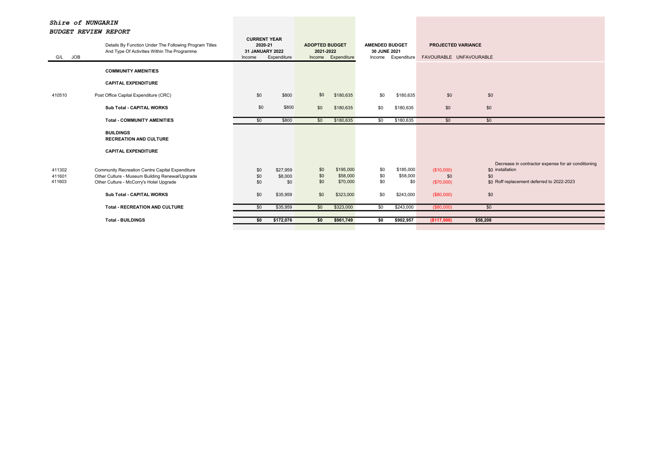| G/L JOB          | Details By Function Under The Following Program Titles<br>And Type Of Activities Within The Programme | <b>CURRENT YEAR</b><br>2020-21<br>31 JANUARY 2022<br>Income | Expenditure    | <b>ADOPTED BUDGET</b><br>2021-2022 | Income Expenditure    | <b>AMENDED BUDGET</b><br>30 JUNE 2021 | Income Expenditure    | <b>PROJECTED VARIANCE</b><br>FAVOURABLE UNFAVOURABLE |                                                     |
|------------------|-------------------------------------------------------------------------------------------------------|-------------------------------------------------------------|----------------|------------------------------------|-----------------------|---------------------------------------|-----------------------|------------------------------------------------------|-----------------------------------------------------|
|                  | <b>COMMUNITY AMENITIES</b>                                                                            |                                                             |                |                                    |                       |                                       |                       |                                                      |                                                     |
|                  | <b>CAPITAL EXPENDITURE</b>                                                                            |                                                             |                |                                    |                       |                                       |                       |                                                      |                                                     |
| 410510           | Post Office Capital Expenditure (CRC)                                                                 | \$0                                                         | \$800          | \$0                                | \$180,635             | \$0                                   | \$180,635             | \$0                                                  | \$0                                                 |
|                  | <b>Sub Total - CAPITAL WORKS</b>                                                                      | \$0                                                         | \$800          | \$0                                | \$180,635             | \$0                                   | \$180,635             | \$0                                                  | \$0                                                 |
|                  | <b>Total - COMMUNITY AMENITIES</b>                                                                    | \$0                                                         | \$800          | \$0                                | \$180,635             | \$0                                   | \$180,635             | \$0                                                  | \$0                                                 |
|                  | <b>BUILDINGS</b><br><b>RECREATION AND CULTURE</b>                                                     |                                                             |                |                                    |                       |                                       |                       |                                                      |                                                     |
|                  | <b>CAPITAL EXPENDITURE</b>                                                                            |                                                             |                |                                    |                       |                                       |                       |                                                      |                                                     |
|                  |                                                                                                       |                                                             |                |                                    |                       |                                       |                       |                                                      | Decrease in contractor expense for air conditioning |
| 411302           | Community Recreation Centre Capital Expenditure                                                       | \$0                                                         | \$27,959       | \$0                                | \$195,000<br>\$58,000 | \$0                                   | \$185,000<br>\$58,000 | (\$10,000)                                           | \$0 installation                                    |
| 411601<br>411603 | Other Culture - Museum Building Renewal/Upgrade<br>Other Culture - McCorry's Hotel Upgrade            | \$0<br>\$0                                                  | \$8,000<br>\$0 | \$0<br>\$0                         | \$70,000              | \$0<br>\$0                            | \$0                   | \$0<br>(\$70,000)                                    | \$0<br>\$0 Roff replacement deferred to 2022-2023   |
|                  |                                                                                                       |                                                             |                |                                    |                       |                                       |                       |                                                      |                                                     |
|                  | <b>Sub Total - CAPITAL WORKS</b>                                                                      | \$0                                                         | \$35,959       | \$0                                | \$323,000             | \$0                                   | \$243,000             | (\$80,000)                                           | \$0                                                 |
|                  | <b>Total - RECREATION AND CULTURE</b>                                                                 | \$0                                                         | \$35,959       | \$0                                | \$323,000             | $\overline{50}$                       | \$243,000             | (\$80,000)                                           | \$0                                                 |
|                  | <b>Total - BUILDINGS</b>                                                                              | \$0                                                         | \$172,076      | \$0                                | \$961,749             | \$0                                   | \$902,957             | (\$117,000)                                          | \$58,208                                            |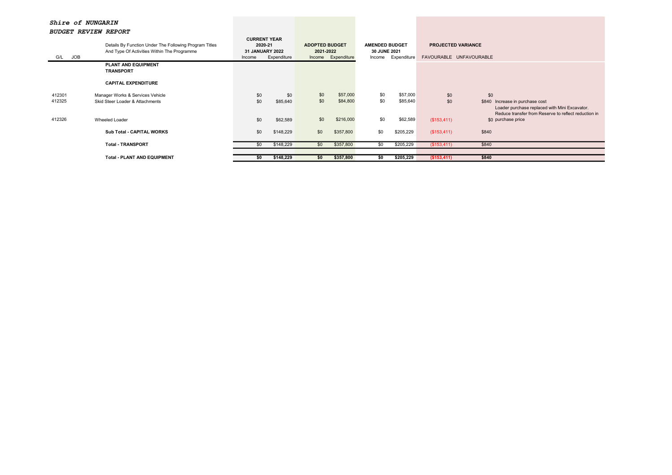| bobbal wavlam wafuni |                                                        |        |                                |                       |                    |                       |             |                           |                                                                                                                                             |
|----------------------|--------------------------------------------------------|--------|--------------------------------|-----------------------|--------------------|-----------------------|-------------|---------------------------|---------------------------------------------------------------------------------------------------------------------------------------------|
|                      | Details By Function Under The Following Program Titles |        | <b>CURRENT YEAR</b><br>2020-21 | <b>ADOPTED BUDGET</b> |                    | <b>AMENDED BUDGET</b> |             | <b>PROJECTED VARIANCE</b> |                                                                                                                                             |
|                      |                                                        |        |                                |                       |                    |                       |             |                           |                                                                                                                                             |
|                      | And Type Of Activities Within The Programme            |        | 31 JANUARY 2022                | 2021-2022             |                    | 30 JUNE 2021          |             |                           |                                                                                                                                             |
| JOB<br>G/L           |                                                        | Income | Expenditure                    |                       | Income Expenditure | Income                | Expenditure | FAVOURABLE UNFAVOURABLE   |                                                                                                                                             |
|                      | <b>PLANT AND EQUIPMENT</b><br><b>TRANSPORT</b>         |        |                                |                       |                    |                       |             |                           |                                                                                                                                             |
|                      | <b>CAPITAL EXPENDITURE</b>                             |        |                                |                       |                    |                       |             |                           |                                                                                                                                             |
| 412301               | Manager Works & Services Vehicle                       | \$0    | \$0                            | \$0                   | \$57,000           | \$0                   | \$57,000    | \$0                       | \$0                                                                                                                                         |
| 412325               | Skid Steer Loader & Attachments                        | \$0    | \$85,640                       | \$0                   | \$84,800           | \$0                   | \$85,640    | \$0                       | \$840<br>Increase in purchase cost<br>Loader purchase replaced with Mini Excavator.<br>Reduce transfer from Reserve to reflect reduction in |
| 412326               | Wheeled Loader                                         | \$0    | \$62,589                       | \$0                   | \$216,000          | \$0                   | \$62,589    | (\$153,411)               | \$0 purchase price                                                                                                                          |
|                      | Sub Total - CAPITAL WORKS                              | \$0    | \$148,229                      | \$0                   | \$357,800          | \$0                   | \$205,229   | (\$153,411)               | \$840                                                                                                                                       |
|                      | <b>Total - TRANSPORT</b>                               | \$0    | \$148,229                      | \$0                   | \$357,800          | \$0                   | \$205,229   | (\$153,411)               | \$840                                                                                                                                       |
|                      |                                                        |        |                                |                       |                    |                       |             |                           |                                                                                                                                             |
|                      | <b>Total - PLANT AND EQUIPMENT</b>                     | \$0    | \$148,229                      | \$0                   | \$357,800          | \$0                   | \$205,229   | ( \$153,411)              | \$840                                                                                                                                       |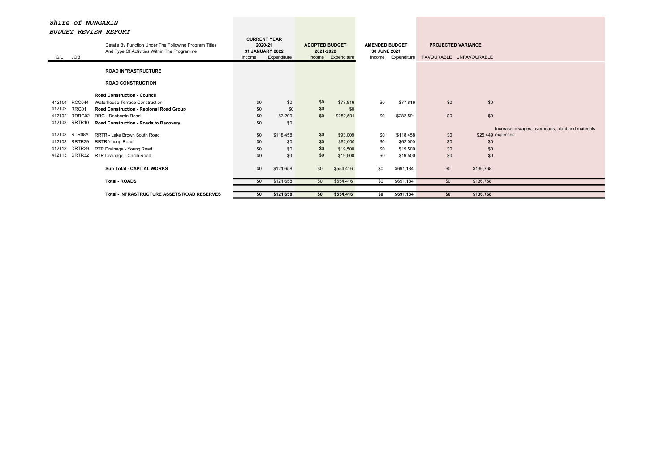| G/L    | <b>JOB</b> | Details By Function Under The Following Program Titles<br>And Type Of Activities Within The Programme | <b>CURRENT YEAR</b><br>2020-21<br><b>31 JANUARY 2022</b><br>Income | Expenditure | <b>ADOPTED BUDGET</b><br>2021-2022 | Income Expenditure | <b>AMENDED BUDGET</b><br>30 JUNE 2021<br>Income | Expenditure | <b>PROJECTED VARIANCE</b><br>FAVOURABLE UNFAVOURABLE |                    |                                                   |
|--------|------------|-------------------------------------------------------------------------------------------------------|--------------------------------------------------------------------|-------------|------------------------------------|--------------------|-------------------------------------------------|-------------|------------------------------------------------------|--------------------|---------------------------------------------------|
|        |            | <b>ROAD INFRASTRUCTURE</b>                                                                            |                                                                    |             |                                    |                    |                                                 |             |                                                      |                    |                                                   |
|        |            | <b>ROAD CONSTRUCTION</b>                                                                              |                                                                    |             |                                    |                    |                                                 |             |                                                      |                    |                                                   |
|        |            | <b>Road Construction - Council</b>                                                                    |                                                                    |             |                                    |                    |                                                 |             |                                                      |                    |                                                   |
| 412101 | RCC044     | Waterhouse Terrace Construction                                                                       | \$0                                                                | \$0         | \$0                                | \$77,816           | \$0                                             | \$77,816    | \$0                                                  | \$0                |                                                   |
| 412102 | RRG01      | Road Construction - Regional Road Group                                                               | \$0                                                                | \$0         | \$0                                | \$0                |                                                 |             |                                                      |                    |                                                   |
| 412102 | RRRG02     | RRG - Danberrin Road                                                                                  | \$0                                                                | \$3,200     | \$0                                | \$282,591          | \$0                                             | \$282,591   | \$0                                                  | \$0                |                                                   |
| 412103 | RRTR10     | Road Construction - Roads to Recovery                                                                 | \$0                                                                | \$0         |                                    |                    |                                                 |             |                                                      |                    |                                                   |
|        |            |                                                                                                       |                                                                    |             |                                    |                    |                                                 |             |                                                      |                    | Increase in wages, overheads, plant and materials |
| 412103 | RTR08A     | RRTR - Lake Brown South Road                                                                          | \$0                                                                | \$118,458   | \$0                                | \$93,009           | \$0                                             | \$118,458   | \$0                                                  | \$25,449 expenses. |                                                   |
| 412103 | RRTR39     | RRTR Young Road                                                                                       | \$0                                                                | \$0         | \$0                                | \$62,000           | \$0                                             | \$62,000    | \$0                                                  | \$0                |                                                   |
| 412113 | DRTR39     | RTR Drainage - Young Road                                                                             | \$0                                                                | \$0         | \$0                                | \$19,500           | \$0                                             | \$19,500    | \$0                                                  | \$0                |                                                   |
| 412113 | DRTR32     | RTR Drainage - Caridi Road                                                                            | \$0                                                                | \$0         | \$0                                | \$19,500           | \$0                                             | \$19,500    | \$0                                                  | \$0                |                                                   |
|        |            |                                                                                                       |                                                                    |             |                                    |                    |                                                 |             |                                                      |                    |                                                   |
|        |            | <b>Sub Total - CAPITAL WORKS</b>                                                                      | \$0                                                                | \$121,658   | \$0                                | \$554,416          | \$0                                             | \$691,184   | \$0                                                  | \$136,768          |                                                   |
|        |            |                                                                                                       |                                                                    |             |                                    |                    |                                                 |             |                                                      |                    |                                                   |
|        |            | <b>Total - ROADS</b>                                                                                  | \$0                                                                | \$121,658   | \$0                                | \$554,416          | \$0                                             | \$691,184   | \$0                                                  | \$136,768          |                                                   |
|        |            |                                                                                                       |                                                                    |             |                                    |                    |                                                 |             |                                                      |                    |                                                   |
|        |            | <b>Total - INFRASTRUCTURE ASSETS ROAD RESERVES</b>                                                    | \$0                                                                | \$121,658   | \$0                                | \$554,416          | \$0                                             | \$691,184   | \$0                                                  | \$136,768          |                                                   |